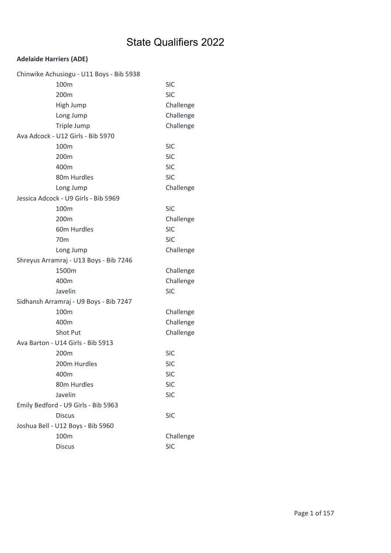| Chinwike Achusiogu - U11 Boys - Bib 5938 |                                        |            |
|------------------------------------------|----------------------------------------|------------|
|                                          | 100m                                   | <b>SIC</b> |
|                                          | 200 <sub>m</sub>                       | <b>SIC</b> |
|                                          | High Jump                              | Challenge  |
|                                          | Long Jump                              | Challenge  |
|                                          | Triple Jump                            | Challenge  |
|                                          | Ava Adcock - U12 Girls - Bib 5970      |            |
|                                          | 100 <sub>m</sub>                       | <b>SIC</b> |
|                                          | 200m                                   | <b>SIC</b> |
|                                          | 400m                                   | <b>SIC</b> |
|                                          | 80m Hurdles                            | <b>SIC</b> |
|                                          | Long Jump                              | Challenge  |
|                                          | Jessica Adcock - U9 Girls - Bib 5969   |            |
|                                          | 100 <sub>m</sub>                       | <b>SIC</b> |
|                                          | 200m                                   | Challenge  |
|                                          | 60m Hurdles                            | <b>SIC</b> |
|                                          | 70 <sub>m</sub>                        | <b>SIC</b> |
|                                          | Long Jump                              | Challenge  |
|                                          | Shreyus Arramraj - U13 Boys - Bib 7246 |            |
|                                          | 1500m                                  | Challenge  |
|                                          | 400m                                   | Challenge  |
|                                          | Javelin                                | <b>SIC</b> |
|                                          | Sidhansh Arramraj - U9 Boys - Bib 7247 |            |
|                                          | 100m                                   | Challenge  |
|                                          | 400m                                   | Challenge  |
|                                          | <b>Shot Put</b>                        | Challenge  |
|                                          | Ava Barton - U14 Girls - Bib 5913      |            |
|                                          | 200 <sub>m</sub>                       | <b>SIC</b> |
|                                          | 200m Hurdles                           | <b>SIC</b> |
|                                          | 400m                                   | <b>SIC</b> |
|                                          | 80m Hurdles                            | <b>SIC</b> |
|                                          | Javelin                                | <b>SIC</b> |
|                                          | Emily Bedford - U9 Girls - Bib 5963    |            |
|                                          | <b>Discus</b>                          | <b>SIC</b> |
|                                          | Joshua Bell - U12 Boys - Bib 5960      |            |
|                                          | 100m                                   | Challenge  |
|                                          | <b>Discus</b>                          | <b>SIC</b> |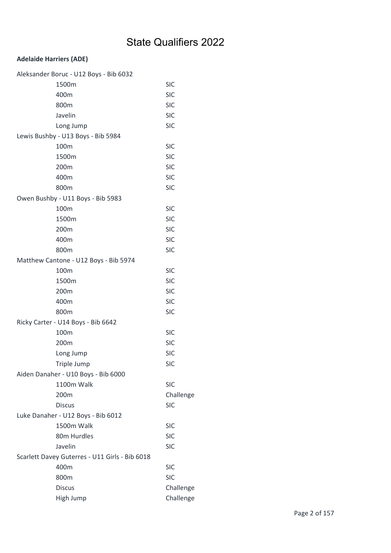| Aleksander Boruc - U12 Boys - Bib 6032         |            |
|------------------------------------------------|------------|
| 1500m                                          | <b>SIC</b> |
| 400m                                           | <b>SIC</b> |
| 800m                                           | <b>SIC</b> |
| Javelin                                        | <b>SIC</b> |
| Long Jump                                      | <b>SIC</b> |
| Lewis Bushby - U13 Boys - Bib 5984             |            |
| 100m                                           | <b>SIC</b> |
| 1500m                                          | <b>SIC</b> |
| 200m                                           | <b>SIC</b> |
| 400m                                           | <b>SIC</b> |
| 800m                                           | <b>SIC</b> |
| Owen Bushby - U11 Boys - Bib 5983              |            |
| 100m                                           | <b>SIC</b> |
| 1500m                                          | <b>SIC</b> |
| 200m                                           | <b>SIC</b> |
| 400m                                           | <b>SIC</b> |
| 800m                                           | <b>SIC</b> |
| Matthew Cantone - U12 Boys - Bib 5974          |            |
| 100m                                           | <b>SIC</b> |
| 1500m                                          | <b>SIC</b> |
| 200m                                           | <b>SIC</b> |
| 400m                                           | <b>SIC</b> |
| 800m                                           | <b>SIC</b> |
| Ricky Carter - U14 Boys - Bib 6642             |            |
| 100m                                           | <b>SIC</b> |
| 200m                                           | <b>SIC</b> |
| Long Jump                                      | <b>SIC</b> |
| Triple Jump                                    | <b>SIC</b> |
| Aiden Danaher - U10 Boys - Bib 6000            |            |
| 1100m Walk                                     | <b>SIC</b> |
| 200m                                           | Challenge  |
| <b>Discus</b>                                  | <b>SIC</b> |
| Luke Danaher - U12 Boys - Bib 6012             |            |
| 1500m Walk                                     | <b>SIC</b> |
| 80m Hurdles                                    | <b>SIC</b> |
| Javelin                                        | <b>SIC</b> |
| Scarlett Davey Guterres - U11 Girls - Bib 6018 |            |
| 400m                                           | <b>SIC</b> |
| 800m                                           | <b>SIC</b> |
| <b>Discus</b>                                  | Challenge  |
| High Jump                                      | Challenge  |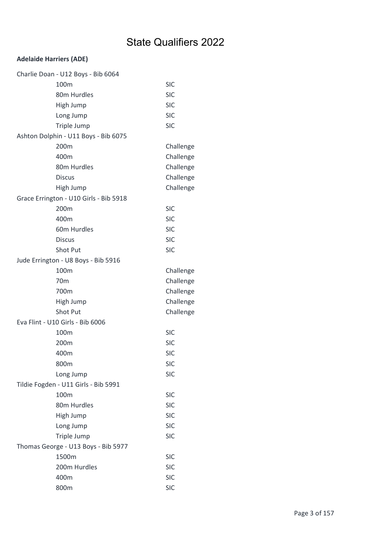| Charlie Doan - U12 Boys - Bib 6064     |            |
|----------------------------------------|------------|
| 100m                                   | <b>SIC</b> |
| 80m Hurdles                            | <b>SIC</b> |
| High Jump                              | <b>SIC</b> |
| Long Jump                              | <b>SIC</b> |
| Triple Jump                            | <b>SIC</b> |
| Ashton Dolphin - U11 Boys - Bib 6075   |            |
| 200 <sub>m</sub>                       | Challenge  |
| 400m                                   | Challenge  |
| 80m Hurdles                            | Challenge  |
| <b>Discus</b>                          | Challenge  |
| High Jump                              | Challenge  |
| Grace Errington - U10 Girls - Bib 5918 |            |
| 200m                                   | <b>SIC</b> |
| 400m                                   | <b>SIC</b> |
| 60m Hurdles                            | <b>SIC</b> |
| <b>Discus</b>                          | <b>SIC</b> |
| Shot Put                               | <b>SIC</b> |
| Jude Errington - U8 Boys - Bib 5916    |            |
| 100 <sub>m</sub>                       | Challenge  |
| 70 <sub>m</sub>                        | Challenge  |
| 700m                                   | Challenge  |
| High Jump                              | Challenge  |
| Shot Put                               | Challenge  |
| Eva Flint - U10 Girls - Bib 6006       |            |
| 100m                                   | <b>SIC</b> |
| 200m                                   | <b>SIC</b> |
| 400m                                   | <b>SIC</b> |
| 800m                                   | <b>SIC</b> |
| Long Jump                              | <b>SIC</b> |
| Tildie Fogden - U11 Girls - Bib 5991   |            |
| 100m                                   | <b>SIC</b> |
| 80m Hurdles                            | <b>SIC</b> |
| High Jump                              | <b>SIC</b> |
| Long Jump                              | <b>SIC</b> |
| Triple Jump                            | <b>SIC</b> |
| Thomas George - U13 Boys - Bib 5977    |            |
| 1500m                                  | <b>SIC</b> |
| 200m Hurdles                           | <b>SIC</b> |
| 400m                                   | <b>SIC</b> |
| 800m                                   | <b>SIC</b> |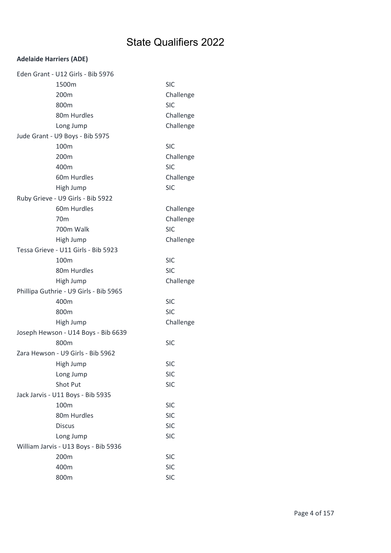| Eden Grant - U12 Girls - Bib 5976      |            |
|----------------------------------------|------------|
| 1500m                                  | <b>SIC</b> |
| 200m                                   | Challenge  |
| 800m                                   | <b>SIC</b> |
| 80m Hurdles                            | Challenge  |
| Long Jump                              | Challenge  |
| Jude Grant - U9 Boys - Bib 5975        |            |
| 100m                                   | <b>SIC</b> |
| 200m                                   | Challenge  |
| 400m                                   | <b>SIC</b> |
| 60m Hurdles                            | Challenge  |
| High Jump                              | <b>SIC</b> |
| Ruby Grieve - U9 Girls - Bib 5922      |            |
| 60m Hurdles                            | Challenge  |
| 70 <sub>m</sub>                        | Challenge  |
| 700m Walk                              | <b>SIC</b> |
| High Jump                              | Challenge  |
| Tessa Grieve - U11 Girls - Bib 5923    |            |
| 100m                                   | <b>SIC</b> |
| 80m Hurdles                            | <b>SIC</b> |
| High Jump                              | Challenge  |
| Phillipa Guthrie - U9 Girls - Bib 5965 |            |
| 400m                                   | <b>SIC</b> |
| 800m                                   | <b>SIC</b> |
| High Jump                              | Challenge  |
| Joseph Hewson - U14 Boys - Bib 6639    |            |
| 800m                                   | <b>SIC</b> |
| Zara Hewson - U9 Girls - Bib 5962      |            |
| High Jump                              | SIC        |
| Long Jump                              | <b>SIC</b> |
| <b>Shot Put</b>                        | <b>SIC</b> |
| Jack Jarvis - U11 Boys - Bib 5935      |            |
| 100m                                   | <b>SIC</b> |
| 80m Hurdles                            | <b>SIC</b> |
| <b>Discus</b>                          | <b>SIC</b> |
| Long Jump                              | <b>SIC</b> |
| William Jarvis - U13 Boys - Bib 5936   |            |
| 200m                                   | <b>SIC</b> |
| 400m                                   | <b>SIC</b> |
| 800m                                   | <b>SIC</b> |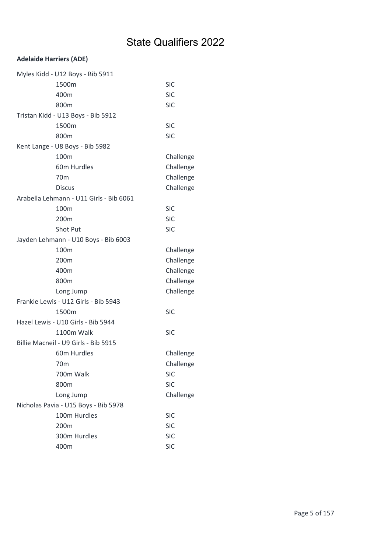| Myles Kidd - U12 Boys - Bib 5911        |            |
|-----------------------------------------|------------|
| 1500m                                   | <b>SIC</b> |
| 400m                                    | <b>SIC</b> |
| 800m                                    | <b>SIC</b> |
| Tristan Kidd - U13 Boys - Bib 5912      |            |
| 1500m                                   | <b>SIC</b> |
| 800m                                    | <b>SIC</b> |
| Kent Lange - U8 Boys - Bib 5982         |            |
| 100m                                    | Challenge  |
| 60m Hurdles                             | Challenge  |
| 70 <sub>m</sub>                         | Challenge  |
| <b>Discus</b>                           | Challenge  |
| Arabella Lehmann - U11 Girls - Bib 6061 |            |
| 100 <sub>m</sub>                        | <b>SIC</b> |
| 200m                                    | <b>SIC</b> |
| <b>Shot Put</b>                         | <b>SIC</b> |
| Jayden Lehmann - U10 Boys - Bib 6003    |            |
| 100m                                    | Challenge  |
| 200m                                    | Challenge  |
| 400m                                    | Challenge  |
| 800m                                    | Challenge  |
| Long Jump                               | Challenge  |
| Frankie Lewis - U12 Girls - Bib 5943    |            |
| 1500m                                   | <b>SIC</b> |
| Hazel Lewis - U10 Girls - Bib 5944      |            |
| 1100m Walk                              | <b>SIC</b> |
| Billie Macneil - U9 Girls - Bib 5915    |            |
| 60m Hurdles                             | Challenge  |
| 70 <sub>m</sub>                         | Challenge  |
| 700m Walk                               | <b>SIC</b> |
| 800m                                    | <b>SIC</b> |
| Long Jump                               | Challenge  |
| Nicholas Pavia - U15 Boys - Bib 5978    |            |
| 100m Hurdles                            | <b>SIC</b> |
| 200m                                    | <b>SIC</b> |
| 300m Hurdles                            | <b>SIC</b> |
| 400m                                    | <b>SIC</b> |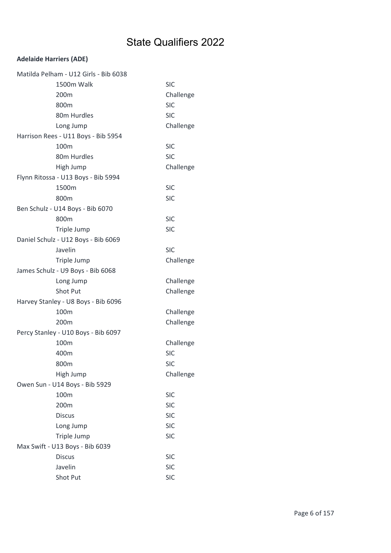| Matilda Pelham - U12 Girls - Bib 6038 |            |
|---------------------------------------|------------|
| 1500m Walk                            | <b>SIC</b> |
| 200 <sub>m</sub>                      | Challenge  |
| 800m                                  | <b>SIC</b> |
| 80m Hurdles                           | <b>SIC</b> |
| Long Jump                             | Challenge  |
| Harrison Rees - U11 Boys - Bib 5954   |            |
| 100m                                  | <b>SIC</b> |
| 80m Hurdles                           | <b>SIC</b> |
| High Jump                             | Challenge  |
| Flynn Ritossa - U13 Boys - Bib 5994   |            |
| 1500m                                 | <b>SIC</b> |
| 800m                                  | <b>SIC</b> |
| Ben Schulz - U14 Boys - Bib 6070      |            |
| 800m                                  | <b>SIC</b> |
| Triple Jump                           | <b>SIC</b> |
| Daniel Schulz - U12 Boys - Bib 6069   |            |
| Javelin                               | <b>SIC</b> |
| Triple Jump                           | Challenge  |
| James Schulz - U9 Boys - Bib 6068     |            |
| Long Jump                             | Challenge  |
| Shot Put                              | Challenge  |
| Harvey Stanley - U8 Boys - Bib 6096   |            |
| 100m                                  | Challenge  |
| 200m                                  | Challenge  |
| Percy Stanley - U10 Boys - Bib 6097   |            |
| 100m                                  | Challenge  |
| 400m                                  | <b>SIC</b> |
| 800m                                  | SIC        |
| High Jump                             | Challenge  |
| Owen Sun - U14 Boys - Bib 5929        |            |
| 100m                                  | <b>SIC</b> |
| 200m                                  | <b>SIC</b> |
| <b>Discus</b>                         | <b>SIC</b> |
| Long Jump                             | <b>SIC</b> |
| Triple Jump                           | <b>SIC</b> |
| Max Swift - U13 Boys - Bib 6039       |            |
| <b>Discus</b>                         | <b>SIC</b> |
| Javelin                               | <b>SIC</b> |
| Shot Put                              | <b>SIC</b> |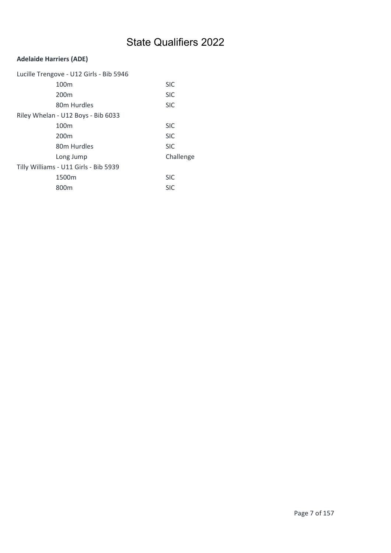| Lucille Trengove - U12 Girls - Bib 5946 |            |
|-----------------------------------------|------------|
| 100 <sub>m</sub>                        | <b>SIC</b> |
| 200 <sub>m</sub>                        | <b>SIC</b> |
| 80m Hurdles                             | <b>SIC</b> |
| Riley Whelan - U12 Boys - Bib 6033      |            |
| 100 <sub>m</sub>                        | <b>SIC</b> |
| 200 <sub>m</sub>                        | <b>SIC</b> |
| 80m Hurdles                             | <b>SIC</b> |
| Long Jump                               | Challenge  |
| Tilly Williams - U11 Girls - Bib 5939   |            |
| 1500m                                   | <b>SIC</b> |
| 800m                                    | <b>SIC</b> |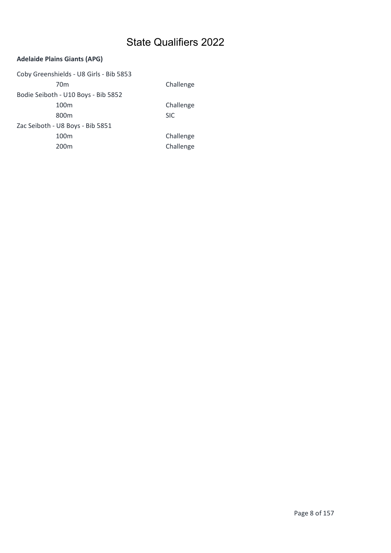#### Adelaide Plains Giants (APG)

Coby Greenshields - U8 Girls - Bib 5853 70m Challenge Bodie Seiboth - U10 Boys - Bib 5852 100m Challenge 800m SIC Zac Seiboth - U8 Boys - Bib 5851 100m Challenge 200m Challenge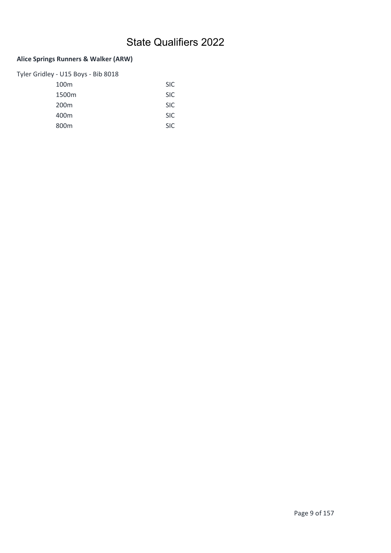### Alice Springs Runners & Walker (ARW)

| Tyler Gridley - U15 Boys - Bib 8018 |            |
|-------------------------------------|------------|
| 100 <sub>m</sub>                    | <b>SIC</b> |
| 1500 <sub>m</sub>                   | <b>SIC</b> |
| 200 <sub>m</sub>                    | <b>SIC</b> |
| 400m                                | <b>SIC</b> |
| 800m                                | <b>SIC</b> |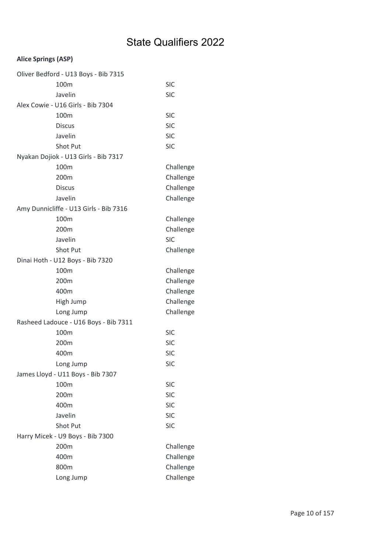### Alice Springs (ASP)

| Oliver Bedford - U13 Boys - Bib 7315   |            |
|----------------------------------------|------------|
| 100m                                   | <b>SIC</b> |
| Javelin                                | <b>SIC</b> |
| Alex Cowie - U16 Girls - Bib 7304      |            |
| 100m                                   | <b>SIC</b> |
| <b>Discus</b>                          | <b>SIC</b> |
| Javelin                                | <b>SIC</b> |
| <b>Shot Put</b>                        | <b>SIC</b> |
| Nyakan Dojiok - U13 Girls - Bib 7317   |            |
| 100m                                   | Challenge  |
| 200m                                   | Challenge  |
| <b>Discus</b>                          | Challenge  |
| Javelin                                | Challenge  |
| Amy Dunnicliffe - U13 Girls - Bib 7316 |            |
| 100m                                   | Challenge  |
| 200m                                   | Challenge  |
| Javelin                                | <b>SIC</b> |
| <b>Shot Put</b>                        | Challenge  |
| Dinai Hoth - U12 Boys - Bib 7320       |            |
| 100 <sub>m</sub>                       | Challenge  |
| 200m                                   | Challenge  |
| 400m                                   | Challenge  |
| High Jump                              | Challenge  |
| Long Jump                              | Challenge  |
| Rasheed Ladouce - U16 Boys - Bib 7311  |            |
| 100m                                   | <b>SIC</b> |
| 200m                                   | <b>SIC</b> |
| 400m                                   | <b>SIC</b> |
| Long Jump                              | <b>SIC</b> |
| James Lloyd - U11 Boys - Bib 7307      |            |
| 100m                                   | <b>SIC</b> |
| 200m                                   | <b>SIC</b> |
| 400m                                   | <b>SIC</b> |
| Javelin                                | <b>SIC</b> |
| Shot Put                               | <b>SIC</b> |
| Harry Micek - U9 Boys - Bib 7300       |            |
| 200m                                   | Challenge  |
| 400m                                   | Challenge  |
| 800m                                   | Challenge  |
| Long Jump                              | Challenge  |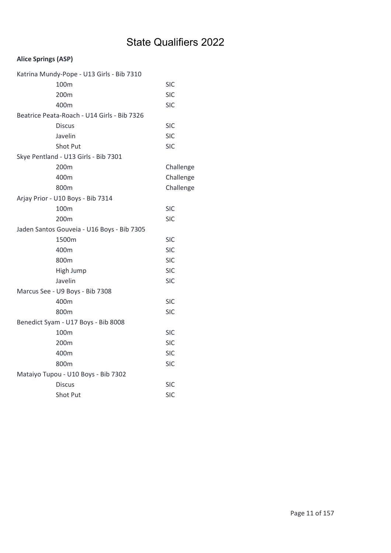### Alice Springs (ASP)

| Katrina Mundy-Pope - U13 Girls - Bib 7310   |            |
|---------------------------------------------|------------|
| 100 <sub>m</sub>                            | <b>SIC</b> |
| 200m                                        | <b>SIC</b> |
| 400m                                        | SIC        |
| Beatrice Peata-Roach - U14 Girls - Bib 7326 |            |
| <b>Discus</b>                               | SIC        |
| Javelin                                     | <b>SIC</b> |
| Shot Put                                    | <b>SIC</b> |
| Skye Pentland - U13 Girls - Bib 7301        |            |
| 200m                                        | Challenge  |
| 400m                                        | Challenge  |
| 800m                                        | Challenge  |
| Arjay Prior - U10 Boys - Bib 7314           |            |
| 100m                                        | <b>SIC</b> |
| 200m                                        | <b>SIC</b> |
| Jaden Santos Gouveia - U16 Boys - Bib 7305  |            |
| 1500m                                       | <b>SIC</b> |
| 400m                                        | <b>SIC</b> |
| 800m                                        | <b>SIC</b> |
| High Jump                                   | <b>SIC</b> |
| Javelin                                     | <b>SIC</b> |
| Marcus See - U9 Boys - Bib 7308             |            |
| 400m                                        | <b>SIC</b> |
| 800m                                        | <b>SIC</b> |
| Benedict Syam - U17 Boys - Bib 8008         |            |
| 100 <sub>m</sub>                            | <b>SIC</b> |
| 200 <sub>m</sub>                            | <b>SIC</b> |
| 400m                                        | <b>SIC</b> |
| 800m                                        | <b>SIC</b> |
| Mataiyo Tupou - U10 Boys - Bib 7302         |            |
| <b>Discus</b>                               | SIC        |
| Shot Put                                    | <b>SIC</b> |
|                                             |            |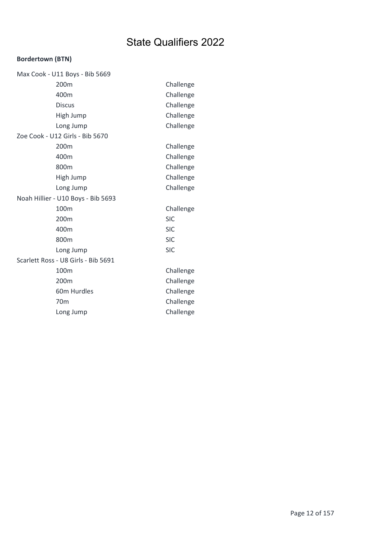### Bordertown (BTN)

| Max Cook - U11 Boys - Bib 5669      |            |
|-------------------------------------|------------|
| 200m                                | Challenge  |
| 400m                                | Challenge  |
| <b>Discus</b>                       | Challenge  |
| High Jump                           | Challenge  |
| Long Jump                           | Challenge  |
| Zoe Cook - U12 Girls - Bib 5670     |            |
| 200m                                | Challenge  |
| 400m                                | Challenge  |
| 800m                                | Challenge  |
| High Jump                           | Challenge  |
| Long Jump                           | Challenge  |
| Noah Hillier - U10 Boys - Bib 5693  |            |
| 100m                                | Challenge  |
| 200m                                | <b>SIC</b> |
| 400m                                | <b>SIC</b> |
| 800m                                | <b>SIC</b> |
| Long Jump                           | <b>SIC</b> |
| Scarlett Ross - U8 Girls - Bib 5691 |            |
| 100m                                | Challenge  |
| 200m                                | Challenge  |
| 60m Hurdles                         | Challenge  |
| 70 <sub>m</sub>                     | Challenge  |
| Long Jump                           | Challenge  |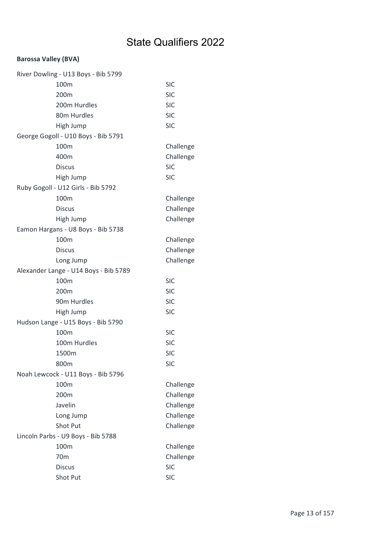#### Barossa Valley (BVA)

| River Dowling - U13 Boys - Bib 5799   |            |
|---------------------------------------|------------|
| 100m                                  | <b>SIC</b> |
| 200m                                  | <b>SIC</b> |
| 200m Hurdles                          | <b>SIC</b> |
| 80m Hurdles                           | <b>SIC</b> |
| High Jump                             | <b>SIC</b> |
| George Gogoll - U10 Boys - Bib 5791   |            |
| 100m                                  | Challenge  |
| 400m                                  | Challenge  |
| <b>Discus</b>                         | <b>SIC</b> |
| High Jump                             | <b>SIC</b> |
| Ruby Gogoll - U12 Girls - Bib 5792    |            |
| 100m                                  | Challenge  |
| <b>Discus</b>                         | Challenge  |
| High Jump                             | Challenge  |
| Eamon Hargans - U8 Boys - Bib 5738    |            |
| 100m                                  | Challenge  |
| <b>Discus</b>                         | Challenge  |
| Long Jump                             | Challenge  |
| Alexander Lange - U14 Boys - Bib 5789 |            |
| 100m                                  | <b>SIC</b> |
| 200m                                  | <b>SIC</b> |
| 90m Hurdles                           | <b>SIC</b> |
| High Jump                             | <b>SIC</b> |
| Hudson Lange - U15 Boys - Bib 5790    |            |
| 100m                                  | <b>SIC</b> |
| 100m Hurdles                          | <b>SIC</b> |
| 1500m                                 | <b>SIC</b> |
| 800m                                  | <b>SIC</b> |
| Noah Lewcock - U11 Boys - Bib 5796    |            |
| 100m                                  | Challenge  |
| 200m                                  | Challenge  |
| Javelin                               | Challenge  |
| Long Jump                             | Challenge  |
| Shot Put                              | Challenge  |
| Lincoln Parbs - U9 Boys - Bib 5788    |            |
| 100m                                  | Challenge  |
| 70m                                   | Challenge  |
| <b>Discus</b>                         | <b>SIC</b> |
| Shot Put                              | <b>SIC</b> |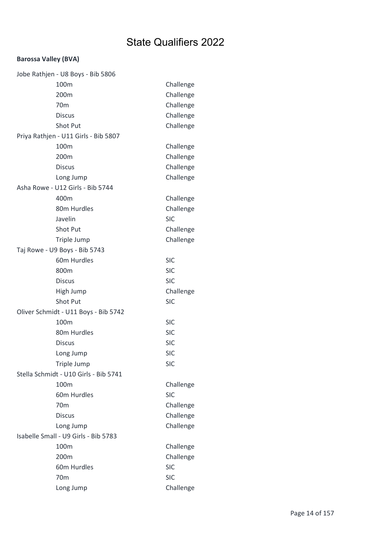#### Barossa Valley (BVA)

| Jobe Rathjen - U8 Boys - Bib 5806     |            |
|---------------------------------------|------------|
| 100m                                  | Challenge  |
| 200m                                  | Challenge  |
| 70 <sub>m</sub>                       | Challenge  |
| <b>Discus</b>                         | Challenge  |
| Shot Put                              | Challenge  |
| Priya Rathjen - U11 Girls - Bib 5807  |            |
| 100m                                  | Challenge  |
| 200m                                  | Challenge  |
| <b>Discus</b>                         | Challenge  |
| Long Jump                             | Challenge  |
| Asha Rowe - U12 Girls - Bib 5744      |            |
| 400m                                  | Challenge  |
| 80m Hurdles                           | Challenge  |
| Javelin                               | <b>SIC</b> |
| Shot Put                              | Challenge  |
| Triple Jump                           | Challenge  |
| Taj Rowe - U9 Boys - Bib 5743         |            |
| 60m Hurdles                           | <b>SIC</b> |
| 800m                                  | <b>SIC</b> |
| <b>Discus</b>                         | <b>SIC</b> |
| High Jump                             | Challenge  |
| Shot Put                              | <b>SIC</b> |
| Oliver Schmidt - U11 Boys - Bib 5742  |            |
| 100m                                  | <b>SIC</b> |
| 80m Hurdles                           | <b>SIC</b> |
| <b>Discus</b>                         | <b>SIC</b> |
| Long Jump                             | <b>SIC</b> |
| Triple Jump                           | <b>SIC</b> |
| Stella Schmidt - U10 Girls - Bib 5741 |            |
| 100m                                  | Challenge  |
| 60m Hurdles                           | <b>SIC</b> |
| 70 <sub>m</sub>                       | Challenge  |
| <b>Discus</b>                         | Challenge  |
| Long Jump                             | Challenge  |
| Isabelle Small - U9 Girls - Bib 5783  |            |
| 100m                                  | Challenge  |
| 200m                                  | Challenge  |
| 60m Hurdles                           | <b>SIC</b> |
| 70 <sub>m</sub>                       | <b>SIC</b> |
| Long Jump                             | Challenge  |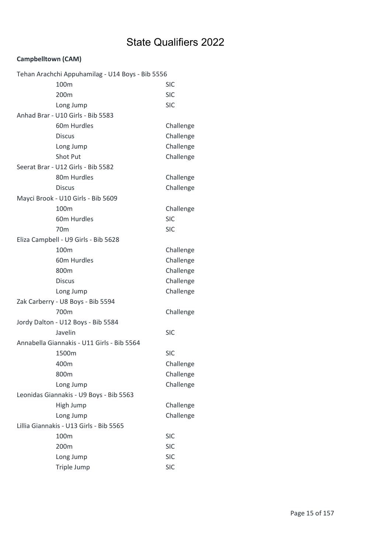### Campbelltown (CAM)

| Tehan Arachchi Appuhamilag - U14 Boys - Bib 5556 |            |
|--------------------------------------------------|------------|
| 100m                                             | <b>SIC</b> |
| 200m                                             | <b>SIC</b> |
| Long Jump                                        | <b>SIC</b> |
| Anhad Brar - U10 Girls - Bib 5583                |            |
| 60m Hurdles                                      | Challenge  |
| <b>Discus</b>                                    | Challenge  |
| Long Jump                                        | Challenge  |
| <b>Shot Put</b>                                  | Challenge  |
| Seerat Brar - U12 Girls - Bib 5582               |            |
| 80m Hurdles                                      | Challenge  |
| <b>Discus</b>                                    | Challenge  |
| Mayci Brook - U10 Girls - Bib 5609               |            |
| 100m                                             | Challenge  |
| 60m Hurdles                                      | <b>SIC</b> |
| 70 <sub>m</sub>                                  | <b>SIC</b> |
| Eliza Campbell - U9 Girls - Bib 5628             |            |
| 100m                                             | Challenge  |
| 60m Hurdles                                      | Challenge  |
| 800m                                             | Challenge  |
| <b>Discus</b>                                    | Challenge  |
| Long Jump                                        | Challenge  |
| Zak Carberry - U8 Boys - Bib 5594                |            |
| 700m                                             | Challenge  |
| Jordy Dalton - U12 Boys - Bib 5584               |            |
| Javelin                                          | <b>SIC</b> |
| Annabella Giannakis - U11 Girls - Bib 5564       |            |
| 1500m                                            | <b>SIC</b> |
| 400m                                             | Challenge  |
| 800m                                             | Challenge  |
| Long Jump                                        | Challenge  |
| Leonidas Giannakis - U9 Boys - Bib 5563          |            |
| High Jump                                        | Challenge  |
| Long Jump                                        | Challenge  |
| Lillia Giannakis - U13 Girls - Bib 5565          |            |
| 100m                                             | <b>SIC</b> |
| 200m                                             | <b>SIC</b> |
| Long Jump                                        | <b>SIC</b> |
| Triple Jump                                      | <b>SIC</b> |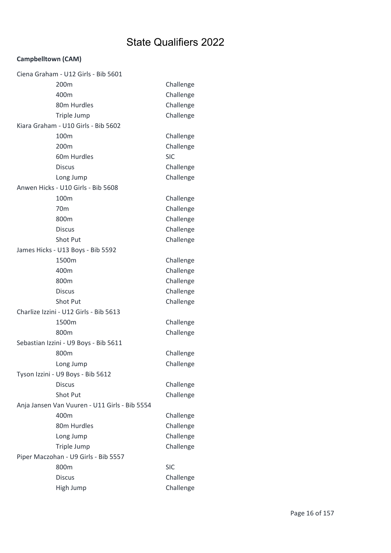### Campbelltown (CAM)

|                                      | Ciena Graham - U12 Girls - Bib 5601           |            |
|--------------------------------------|-----------------------------------------------|------------|
|                                      | 200m                                          | Challenge  |
|                                      | 400m                                          | Challenge  |
|                                      | 80m Hurdles                                   | Challenge  |
|                                      | Triple Jump                                   | Challenge  |
|                                      | Kiara Graham - U10 Girls - Bib 5602           |            |
|                                      | 100m                                          | Challenge  |
|                                      | 200 <sub>m</sub>                              | Challenge  |
|                                      | 60m Hurdles                                   | <b>SIC</b> |
|                                      | <b>Discus</b>                                 | Challenge  |
|                                      | Long Jump                                     | Challenge  |
|                                      | Anwen Hicks - U10 Girls - Bib 5608            |            |
|                                      | 100m                                          | Challenge  |
|                                      | 70 <sub>m</sub>                               | Challenge  |
|                                      | 800m                                          | Challenge  |
|                                      | <b>Discus</b>                                 | Challenge  |
|                                      | Shot Put                                      | Challenge  |
|                                      | James Hicks - U13 Boys - Bib 5592             |            |
|                                      | 1500m                                         | Challenge  |
|                                      | 400m                                          | Challenge  |
|                                      | 800m                                          | Challenge  |
|                                      | <b>Discus</b>                                 | Challenge  |
|                                      | Shot Put                                      | Challenge  |
|                                      | Charlize Izzini - U12 Girls - Bib 5613        |            |
|                                      | 1500m                                         | Challenge  |
|                                      | 800m                                          | Challenge  |
|                                      | Sebastian Izzini - U9 Boys - Bib 5611         |            |
|                                      | 800m                                          | Challenge  |
|                                      | Long Jump                                     | Challenge  |
|                                      | Tyson Izzini - U9 Boys - Bib 5612             |            |
|                                      | <b>Discus</b>                                 | Challenge  |
|                                      | Shot Put                                      | Challenge  |
|                                      | Anja Jansen Van Vuuren - U11 Girls - Bib 5554 |            |
|                                      | 400m                                          | Challenge  |
|                                      | 80m Hurdles                                   | Challenge  |
|                                      | Long Jump                                     | Challenge  |
|                                      | Triple Jump                                   | Challenge  |
| Piper Maczohan - U9 Girls - Bib 5557 |                                               |            |
|                                      | 800m                                          | <b>SIC</b> |
|                                      | <b>Discus</b>                                 | Challenge  |
|                                      | High Jump                                     | Challenge  |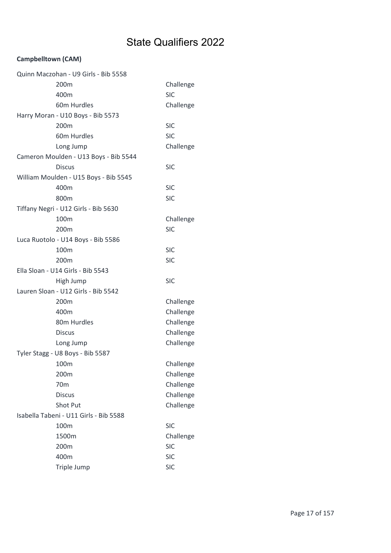### Campbelltown (CAM)

| Quinn Maczohan - U9 Girls - Bib 5558   |                                       |            |  |
|----------------------------------------|---------------------------------------|------------|--|
|                                        | 200 <sub>m</sub>                      | Challenge  |  |
|                                        | 400m                                  | <b>SIC</b> |  |
|                                        | 60m Hurdles                           | Challenge  |  |
|                                        | Harry Moran - U10 Boys - Bib 5573     |            |  |
|                                        | 200m                                  | <b>SIC</b> |  |
|                                        | 60m Hurdles                           | <b>SIC</b> |  |
|                                        | Long Jump                             | Challenge  |  |
|                                        | Cameron Moulden - U13 Boys - Bib 5544 |            |  |
|                                        | <b>Discus</b>                         | <b>SIC</b> |  |
|                                        | William Moulden - U15 Boys - Bib 5545 |            |  |
|                                        | 400m                                  | <b>SIC</b> |  |
|                                        | 800m                                  | <b>SIC</b> |  |
|                                        | Tiffany Negri - U12 Girls - Bib 5630  |            |  |
|                                        | 100m                                  | Challenge  |  |
|                                        | 200m                                  | <b>SIC</b> |  |
|                                        | Luca Ruotolo - U14 Boys - Bib 5586    |            |  |
|                                        | 100m                                  | <b>SIC</b> |  |
|                                        | 200m                                  | <b>SIC</b> |  |
|                                        | Ella Sloan - U14 Girls - Bib 5543     |            |  |
|                                        | High Jump                             | <b>SIC</b> |  |
|                                        | Lauren Sloan - U12 Girls - Bib 5542   |            |  |
|                                        | 200m                                  | Challenge  |  |
|                                        | 400m                                  | Challenge  |  |
|                                        | 80m Hurdles                           | Challenge  |  |
|                                        | <b>Discus</b>                         | Challenge  |  |
|                                        | Long Jump                             | Challenge  |  |
|                                        | Tyler Stagg - U8 Boys - Bib 5587      |            |  |
|                                        | 100m                                  | Challenge  |  |
|                                        | 200m                                  | Challenge  |  |
|                                        | 70 <sub>m</sub>                       | Challenge  |  |
|                                        | <b>Discus</b>                         | Challenge  |  |
|                                        | Shot Put                              | Challenge  |  |
| Isabella Tabeni - U11 Girls - Bib 5588 |                                       |            |  |
|                                        | 100m                                  | <b>SIC</b> |  |
|                                        | 1500m                                 | Challenge  |  |
|                                        | 200m                                  | <b>SIC</b> |  |
|                                        |                                       |            |  |
|                                        | 400m                                  | <b>SIC</b> |  |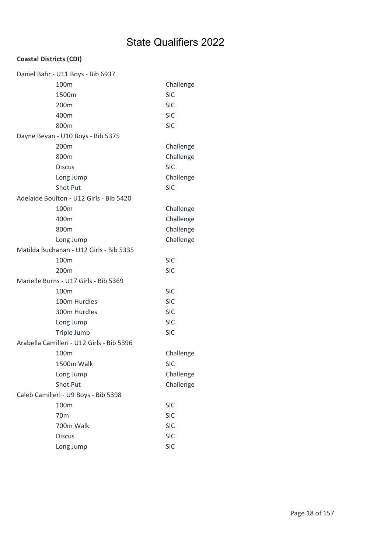|                                      | Daniel Bahr - U11 Boys - Bib 6937         |            |
|--------------------------------------|-------------------------------------------|------------|
|                                      | 100m                                      | Challenge  |
|                                      | 1500m                                     | <b>SIC</b> |
|                                      | 200m                                      | <b>SIC</b> |
|                                      | 400m                                      | <b>SIC</b> |
|                                      | 800m                                      | <b>SIC</b> |
|                                      | Dayne Bevan - U10 Boys - Bib 5375         |            |
|                                      | 200m                                      | Challenge  |
|                                      | 800m                                      | Challenge  |
|                                      | <b>Discus</b>                             | <b>SIC</b> |
|                                      | Long Jump                                 | Challenge  |
|                                      | Shot Put                                  | <b>SIC</b> |
|                                      | Adelaide Boulton - U12 Girls - Bib 5420   |            |
|                                      | 100m                                      | Challenge  |
|                                      | 400m                                      | Challenge  |
|                                      | 800m                                      | Challenge  |
|                                      | Long Jump                                 | Challenge  |
|                                      | Matilda Buchanan - U12 Girls - Bib 5335   |            |
|                                      | 100m                                      | <b>SIC</b> |
|                                      | 200 <sub>m</sub>                          | <b>SIC</b> |
|                                      | Marielle Burns - U17 Girls - Bib 5369     |            |
|                                      | 100m                                      | <b>SIC</b> |
|                                      | 100m Hurdles                              | <b>SIC</b> |
|                                      | 300m Hurdles                              | <b>SIC</b> |
|                                      | Long Jump                                 | <b>SIC</b> |
|                                      | Triple Jump                               | <b>SIC</b> |
|                                      | Arabella Camilleri - U12 Girls - Bib 5396 |            |
|                                      | 100m                                      | Challenge  |
|                                      | 1500m Walk                                | <b>SIC</b> |
|                                      | Long Jump                                 | Challenge  |
|                                      | <b>Shot Put</b>                           | Challenge  |
| Caleb Camilleri - U9 Boys - Bib 5398 |                                           |            |
|                                      | 100m                                      | <b>SIC</b> |
|                                      | 70 <sub>m</sub>                           | <b>SIC</b> |
|                                      | 700m Walk                                 | <b>SIC</b> |
|                                      | <b>Discus</b>                             | <b>SIC</b> |
|                                      | Long Jump                                 | <b>SIC</b> |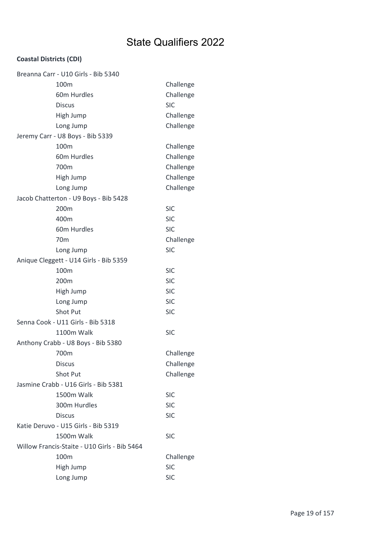| Breanna Carr - U10 Girls - Bib 5340          |            |
|----------------------------------------------|------------|
| 100 <sub>m</sub>                             | Challenge  |
| 60m Hurdles                                  | Challenge  |
| <b>Discus</b>                                | <b>SIC</b> |
| High Jump                                    | Challenge  |
| Long Jump                                    | Challenge  |
| Jeremy Carr - U8 Boys - Bib 5339             |            |
| 100m                                         | Challenge  |
| 60m Hurdles                                  | Challenge  |
| 700m                                         | Challenge  |
| High Jump                                    | Challenge  |
| Long Jump                                    | Challenge  |
| Jacob Chatterton - U9 Boys - Bib 5428        |            |
| 200m                                         | <b>SIC</b> |
| 400m                                         | <b>SIC</b> |
| 60m Hurdles                                  | <b>SIC</b> |
| 70 <sub>m</sub>                              | Challenge  |
| Long Jump                                    | <b>SIC</b> |
| Anique Cleggett - U14 Girls - Bib 5359       |            |
| 100m                                         | <b>SIC</b> |
| 200 <sub>m</sub>                             | <b>SIC</b> |
| High Jump                                    | <b>SIC</b> |
| Long Jump                                    | <b>SIC</b> |
| Shot Put                                     | <b>SIC</b> |
| Senna Cook - U11 Girls - Bib 5318            |            |
| 1100m Walk                                   | <b>SIC</b> |
| Anthony Crabb - U8 Boys - Bib 5380           |            |
| 700m                                         | Challenge  |
| <b>Discus</b>                                | Challenge  |
| Shot Put                                     | Challenge  |
| Jasmine Crabb - U16 Girls - Bib 5381         |            |
| 1500m Walk                                   | <b>SIC</b> |
| 300m Hurdles                                 | <b>SIC</b> |
| <b>Discus</b>                                | <b>SIC</b> |
| Katie Deruvo - U15 Girls - Bib 5319          |            |
| 1500m Walk                                   | <b>SIC</b> |
| Willow Francis-Staite - U10 Girls - Bib 5464 |            |
| 100m                                         | Challenge  |
| High Jump                                    | <b>SIC</b> |
| Long Jump                                    | <b>SIC</b> |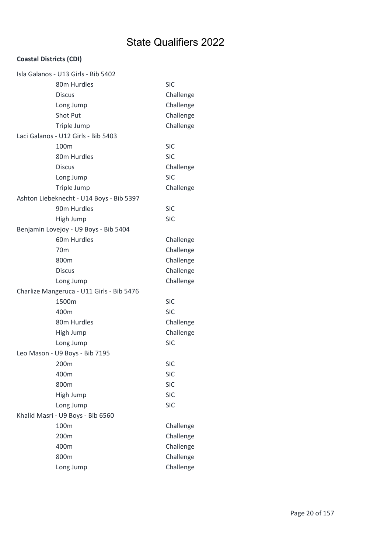| Isla Galanos - U13 Girls - Bib 5402       |            |
|-------------------------------------------|------------|
| 80m Hurdles                               | <b>SIC</b> |
| <b>Discus</b>                             | Challenge  |
| Long Jump                                 | Challenge  |
| <b>Shot Put</b>                           | Challenge  |
| Triple Jump                               | Challenge  |
| Laci Galanos - U12 Girls - Bib 5403       |            |
| 100 <sub>m</sub>                          | <b>SIC</b> |
| 80m Hurdles                               | <b>SIC</b> |
| <b>Discus</b>                             | Challenge  |
| Long Jump                                 | <b>SIC</b> |
| Triple Jump                               | Challenge  |
| Ashton Liebeknecht - U14 Boys - Bib 5397  |            |
| 90m Hurdles                               | <b>SIC</b> |
| High Jump                                 | <b>SIC</b> |
| Benjamin Lovejoy - U9 Boys - Bib 5404     |            |
| 60m Hurdles                               | Challenge  |
| 70 <sub>m</sub>                           | Challenge  |
| 800m                                      | Challenge  |
| <b>Discus</b>                             | Challenge  |
| Long Jump                                 | Challenge  |
| Charlize Mangeruca - U11 Girls - Bib 5476 |            |
| 1500m                                     | <b>SIC</b> |
| 400m                                      | <b>SIC</b> |
| 80m Hurdles                               | Challenge  |
| High Jump                                 | Challenge  |
| Long Jump                                 | <b>SIC</b> |
| Leo Mason - U9 Boys - Bib 7195            |            |
| 200m                                      | <b>SIC</b> |
| 400m                                      | <b>SIC</b> |
| 800m                                      | <b>SIC</b> |
| High Jump                                 | <b>SIC</b> |
| Long Jump                                 | <b>SIC</b> |
| Khalid Masri - U9 Boys - Bib 6560         |            |
| 100m                                      | Challenge  |
| 200m                                      | Challenge  |
| 400m                                      | Challenge  |
| 800m                                      | Challenge  |
| Long Jump                                 | Challenge  |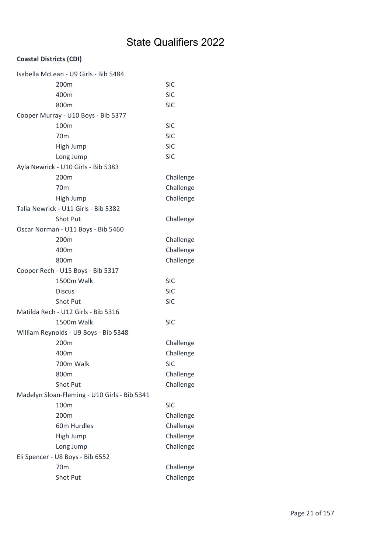| Isabella McLean - U9 Girls - Bib 5484        |            |
|----------------------------------------------|------------|
| 200 <sub>m</sub>                             | <b>SIC</b> |
| 400m                                         | <b>SIC</b> |
| 800m                                         | <b>SIC</b> |
| Cooper Murray - U10 Boys - Bib 5377          |            |
| 100m                                         | <b>SIC</b> |
| 70 <sub>m</sub>                              | <b>SIC</b> |
| High Jump                                    | <b>SIC</b> |
| Long Jump                                    | <b>SIC</b> |
| Ayla Newrick - U10 Girls - Bib 5383          |            |
| 200m                                         | Challenge  |
| 70 <sub>m</sub>                              | Challenge  |
| High Jump                                    | Challenge  |
| Talia Newrick - U11 Girls - Bib 5382         |            |
| <b>Shot Put</b>                              | Challenge  |
| Oscar Norman - U11 Boys - Bib 5460           |            |
| 200 <sub>m</sub>                             | Challenge  |
| 400m                                         | Challenge  |
| 800m                                         | Challenge  |
| Cooper Rech - U15 Boys - Bib 5317            |            |
| 1500m Walk                                   | <b>SIC</b> |
| <b>Discus</b>                                | <b>SIC</b> |
| Shot Put                                     | <b>SIC</b> |
| Matilda Rech - U12 Girls - Bib 5316          |            |
| 1500m Walk                                   | <b>SIC</b> |
| William Reynolds - U9 Boys - Bib 5348        |            |
| 200 <sub>m</sub>                             | Challenge  |
| 400m                                         | Challenge  |
| 700m Walk                                    | <b>SIC</b> |
| 800m                                         | Challenge  |
| Shot Put                                     | Challenge  |
| Madelyn Sloan-Fleming - U10 Girls - Bib 5341 |            |
| 100m                                         | <b>SIC</b> |
| 200m                                         | Challenge  |
| 60m Hurdles                                  | Challenge  |
| High Jump                                    | Challenge  |
| Long Jump                                    | Challenge  |
| Eli Spencer - U8 Boys - Bib 6552             |            |
| 70 <sub>m</sub>                              | Challenge  |
| Shot Put                                     | Challenge  |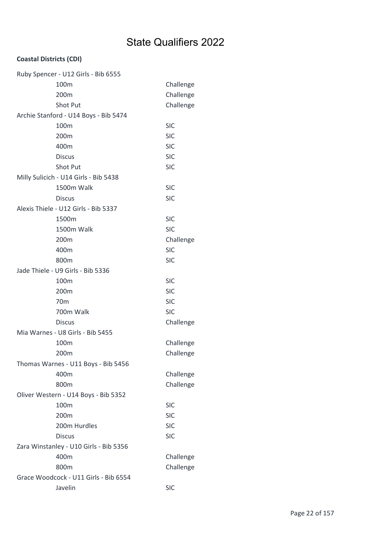| Ruby Spencer - U12 Girls - Bib 6555    |            |
|----------------------------------------|------------|
| 100m                                   | Challenge  |
| 200m                                   | Challenge  |
| Shot Put                               | Challenge  |
| Archie Stanford - U14 Boys - Bib 5474  |            |
| 100m                                   | <b>SIC</b> |
| 200m                                   | <b>SIC</b> |
| 400m                                   | <b>SIC</b> |
| <b>Discus</b>                          | <b>SIC</b> |
| Shot Put                               | <b>SIC</b> |
| Milly Sulicich - U14 Girls - Bib 5438  |            |
| 1500m Walk                             | <b>SIC</b> |
| <b>Discus</b>                          | <b>SIC</b> |
| Alexis Thiele - U12 Girls - Bib 5337   |            |
| 1500m                                  | <b>SIC</b> |
| 1500m Walk                             | <b>SIC</b> |
| 200m                                   | Challenge  |
| 400m                                   | <b>SIC</b> |
| 800m                                   | <b>SIC</b> |
| Jade Thiele - U9 Girls - Bib 5336      |            |
| 100m                                   | <b>SIC</b> |
| 200m                                   | <b>SIC</b> |
| 70 <sub>m</sub>                        | <b>SIC</b> |
| 700m Walk                              | <b>SIC</b> |
| <b>Discus</b>                          | Challenge  |
| Mia Warnes - U8 Girls - Bib 5455       |            |
| 100m                                   | Challenge  |
| 200m                                   | Challenge  |
| Thomas Warnes - U11 Boys - Bib 5456    |            |
| 400m                                   | Challenge  |
| 800m                                   | Challenge  |
| Oliver Western - U14 Boys - Bib 5352   |            |
| 100m                                   | <b>SIC</b> |
| 200m                                   | <b>SIC</b> |
| 200m Hurdles                           | <b>SIC</b> |
| <b>Discus</b>                          | <b>SIC</b> |
| Zara Winstanley - U10 Girls - Bib 5356 |            |
| 400m                                   | Challenge  |
| 800m                                   | Challenge  |
| Grace Woodcock - U11 Girls - Bib 6554  |            |
| Javelin                                | <b>SIC</b> |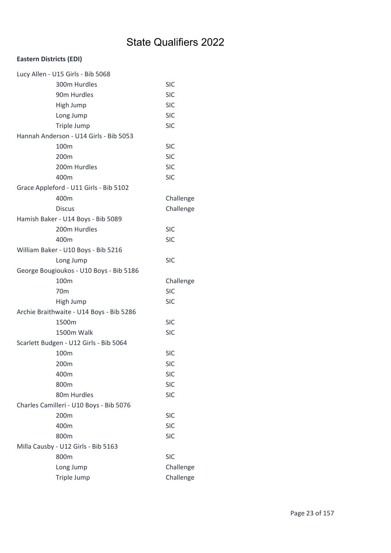| Lucy Allen - U15 Girls - Bib 5068        |            |
|------------------------------------------|------------|
| 300m Hurdles                             | <b>SIC</b> |
| 90m Hurdles                              | <b>SIC</b> |
| High Jump                                | <b>SIC</b> |
| Long Jump                                | <b>SIC</b> |
| Triple Jump                              | <b>SIC</b> |
| Hannah Anderson - U14 Girls - Bib 5053   |            |
| 100 <sub>m</sub>                         | <b>SIC</b> |
| 200m                                     | <b>SIC</b> |
| 200m Hurdles                             | <b>SIC</b> |
| 400m                                     | <b>SIC</b> |
| Grace Appleford - U11 Girls - Bib 5102   |            |
| 400m                                     | Challenge  |
| <b>Discus</b>                            | Challenge  |
| Hamish Baker - U14 Boys - Bib 5089       |            |
| 200m Hurdles                             | <b>SIC</b> |
| 400m                                     | <b>SIC</b> |
| William Baker - U10 Boys - Bib 5216      |            |
| Long Jump                                | <b>SIC</b> |
| George Bougioukos - U10 Boys - Bib 5186  |            |
| 100m                                     | Challenge  |
| 70 <sub>m</sub>                          | <b>SIC</b> |
| High Jump                                | <b>SIC</b> |
| Archie Braithwaite - U14 Boys - Bib 5286 |            |
| 1500m                                    | <b>SIC</b> |
| <b>1500m Walk</b>                        | <b>SIC</b> |
| Scarlett Budgen - U12 Girls - Bib 5064   |            |
| 100 <sub>m</sub>                         | <b>SIC</b> |
| 200m                                     | <b>SIC</b> |
| 400m                                     | <b>SIC</b> |
| 800m                                     | <b>SIC</b> |
| 80m Hurdles                              | <b>SIC</b> |
| Charles Camilleri - U10 Boys - Bib 5076  |            |
| 200m                                     | <b>SIC</b> |
| 400m                                     | <b>SIC</b> |
| 800m                                     | <b>SIC</b> |
| Milla Causby - U12 Girls - Bib 5163      |            |
| 800m                                     | <b>SIC</b> |
| Long Jump                                | Challenge  |
| Triple Jump                              | Challenge  |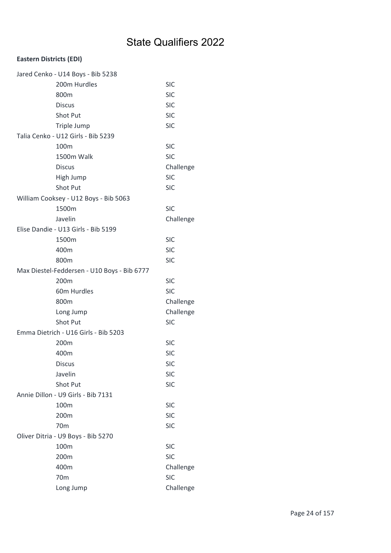| Jared Cenko - U14 Boys - Bib 5238 |                                             |            |  |
|-----------------------------------|---------------------------------------------|------------|--|
|                                   | 200m Hurdles                                | <b>SIC</b> |  |
|                                   | 800m                                        | <b>SIC</b> |  |
|                                   | <b>Discus</b>                               | <b>SIC</b> |  |
|                                   | Shot Put                                    | <b>SIC</b> |  |
|                                   | Triple Jump                                 | <b>SIC</b> |  |
|                                   | Talia Cenko - U12 Girls - Bib 5239          |            |  |
|                                   | 100 <sub>m</sub>                            | <b>SIC</b> |  |
|                                   | 1500m Walk                                  | <b>SIC</b> |  |
|                                   | <b>Discus</b>                               | Challenge  |  |
|                                   | High Jump                                   | <b>SIC</b> |  |
|                                   | Shot Put                                    | <b>SIC</b> |  |
|                                   | William Cooksey - U12 Boys - Bib 5063       |            |  |
|                                   | 1500m                                       | <b>SIC</b> |  |
|                                   | Javelin                                     | Challenge  |  |
|                                   | Elise Dandie - U13 Girls - Bib 5199         |            |  |
|                                   | 1500m                                       | <b>SIC</b> |  |
|                                   | 400m                                        | <b>SIC</b> |  |
|                                   | 800m                                        | <b>SIC</b> |  |
|                                   | Max Diestel-Feddersen - U10 Boys - Bib 6777 |            |  |
|                                   | 200m                                        | <b>SIC</b> |  |
|                                   | 60m Hurdles                                 | <b>SIC</b> |  |
|                                   | 800m                                        | Challenge  |  |
|                                   | Long Jump                                   | Challenge  |  |
|                                   | Shot Put                                    | <b>SIC</b> |  |
|                                   | Emma Dietrich - U16 Girls - Bib 5203        |            |  |
|                                   | 200m                                        | <b>SIC</b> |  |
|                                   | 400m                                        | <b>SIC</b> |  |
|                                   | <b>Discus</b>                               | <b>SIC</b> |  |
|                                   | Javelin                                     | <b>SIC</b> |  |
|                                   | Shot Put                                    | <b>SIC</b> |  |
|                                   | Annie Dillon - U9 Girls - Bib 7131          |            |  |
|                                   | 100m                                        | <b>SIC</b> |  |
|                                   | 200m                                        | <b>SIC</b> |  |
|                                   | 70 <sub>m</sub>                             | <b>SIC</b> |  |
|                                   | Oliver Ditria - U9 Boys - Bib 5270          |            |  |
|                                   | 100m                                        | <b>SIC</b> |  |
|                                   | 200m                                        | <b>SIC</b> |  |
|                                   | 400m                                        | Challenge  |  |
|                                   | 70 <sub>m</sub>                             | <b>SIC</b> |  |
|                                   | Long Jump                                   | Challenge  |  |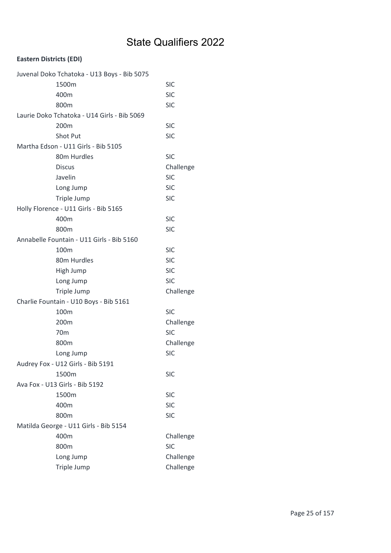| Juvenal Doko Tchatoka - U13 Boys - Bib 5075 |            |
|---------------------------------------------|------------|
| 1500m                                       | <b>SIC</b> |
| 400m                                        | <b>SIC</b> |
| 800m                                        | <b>SIC</b> |
| Laurie Doko Tchatoka - U14 Girls - Bib 5069 |            |
| 200m                                        | <b>SIC</b> |
| Shot Put                                    | <b>SIC</b> |
| Martha Edson - U11 Girls - Bib 5105         |            |
| 80m Hurdles                                 | <b>SIC</b> |
| <b>Discus</b>                               | Challenge  |
| Javelin                                     | <b>SIC</b> |
| Long Jump                                   | <b>SIC</b> |
| Triple Jump                                 | <b>SIC</b> |
| Holly Florence - U11 Girls - Bib 5165       |            |
| 400m                                        | <b>SIC</b> |
| 800m                                        | <b>SIC</b> |
| Annabelle Fountain - U11 Girls - Bib 5160   |            |
| 100m                                        | <b>SIC</b> |
| 80m Hurdles                                 | <b>SIC</b> |
| High Jump                                   | <b>SIC</b> |
| Long Jump                                   | <b>SIC</b> |
| Triple Jump                                 | Challenge  |
| Charlie Fountain - U10 Boys - Bib 5161      |            |
| 100m                                        | <b>SIC</b> |
| 200m                                        | Challenge  |
| 70 <sub>m</sub>                             | <b>SIC</b> |
| 800m                                        | Challenge  |
| Long Jump                                   | <b>SIC</b> |
| Audrey Fox - U12 Girls - Bib 5191           |            |
| 1500m                                       | <b>SIC</b> |
| Ava Fox - U13 Girls - Bib 5192              |            |
| 1500m                                       | <b>SIC</b> |
| 400m                                        | <b>SIC</b> |
| 800m                                        | <b>SIC</b> |
| Matilda George - U11 Girls - Bib 5154       |            |
| 400m                                        | Challenge  |
| 800m                                        | <b>SIC</b> |
| Long Jump                                   | Challenge  |
| Triple Jump                                 | Challenge  |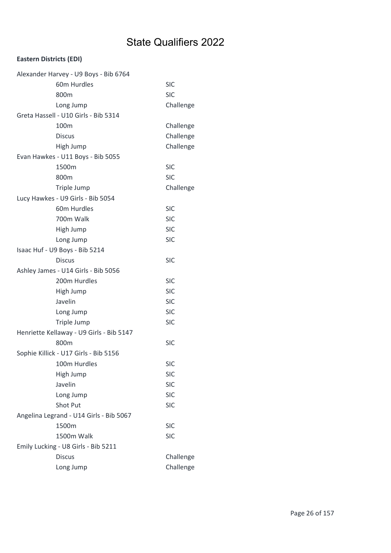| Alexander Harvey - U9 Boys - Bib 6764    |            |
|------------------------------------------|------------|
| 60m Hurdles                              | <b>SIC</b> |
| 800m                                     | <b>SIC</b> |
| Long Jump                                | Challenge  |
| Greta Hassell - U10 Girls - Bib 5314     |            |
| 100m                                     | Challenge  |
| <b>Discus</b>                            | Challenge  |
| High Jump                                | Challenge  |
| Evan Hawkes - U11 Boys - Bib 5055        |            |
| 1500m                                    | <b>SIC</b> |
| 800m                                     | <b>SIC</b> |
| Triple Jump                              | Challenge  |
| Lucy Hawkes - U9 Girls - Bib 5054        |            |
| 60m Hurdles                              | <b>SIC</b> |
| 700m Walk                                | <b>SIC</b> |
| High Jump                                | <b>SIC</b> |
| Long Jump                                | <b>SIC</b> |
| Isaac Huf - U9 Boys - Bib 5214           |            |
| <b>Discus</b>                            | <b>SIC</b> |
| Ashley James - U14 Girls - Bib 5056      |            |
| 200m Hurdles                             | <b>SIC</b> |
| High Jump                                | <b>SIC</b> |
| Javelin                                  | <b>SIC</b> |
| Long Jump                                | <b>SIC</b> |
| Triple Jump                              | <b>SIC</b> |
| Henriette Kellaway - U9 Girls - Bib 5147 |            |
| 800m                                     | <b>SIC</b> |
| Sophie Killick - U17 Girls - Bib 5156    |            |
| 100m Hurdles                             | <b>SIC</b> |
| High Jump                                | <b>SIC</b> |
| Javelin                                  | <b>SIC</b> |
| Long Jump                                | <b>SIC</b> |
| Shot Put                                 | <b>SIC</b> |
| Angelina Legrand - U14 Girls - Bib 5067  |            |
| 1500m                                    | <b>SIC</b> |
| 1500m Walk                               | <b>SIC</b> |
| Emily Lucking - U8 Girls - Bib 5211      |            |
| <b>Discus</b>                            | Challenge  |
| Long Jump                                | Challenge  |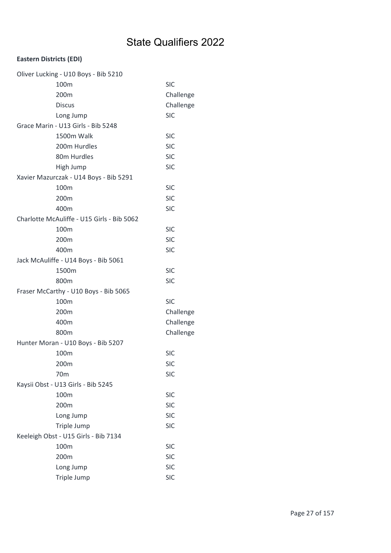| Oliver Lucking - U10 Boys - Bib 5210       |            |
|--------------------------------------------|------------|
| 100m                                       | <b>SIC</b> |
| 200m                                       | Challenge  |
| <b>Discus</b>                              | Challenge  |
| Long Jump                                  | <b>SIC</b> |
| Grace Marin - U13 Girls - Bib 5248         |            |
| 1500m Walk                                 | <b>SIC</b> |
| 200m Hurdles                               | <b>SIC</b> |
| 80m Hurdles                                | <b>SIC</b> |
| High Jump                                  | <b>SIC</b> |
| Xavier Mazurczak - U14 Boys - Bib 5291     |            |
| 100m                                       | <b>SIC</b> |
| 200m                                       | <b>SIC</b> |
| 400m                                       | <b>SIC</b> |
| Charlotte McAuliffe - U15 Girls - Bib 5062 |            |
| 100m                                       | <b>SIC</b> |
| 200m                                       | <b>SIC</b> |
| 400m                                       | <b>SIC</b> |
| Jack McAuliffe - U14 Boys - Bib 5061       |            |
| 1500m                                      | <b>SIC</b> |
| 800m                                       | <b>SIC</b> |
| Fraser McCarthy - U10 Boys - Bib 5065      |            |
| 100m                                       | <b>SIC</b> |
| 200m                                       | Challenge  |
| 400m                                       | Challenge  |
| 800m                                       | Challenge  |
| Hunter Moran - U10 Boys - Bib 5207         |            |
| 100m                                       | <b>SIC</b> |
| 200m                                       | <b>SIC</b> |
| 70 <sub>m</sub>                            | <b>SIC</b> |
| Kaysii Obst - U13 Girls - Bib 5245         |            |
| 100m                                       | <b>SIC</b> |
| 200m                                       | <b>SIC</b> |
| Long Jump                                  | <b>SIC</b> |
| Triple Jump                                | <b>SIC</b> |
| Keeleigh Obst - U15 Girls - Bib 7134       |            |
| 100m                                       | <b>SIC</b> |
| 200m                                       | <b>SIC</b> |
| Long Jump                                  | <b>SIC</b> |
| Triple Jump                                | <b>SIC</b> |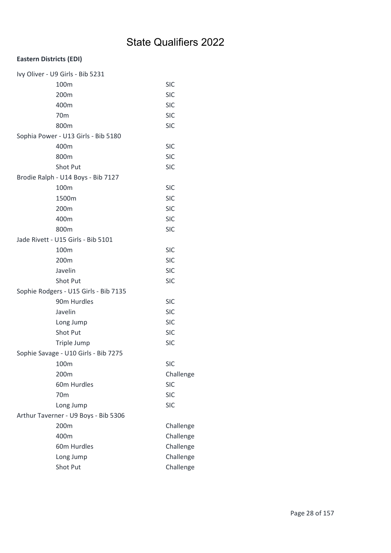| Ivy Oliver - U9 Girls - Bib 5231      |            |
|---------------------------------------|------------|
| 100m                                  | <b>SIC</b> |
| 200m                                  | <b>SIC</b> |
| 400m                                  | <b>SIC</b> |
| 70 <sub>m</sub>                       | <b>SIC</b> |
| 800 <sub>m</sub>                      | <b>SIC</b> |
| Sophia Power - U13 Girls - Bib 5180   |            |
| 400m                                  | <b>SIC</b> |
| 800m                                  | <b>SIC</b> |
| Shot Put                              | <b>SIC</b> |
| Brodie Ralph - U14 Boys - Bib 7127    |            |
| 100m                                  | <b>SIC</b> |
| 1500m                                 | <b>SIC</b> |
| 200m                                  | <b>SIC</b> |
| 400m                                  | <b>SIC</b> |
| 800m                                  | <b>SIC</b> |
| Jade Rivett - U15 Girls - Bib 5101    |            |
| 100m                                  | <b>SIC</b> |
| 200m                                  | <b>SIC</b> |
| Javelin                               | <b>SIC</b> |
| Shot Put                              | <b>SIC</b> |
| Sophie Rodgers - U15 Girls - Bib 7135 |            |
| 90m Hurdles                           | <b>SIC</b> |
| Javelin                               | <b>SIC</b> |
| Long Jump                             | <b>SIC</b> |
| Shot Put                              | <b>SIC</b> |
| Triple Jump                           | <b>SIC</b> |
| Sophie Savage - U10 Girls - Bib 7275  |            |
| 100m                                  | <b>SIC</b> |
| 200m                                  | Challenge  |
| 60m Hurdles                           | <b>SIC</b> |
| 70 <sub>m</sub>                       | <b>SIC</b> |
| Long Jump                             | <b>SIC</b> |
| Arthur Taverner - U9 Boys - Bib 5306  |            |
| 200m                                  | Challenge  |
| 400m                                  | Challenge  |
| 60m Hurdles                           | Challenge  |
| Long Jump                             | Challenge  |
| Shot Put                              | Challenge  |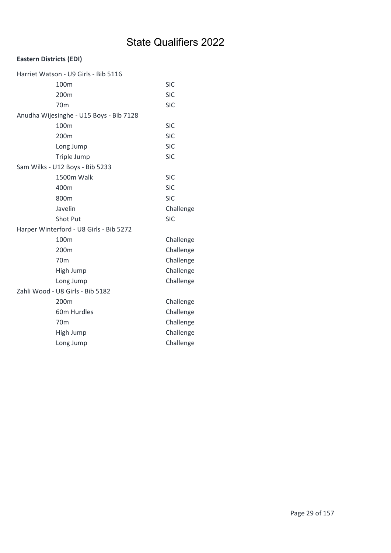| Harriet Watson - U9 Girls - Bib 5116    |            |
|-----------------------------------------|------------|
| 100m                                    | <b>SIC</b> |
| 200m                                    | <b>SIC</b> |
| 70 <sub>m</sub>                         | <b>SIC</b> |
| Anudha Wijesinghe - U15 Boys - Bib 7128 |            |
| 100 <sub>m</sub>                        | <b>SIC</b> |
| 200m                                    | <b>SIC</b> |
| Long Jump                               | <b>SIC</b> |
| Triple Jump                             | <b>SIC</b> |
| Sam Wilks - U12 Boys - Bib 5233         |            |
| 1500m Walk                              | <b>SIC</b> |
| 400m                                    | <b>SIC</b> |
| 800m                                    | <b>SIC</b> |
| Javelin                                 | Challenge  |
| <b>Shot Put</b>                         | <b>SIC</b> |
| Harper Winterford - U8 Girls - Bib 5272 |            |
| 100m                                    | Challenge  |
| 200 <sub>m</sub>                        | Challenge  |
| 70 <sub>m</sub>                         | Challenge  |
| High Jump                               | Challenge  |
| Long Jump                               | Challenge  |
| Zahli Wood - U8 Girls - Bib 5182        |            |
| 200 <sub>m</sub>                        | Challenge  |
| 60m Hurdles                             | Challenge  |
| 70 <sub>m</sub>                         | Challenge  |
| High Jump                               | Challenge  |
| Long Jump                               | Challenge  |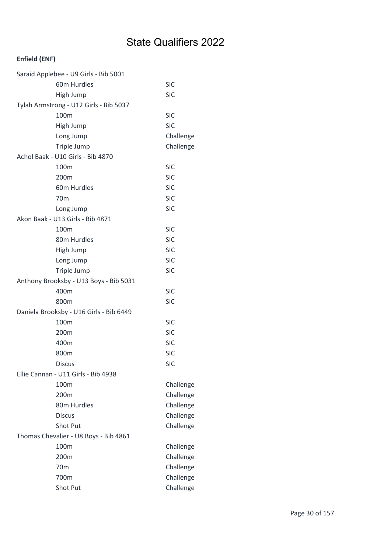| Saraid Applebee - U9 Girls - Bib 5001   |            |
|-----------------------------------------|------------|
| 60m Hurdles                             | <b>SIC</b> |
| High Jump                               | <b>SIC</b> |
| Tylah Armstrong - U12 Girls - Bib 5037  |            |
| 100m                                    | <b>SIC</b> |
| High Jump                               | <b>SIC</b> |
| Long Jump                               | Challenge  |
| Triple Jump                             | Challenge  |
| Achol Baak - U10 Girls - Bib 4870       |            |
| 100m                                    | <b>SIC</b> |
| 200m                                    | <b>SIC</b> |
| 60m Hurdles                             | <b>SIC</b> |
| 70 <sub>m</sub>                         | <b>SIC</b> |
| Long Jump                               | <b>SIC</b> |
| Akon Baak - U13 Girls - Bib 4871        |            |
| 100m                                    | <b>SIC</b> |
| 80m Hurdles                             | <b>SIC</b> |
| High Jump                               | <b>SIC</b> |
| Long Jump                               | <b>SIC</b> |
| Triple Jump                             | <b>SIC</b> |
| Anthony Brooksby - U13 Boys - Bib 5031  |            |
| 400m                                    | <b>SIC</b> |
| 800m                                    | <b>SIC</b> |
| Daniela Brooksby - U16 Girls - Bib 6449 |            |
| 100m                                    | <b>SIC</b> |
| 200m                                    | <b>SIC</b> |
| 400m                                    | <b>SIC</b> |
| 800m                                    | <b>SIC</b> |
| <b>Discus</b>                           | <b>SIC</b> |
| Ellie Cannan - U11 Girls - Bib 4938     |            |
| 100m                                    | Challenge  |
| 200m                                    | Challenge  |
| 80m Hurdles                             | Challenge  |
| <b>Discus</b>                           | Challenge  |
| Shot Put                                | Challenge  |
| Thomas Chevalier - U8 Boys - Bib 4861   |            |
| 100m                                    | Challenge  |
| 200m                                    | Challenge  |
| 70 <sub>m</sub>                         | Challenge  |
| 700m                                    | Challenge  |
| Shot Put                                | Challenge  |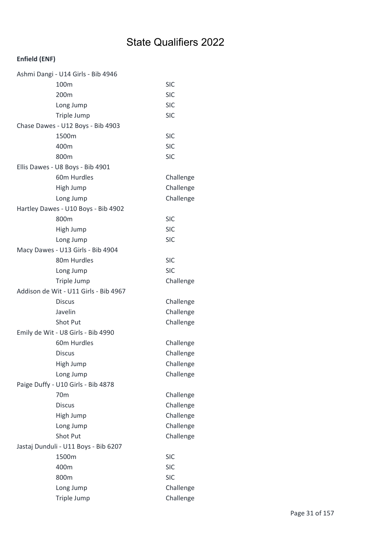| Ashmi Dangi - U14 Girls - Bib 4946    |            |
|---------------------------------------|------------|
| 100m                                  | <b>SIC</b> |
| 200m                                  | <b>SIC</b> |
| Long Jump                             | <b>SIC</b> |
| Triple Jump                           | <b>SIC</b> |
| Chase Dawes - U12 Boys - Bib 4903     |            |
| 1500m                                 | <b>SIC</b> |
| 400m                                  | <b>SIC</b> |
| 800m                                  | <b>SIC</b> |
| Ellis Dawes - U8 Boys - Bib 4901      |            |
| 60m Hurdles                           | Challenge  |
| High Jump                             | Challenge  |
| Long Jump                             | Challenge  |
| Hartley Dawes - U10 Boys - Bib 4902   |            |
| 800m                                  | <b>SIC</b> |
| High Jump                             | <b>SIC</b> |
| Long Jump                             | <b>SIC</b> |
| Macy Dawes - U13 Girls - Bib 4904     |            |
| 80m Hurdles                           | <b>SIC</b> |
| Long Jump                             | <b>SIC</b> |
| Triple Jump                           | Challenge  |
| Addison de Wit - U11 Girls - Bib 4967 |            |
| <b>Discus</b>                         | Challenge  |
| Javelin                               | Challenge  |
| Shot Put                              | Challenge  |
| Emily de Wit - U8 Girls - Bib 4990    |            |
| 60m Hurdles                           | Challenge  |
| <b>Discus</b>                         | Challenge  |
| High Jump                             | Challenge  |
| Long Jump                             | Challenge  |
| Paige Duffy - U10 Girls - Bib 4878    |            |
| 70 <sub>m</sub>                       | Challenge  |
| <b>Discus</b>                         | Challenge  |
| High Jump                             | Challenge  |
| Long Jump                             | Challenge  |
| <b>Shot Put</b>                       | Challenge  |
| Jastaj Dunduli - U11 Boys - Bib 6207  |            |
| 1500m                                 | <b>SIC</b> |
| 400m                                  | <b>SIC</b> |
| 800m                                  | <b>SIC</b> |
| Long Jump                             | Challenge  |
| Triple Jump                           | Challenge  |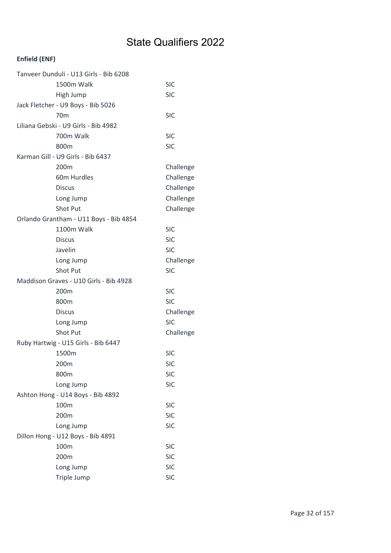| Tanveer Dunduli - U13 Girls - Bib 6208 |            |
|----------------------------------------|------------|
| 1500m Walk                             | <b>SIC</b> |
| High Jump                              | <b>SIC</b> |
| Jack Fletcher - U9 Boys - Bib 5026     |            |
| 70 <sub>m</sub>                        | <b>SIC</b> |
| Liliana Gebski - U9 Girls - Bib 4982   |            |
| 700m Walk                              | <b>SIC</b> |
| 800m                                   | <b>SIC</b> |
| Karman Gill - U9 Girls - Bib 6437      |            |
| 200m                                   | Challenge  |
| 60m Hurdles                            | Challenge  |
| <b>Discus</b>                          | Challenge  |
| Long Jump                              | Challenge  |
| <b>Shot Put</b>                        | Challenge  |
| Orlando Grantham - U11 Boys - Bib 4854 |            |
| 1100m Walk                             | <b>SIC</b> |
| <b>Discus</b>                          | <b>SIC</b> |
| Javelin                                | <b>SIC</b> |
| Long Jump                              | Challenge  |
| <b>Shot Put</b>                        | <b>SIC</b> |
| Maddison Graves - U10 Girls - Bib 4928 |            |
| 200 <sub>m</sub>                       | <b>SIC</b> |
| 800m                                   | <b>SIC</b> |
| <b>Discus</b>                          | Challenge  |
| Long Jump                              | <b>SIC</b> |
| <b>Shot Put</b>                        | Challenge  |
| Ruby Hartwig - U15 Girls - Bib 6447    |            |
| 1500m                                  | <b>SIC</b> |
| 200m                                   | <b>SIC</b> |
| 800m                                   | <b>SIC</b> |
| Long Jump                              | <b>SIC</b> |
| Ashton Hong - U14 Boys - Bib 4892      |            |
| 100m                                   | <b>SIC</b> |
| 200m                                   | <b>SIC</b> |
| Long Jump                              | <b>SIC</b> |
| Dillon Hong - U12 Boys - Bib 4891      |            |
| 100m                                   | <b>SIC</b> |
| 200m                                   | <b>SIC</b> |
| Long Jump                              | <b>SIC</b> |
| Triple Jump                            | <b>SIC</b> |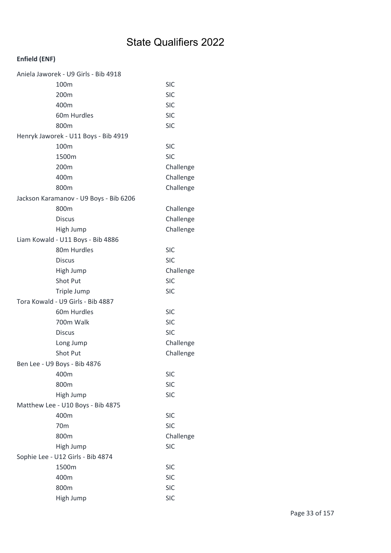| Aniela Jaworek - U9 Girls - Bib 4918 |                                        |            |
|--------------------------------------|----------------------------------------|------------|
|                                      | 100m                                   | <b>SIC</b> |
|                                      | 200m                                   | <b>SIC</b> |
|                                      | 400m                                   | <b>SIC</b> |
|                                      | 60m Hurdles                            | <b>SIC</b> |
|                                      | 800m                                   | <b>SIC</b> |
|                                      | Henryk Jaworek - U11 Boys - Bib 4919   |            |
|                                      | 100m                                   | <b>SIC</b> |
|                                      | 1500m                                  | <b>SIC</b> |
|                                      | 200m                                   | Challenge  |
|                                      | 400m                                   | Challenge  |
|                                      | 800m                                   | Challenge  |
|                                      | Jackson Karamanov - U9 Boys - Bib 6206 |            |
|                                      | 800m                                   | Challenge  |
|                                      | <b>Discus</b>                          | Challenge  |
|                                      | High Jump                              | Challenge  |
|                                      | Liam Kowald - U11 Boys - Bib 4886      |            |
|                                      | 80m Hurdles                            | <b>SIC</b> |
|                                      | <b>Discus</b>                          | <b>SIC</b> |
|                                      | High Jump                              | Challenge  |
|                                      | Shot Put                               | <b>SIC</b> |
|                                      | Triple Jump                            | <b>SIC</b> |
|                                      | Tora Kowald - U9 Girls - Bib 4887      |            |
|                                      | 60m Hurdles                            | <b>SIC</b> |
|                                      | 700m Walk                              | <b>SIC</b> |
|                                      | <b>Discus</b>                          | <b>SIC</b> |
|                                      | Long Jump                              | Challenge  |
|                                      | Shot Put                               | Challenge  |
|                                      | Ben Lee - U9 Boys - Bib 4876           |            |
|                                      | 400m                                   | <b>SIC</b> |
|                                      | 800m                                   | <b>SIC</b> |
|                                      | High Jump                              | <b>SIC</b> |
|                                      | Matthew Lee - U10 Boys - Bib 4875      |            |
|                                      | 400m                                   | <b>SIC</b> |
|                                      | 70 <sub>m</sub>                        | <b>SIC</b> |
|                                      | 800m                                   | Challenge  |
|                                      | High Jump                              | <b>SIC</b> |
| Sophie Lee - U12 Girls - Bib 4874    |                                        |            |
|                                      | 1500m                                  | <b>SIC</b> |
|                                      | 400m                                   | <b>SIC</b> |
|                                      | 800m                                   | <b>SIC</b> |
|                                      | High Jump                              | <b>SIC</b> |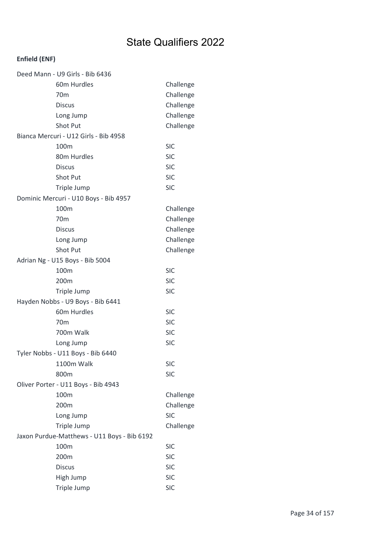| Deed Mann - U9 Girls - Bib 6436             |            |
|---------------------------------------------|------------|
| 60m Hurdles                                 | Challenge  |
| 70 <sub>m</sub>                             | Challenge  |
| <b>Discus</b>                               | Challenge  |
| Long Jump                                   | Challenge  |
| <b>Shot Put</b>                             | Challenge  |
| Bianca Mercuri - U12 Girls - Bib 4958       |            |
| 100 <sub>m</sub>                            | <b>SIC</b> |
| 80m Hurdles                                 | <b>SIC</b> |
| <b>Discus</b>                               | <b>SIC</b> |
| Shot Put                                    | <b>SIC</b> |
| Triple Jump                                 | <b>SIC</b> |
| Dominic Mercuri - U10 Boys - Bib 4957       |            |
| 100m                                        | Challenge  |
| 70 <sub>m</sub>                             | Challenge  |
| <b>Discus</b>                               | Challenge  |
| Long Jump                                   | Challenge  |
| <b>Shot Put</b>                             | Challenge  |
| Adrian Ng - U15 Boys - Bib 5004             |            |
| 100m                                        | <b>SIC</b> |
| 200 <sub>m</sub>                            | <b>SIC</b> |
| Triple Jump                                 | <b>SIC</b> |
| Hayden Nobbs - U9 Boys - Bib 6441           |            |
| 60m Hurdles                                 | <b>SIC</b> |
| 70 <sub>m</sub>                             | <b>SIC</b> |
| 700m Walk                                   | <b>SIC</b> |
| Long Jump                                   | <b>SIC</b> |
| Tyler Nobbs - U11 Boys - Bib 6440           |            |
| 1100m Walk                                  | <b>SIC</b> |
| 800m                                        | <b>SIC</b> |
| Oliver Porter - U11 Boys - Bib 4943         |            |
| 100m                                        | Challenge  |
| 200m                                        | Challenge  |
| Long Jump                                   | <b>SIC</b> |
| Triple Jump                                 | Challenge  |
| Jaxon Purdue-Matthews - U11 Boys - Bib 6192 |            |
| 100m                                        | <b>SIC</b> |
| 200m                                        | <b>SIC</b> |
| <b>Discus</b>                               | <b>SIC</b> |
| High Jump                                   | <b>SIC</b> |
| Triple Jump                                 | <b>SIC</b> |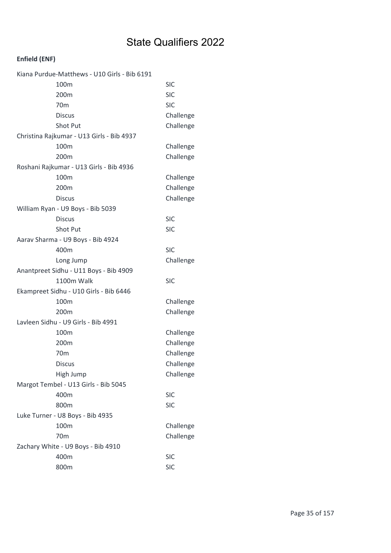| Kiana Purdue-Matthews - U10 Girls - Bib 6191 |            |
|----------------------------------------------|------------|
| 100m                                         | <b>SIC</b> |
| 200m                                         | <b>SIC</b> |
| 70 <sub>m</sub>                              | <b>SIC</b> |
| <b>Discus</b>                                | Challenge  |
| Shot Put                                     | Challenge  |
| Christina Rajkumar - U13 Girls - Bib 4937    |            |
| 100m                                         | Challenge  |
| 200m                                         | Challenge  |
| Roshani Rajkumar - U13 Girls - Bib 4936      |            |
| 100m                                         | Challenge  |
| 200m                                         | Challenge  |
| <b>Discus</b>                                | Challenge  |
| William Ryan - U9 Boys - Bib 5039            |            |
| <b>Discus</b>                                | <b>SIC</b> |
| Shot Put                                     | <b>SIC</b> |
| Aarav Sharma - U9 Boys - Bib 4924            |            |
| 400m                                         | <b>SIC</b> |
| Long Jump                                    | Challenge  |
| Anantpreet Sidhu - U11 Boys - Bib 4909       |            |
| 1100m Walk                                   | <b>SIC</b> |
| Ekampreet Sidhu - U10 Girls - Bib 6446       |            |
| 100m                                         | Challenge  |
| 200 <sub>m</sub>                             | Challenge  |
| Lavleen Sidhu - U9 Girls - Bib 4991          |            |
| 100m                                         | Challenge  |
| 200m                                         | Challenge  |
| 70 <sub>m</sub>                              | Challenge  |
| <b>Discus</b>                                | Challenge  |
| High Jump                                    | Challenge  |
| Margot Tembel - U13 Girls - Bib 5045         |            |
| 400m                                         | <b>SIC</b> |
| 800m                                         | <b>SIC</b> |
| Luke Turner - U8 Boys - Bib 4935             |            |
| 100m                                         | Challenge  |
| 70 <sub>m</sub>                              | Challenge  |
| Zachary White - U9 Boys - Bib 4910           |            |
| 400m                                         | <b>SIC</b> |
| 800m                                         | <b>SIC</b> |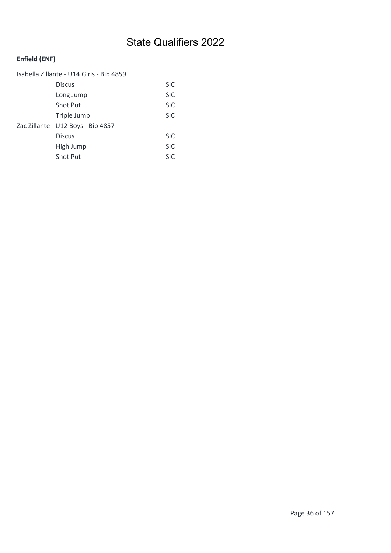| Isabella Zillante - U14 Girls - Bib 4859 |            |
|------------------------------------------|------------|
| <b>Discus</b>                            | <b>SIC</b> |
| Long Jump                                | <b>SIC</b> |
| <b>Shot Put</b>                          | <b>SIC</b> |
| Triple Jump                              | <b>SIC</b> |
| Zac Zillante - U12 Boys - Bib 4857       |            |
| <b>Discus</b>                            | <b>SIC</b> |
| High Jump                                | <b>SIC</b> |
| <b>Shot Put</b>                          | <b>SIC</b> |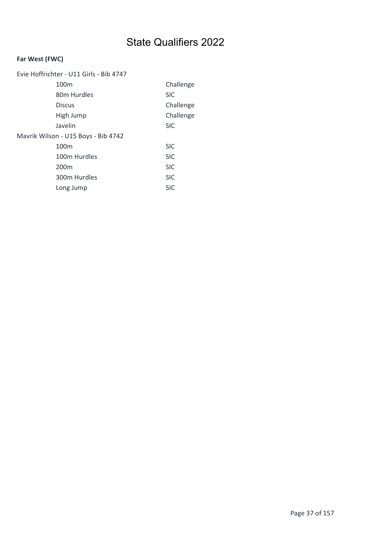### Far West (FWC)

| Evie Hoffrichter - U11 Girls - Bib 4747 |            |
|-----------------------------------------|------------|
| 100 <sub>m</sub>                        | Challenge  |
| 80 <sub>m</sub> Hurdles                 | <b>SIC</b> |
| <b>Discus</b>                           | Challenge  |
| High Jump                               | Challenge  |
| Javelin                                 | <b>SIC</b> |
| Mavrik Wilson - U15 Boys - Bib 4742     |            |
| 100 <sub>m</sub>                        | <b>SIC</b> |
| 100m Hurdles                            | <b>SIC</b> |
| 200 <sub>m</sub>                        | <b>SIC</b> |
| 300m Hurdles                            | <b>SIC</b> |
| Long Jump                               | <b>SIC</b> |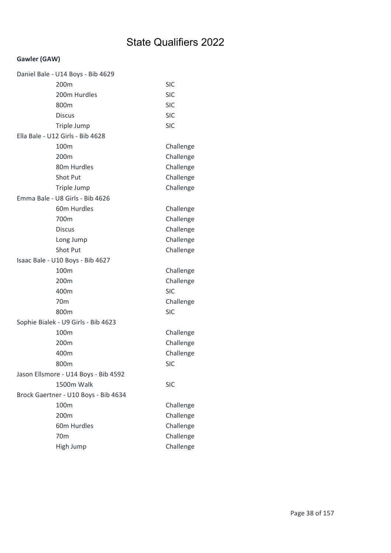### Gawler (GAW)

| Daniel Bale - U14 Boys - Bib 4629    |            |
|--------------------------------------|------------|
| 200m                                 | <b>SIC</b> |
| 200m Hurdles                         | <b>SIC</b> |
| 800m                                 | <b>SIC</b> |
| <b>Discus</b>                        | <b>SIC</b> |
| Triple Jump                          | <b>SIC</b> |
| Ella Bale - U12 Girls - Bib 4628     |            |
| 100 <sub>m</sub>                     | Challenge  |
| 200m                                 | Challenge  |
| 80m Hurdles                          | Challenge  |
| Shot Put                             | Challenge  |
| Triple Jump                          | Challenge  |
| Emma Bale - U8 Girls - Bib 4626      |            |
| 60m Hurdles                          | Challenge  |
| 700m                                 | Challenge  |
| <b>Discus</b>                        | Challenge  |
| Long Jump                            | Challenge  |
| <b>Shot Put</b>                      | Challenge  |
| Isaac Bale - U10 Boys - Bib 4627     |            |
| 100m                                 | Challenge  |
| 200m                                 | Challenge  |
| 400m                                 | <b>SIC</b> |
| 70 <sub>m</sub>                      | Challenge  |
| 800m                                 | <b>SIC</b> |
| Sophie Bialek - U9 Girls - Bib 4623  |            |
| 100m                                 | Challenge  |
| 200m                                 | Challenge  |
| 400m                                 | Challenge  |
| 800m                                 | <b>SIC</b> |
| Jason Ellsmore - U14 Boys - Bib 4592 |            |
| <b>1500m Walk</b>                    | <b>SIC</b> |
| Brock Gaertner - U10 Boys - Bib 4634 |            |
| 100m                                 | Challenge  |
| 200m                                 | Challenge  |
| 60m Hurdles                          | Challenge  |
| 70 <sub>m</sub>                      | Challenge  |
| High Jump                            | Challenge  |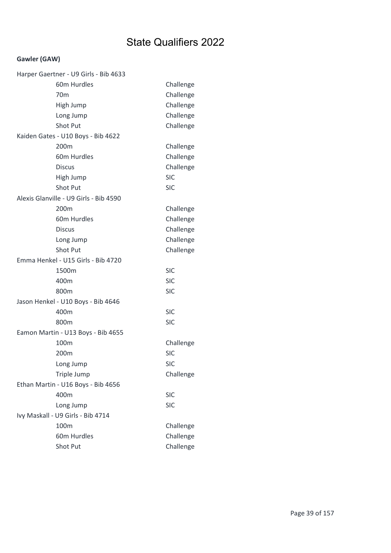### Gawler (GAW)

| Harper Gaertner - U9 Girls - Bib 4633  |            |
|----------------------------------------|------------|
| 60m Hurdles                            | Challenge  |
| 70m                                    | Challenge  |
| High Jump                              | Challenge  |
| Long Jump                              | Challenge  |
| <b>Shot Put</b>                        | Challenge  |
| Kaiden Gates - U10 Boys - Bib 4622     |            |
| 200m                                   | Challenge  |
| 60m Hurdles                            | Challenge  |
| <b>Discus</b>                          | Challenge  |
| High Jump                              | <b>SIC</b> |
| <b>Shot Put</b>                        | <b>SIC</b> |
| Alexis Glanville - U9 Girls - Bib 4590 |            |
| 200 <sub>m</sub>                       | Challenge  |
| 60m Hurdles                            | Challenge  |
| <b>Discus</b>                          | Challenge  |
| Long Jump                              | Challenge  |
| <b>Shot Put</b>                        | Challenge  |
| Emma Henkel - U15 Girls - Bib 4720     |            |
| 1500m                                  | <b>SIC</b> |
| 400m                                   | <b>SIC</b> |
| 800m                                   | <b>SIC</b> |
| Jason Henkel - U10 Boys - Bib 4646     |            |
| 400m                                   | <b>SIC</b> |
| 800m                                   | <b>SIC</b> |
| Eamon Martin - U13 Boys - Bib 4655     |            |
| 100m                                   |            |
|                                        | Challenge  |
| 200m                                   | <b>SIC</b> |
| Long Jump                              | <b>SIC</b> |
| Triple Jump                            | Challenge  |
| Ethan Martin - U16 Boys - Bib 4656     |            |
| 400m                                   | <b>SIC</b> |
| Long Jump                              | <b>SIC</b> |
| Ivy Maskall - U9 Girls - Bib 4714      |            |
| 100m                                   | Challenge  |
| 60m Hurdles                            | Challenge  |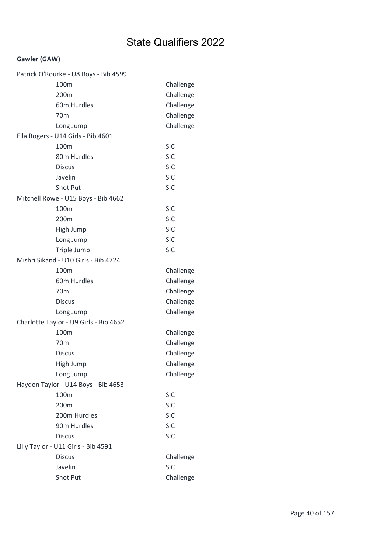### Gawler (GAW)

| Patrick O'Rourke - U8 Boys - Bib 4599  |            |
|----------------------------------------|------------|
| 100m                                   | Challenge  |
| 200m                                   | Challenge  |
| 60m Hurdles                            | Challenge  |
| 70 <sub>m</sub>                        | Challenge  |
| Long Jump                              | Challenge  |
| Ella Rogers - U14 Girls - Bib 4601     |            |
| 100m                                   | <b>SIC</b> |
| 80m Hurdles                            | <b>SIC</b> |
| <b>Discus</b>                          | <b>SIC</b> |
| Javelin                                | <b>SIC</b> |
| Shot Put                               | <b>SIC</b> |
| Mitchell Rowe - U15 Boys - Bib 4662    |            |
| 100m                                   | <b>SIC</b> |
| 200m                                   | <b>SIC</b> |
| High Jump                              | <b>SIC</b> |
| Long Jump                              | <b>SIC</b> |
| Triple Jump                            | <b>SIC</b> |
| Mishri Sikand - U10 Girls - Bib 4724   |            |
| 100m                                   | Challenge  |
| 60m Hurdles                            | Challenge  |
| 70 <sub>m</sub>                        | Challenge  |
| <b>Discus</b>                          | Challenge  |
| Long Jump                              | Challenge  |
| Charlotte Taylor - U9 Girls - Bib 4652 |            |
| 100m                                   | Challenge  |
| 70 <sub>m</sub>                        | Challenge  |
| <b>Discus</b>                          | Challenge  |
| High Jump                              | Challenge  |
| Long Jump                              | Challenge  |
| Haydon Taylor - U14 Boys - Bib 4653    |            |
| 100m                                   | <b>SIC</b> |
| 200m                                   | <b>SIC</b> |
| 200m Hurdles                           | <b>SIC</b> |
| 90m Hurdles                            | <b>SIC</b> |
| <b>Discus</b>                          | <b>SIC</b> |
| Lilly Taylor - U11 Girls - Bib 4591    |            |
| <b>Discus</b>                          | Challenge  |
| Javelin                                | <b>SIC</b> |
| Shot Put                               | Challenge  |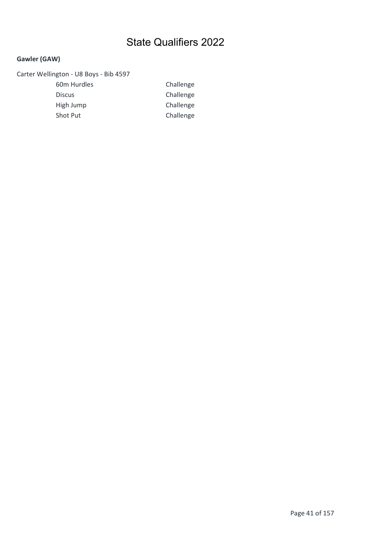### Gawler (GAW)

### Carter Wellington - U8 Boys - Bib 4597

60m Hurdles Challenge Discus Challenge High Jump Challenge Shot Put Challenge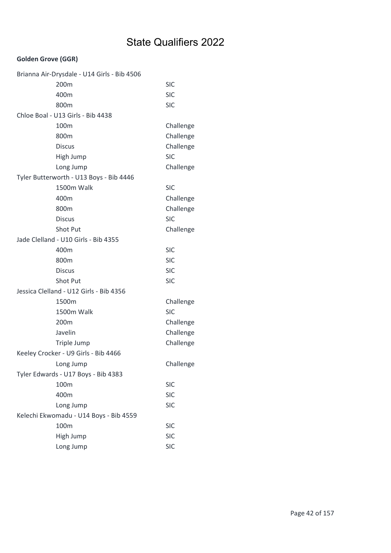| Brianna Air-Drysdale - U14 Girls - Bib 4506 |            |
|---------------------------------------------|------------|
| 200m                                        | <b>SIC</b> |
| 400m                                        | <b>SIC</b> |
| 800m                                        | <b>SIC</b> |
| Chloe Boal - U13 Girls - Bib 4438           |            |
| 100m                                        | Challenge  |
| 800m                                        | Challenge  |
| <b>Discus</b>                               | Challenge  |
| High Jump                                   | <b>SIC</b> |
| Long Jump                                   | Challenge  |
| Tyler Butterworth - U13 Boys - Bib 4446     |            |
| 1500m Walk                                  | <b>SIC</b> |
| 400m                                        | Challenge  |
| 800m                                        | Challenge  |
| <b>Discus</b>                               | <b>SIC</b> |
| <b>Shot Put</b>                             | Challenge  |
| Jade Clelland - U10 Girls - Bib 4355        |            |
| 400m                                        | <b>SIC</b> |
| 800m                                        | <b>SIC</b> |
| <b>Discus</b>                               | <b>SIC</b> |
| Shot Put                                    | <b>SIC</b> |
| Jessica Clelland - U12 Girls - Bib 4356     |            |
| 1500m                                       | Challenge  |
| 1500m Walk                                  | <b>SIC</b> |
| 200m                                        | Challenge  |
| Javelin                                     | Challenge  |
| Triple Jump                                 | Challenge  |
| Keeley Crocker - U9 Girls - Bib 4466        |            |
| Long Jump                                   | Challenge  |
| Tyler Edwards - U17 Boys - Bib 4383         |            |
| 100m                                        | <b>SIC</b> |
| 400m                                        | <b>SIC</b> |
| Long Jump                                   | <b>SIC</b> |
| Kelechi Ekwomadu - U14 Boys - Bib 4559      |            |
| 100m                                        | <b>SIC</b> |
| High Jump                                   | <b>SIC</b> |
| Long Jump                                   | <b>SIC</b> |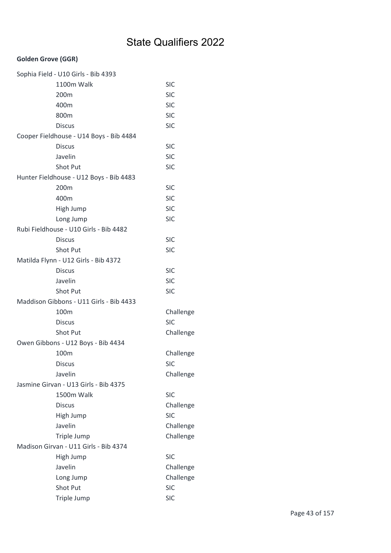| Sophia Field - U10 Girls - Bib 4393     |            |
|-----------------------------------------|------------|
| 1100m Walk                              | <b>SIC</b> |
| 200m                                    | <b>SIC</b> |
| 400m                                    | <b>SIC</b> |
| 800m                                    | <b>SIC</b> |
| <b>Discus</b>                           | <b>SIC</b> |
| Cooper Fieldhouse - U14 Boys - Bib 4484 |            |
| <b>Discus</b>                           | <b>SIC</b> |
| Javelin                                 | <b>SIC</b> |
| Shot Put                                | <b>SIC</b> |
| Hunter Fieldhouse - U12 Boys - Bib 4483 |            |
| 200m                                    | <b>SIC</b> |
| 400m                                    | <b>SIC</b> |
| High Jump                               | <b>SIC</b> |
| Long Jump                               | <b>SIC</b> |
| Rubi Fieldhouse - U10 Girls - Bib 4482  |            |
| <b>Discus</b>                           | <b>SIC</b> |
| Shot Put                                | <b>SIC</b> |
| Matilda Flynn - U12 Girls - Bib 4372    |            |
| <b>Discus</b>                           | <b>SIC</b> |
| Javelin                                 | <b>SIC</b> |
| Shot Put                                | <b>SIC</b> |
| Maddison Gibbons - U11 Girls - Bib 4433 |            |
| 100 <sub>m</sub>                        | Challenge  |
| <b>Discus</b>                           | <b>SIC</b> |
| Shot Put                                | Challenge  |
| Owen Gibbons - U12 Boys - Bib 4434      |            |
| 100m                                    | Challenge  |
| Discus                                  | <b>SIC</b> |
| Javelin                                 | Challenge  |
| Jasmine Girvan - U13 Girls - Bib 4375   |            |
| 1500m Walk                              | <b>SIC</b> |
| <b>Discus</b>                           | Challenge  |
| High Jump                               | <b>SIC</b> |
| Javelin                                 | Challenge  |
| Triple Jump                             | Challenge  |
| Madison Girvan - U11 Girls - Bib 4374   |            |
| High Jump                               | <b>SIC</b> |
| Javelin                                 | Challenge  |
| Long Jump                               | Challenge  |
| Shot Put                                | <b>SIC</b> |
| Triple Jump                             | <b>SIC</b> |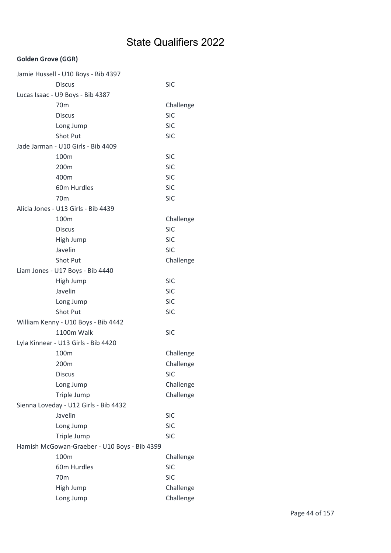| Jamie Hussell - U10 Boys - Bib 4397          |            |
|----------------------------------------------|------------|
| <b>Discus</b>                                | <b>SIC</b> |
| Lucas Isaac - U9 Boys - Bib 4387             |            |
| 70 <sub>m</sub>                              | Challenge  |
| <b>Discus</b>                                | <b>SIC</b> |
| Long Jump                                    | <b>SIC</b> |
| Shot Put                                     | <b>SIC</b> |
| Jade Jarman - U10 Girls - Bib 4409           |            |
| 100m                                         | <b>SIC</b> |
| 200m                                         | <b>SIC</b> |
| 400m                                         | <b>SIC</b> |
| 60m Hurdles                                  | <b>SIC</b> |
| 70 <sub>m</sub>                              | <b>SIC</b> |
| Alicia Jones - U13 Girls - Bib 4439          |            |
| 100m                                         | Challenge  |
| <b>Discus</b>                                | <b>SIC</b> |
| High Jump                                    | <b>SIC</b> |
| Javelin                                      | <b>SIC</b> |
| Shot Put                                     | Challenge  |
| Liam Jones - U17 Boys - Bib 4440             |            |
| High Jump                                    | <b>SIC</b> |
| Javelin                                      | <b>SIC</b> |
| Long Jump                                    | <b>SIC</b> |
| <b>Shot Put</b>                              | <b>SIC</b> |
| William Kenny - U10 Boys - Bib 4442          |            |
| 1100m Walk                                   | <b>SIC</b> |
| Lyla Kinnear - U13 Girls - Bib 4420          |            |
| 100m                                         | Challenge  |
| 200m                                         | Challenge  |
| <b>Discus</b>                                | <b>SIC</b> |
| Long Jump                                    | Challenge  |
| Triple Jump                                  | Challenge  |
| Sienna Loveday - U12 Girls - Bib 4432        |            |
| Javelin                                      | <b>SIC</b> |
| Long Jump                                    | <b>SIC</b> |
| Triple Jump                                  | <b>SIC</b> |
| Hamish McGowan-Graeber - U10 Boys - Bib 4399 |            |
| 100m                                         | Challenge  |
| 60m Hurdles                                  | <b>SIC</b> |
| 70 <sub>m</sub>                              | <b>SIC</b> |
| High Jump                                    | Challenge  |
| Long Jump                                    | Challenge  |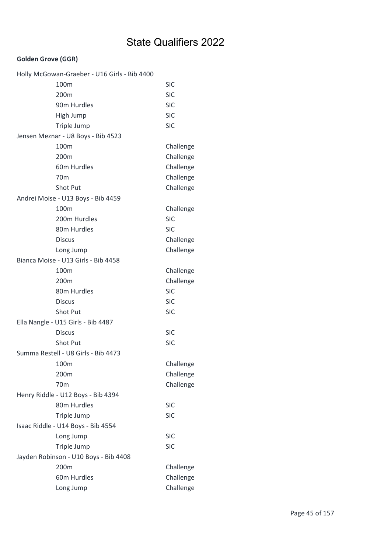| Holly McGowan-Graeber - U16 Girls - Bib 4400 |            |
|----------------------------------------------|------------|
| 100m                                         | <b>SIC</b> |
| 200m                                         | <b>SIC</b> |
| 90m Hurdles                                  | <b>SIC</b> |
| High Jump                                    | <b>SIC</b> |
| Triple Jump                                  | <b>SIC</b> |
| Jensen Meznar - U8 Boys - Bib 4523           |            |
| 100m                                         | Challenge  |
| 200m                                         | Challenge  |
| 60m Hurdles                                  | Challenge  |
| 70 <sub>m</sub>                              | Challenge  |
| Shot Put                                     | Challenge  |
| Andrei Moise - U13 Boys - Bib 4459           |            |
| 100m                                         | Challenge  |
| 200m Hurdles                                 | <b>SIC</b> |
| 80m Hurdles                                  | <b>SIC</b> |
| <b>Discus</b>                                | Challenge  |
| Long Jump                                    | Challenge  |
| Bianca Moise - U13 Girls - Bib 4458          |            |
| 100m                                         | Challenge  |
| 200 <sub>m</sub>                             | Challenge  |
| 80m Hurdles                                  | <b>SIC</b> |
| <b>Discus</b>                                | <b>SIC</b> |
| <b>Shot Put</b>                              | <b>SIC</b> |
| Ella Nangle - U15 Girls - Bib 4487           |            |
| <b>Discus</b>                                | <b>SIC</b> |
| <b>Shot Put</b>                              | <b>SIC</b> |
| Summa Restell - U8 Girls - Bib 4473          |            |
| 100m                                         | Challenge  |
| 200m                                         | Challenge  |
| 70 <sub>m</sub>                              | Challenge  |
| Henry Riddle - U12 Boys - Bib 4394           |            |
| 80m Hurdles                                  | <b>SIC</b> |
| Triple Jump                                  | <b>SIC</b> |
| Isaac Riddle - U14 Boys - Bib 4554           |            |
| Long Jump                                    | <b>SIC</b> |
| Triple Jump                                  | <b>SIC</b> |
| Jayden Robinson - U10 Boys - Bib 4408        |            |
| 200m                                         | Challenge  |
| 60m Hurdles                                  | Challenge  |
| Long Jump                                    | Challenge  |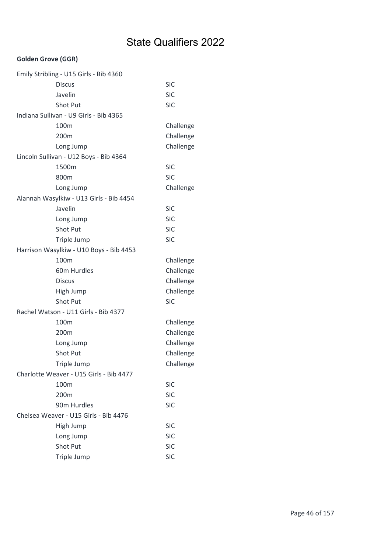| Emily Stribling - U15 Girls - Bib 4360  |            |
|-----------------------------------------|------------|
| <b>Discus</b>                           | <b>SIC</b> |
| Javelin                                 | <b>SIC</b> |
| Shot Put                                | <b>SIC</b> |
| Indiana Sullivan - U9 Girls - Bib 4365  |            |
| 100 <sub>m</sub>                        | Challenge  |
| 200m                                    | Challenge  |
| Long Jump                               | Challenge  |
| Lincoln Sullivan - U12 Boys - Bib 4364  |            |
| 1500m                                   | <b>SIC</b> |
| 800m                                    | <b>SIC</b> |
| Long Jump                               | Challenge  |
| Alannah Wasylkiw - U13 Girls - Bib 4454 |            |
| Javelin                                 | <b>SIC</b> |
| Long Jump                               | <b>SIC</b> |
| Shot Put                                | <b>SIC</b> |
| Triple Jump                             | <b>SIC</b> |
| Harrison Wasylkiw - U10 Boys - Bib 4453 |            |
| 100m                                    | Challenge  |
| 60m Hurdles                             | Challenge  |
| <b>Discus</b>                           | Challenge  |
| High Jump                               | Challenge  |
| Shot Put                                | <b>SIC</b> |
| Rachel Watson - U11 Girls - Bib 4377    |            |
| 100m                                    | Challenge  |
| 200m                                    | Challenge  |
| Long Jump                               | Challenge  |
| Shot Put                                | Challenge  |
| Triple Jump                             | Challenge  |
| Charlotte Weaver - U15 Girls - Bib 4477 |            |
| 100m                                    | <b>SIC</b> |
| 200m                                    | <b>SIC</b> |
| 90m Hurdles                             | <b>SIC</b> |
| Chelsea Weaver - U15 Girls - Bib 4476   |            |
| High Jump                               | <b>SIC</b> |
| Long Jump                               | <b>SIC</b> |
| Shot Put                                | <b>SIC</b> |
| Triple Jump                             | <b>SIC</b> |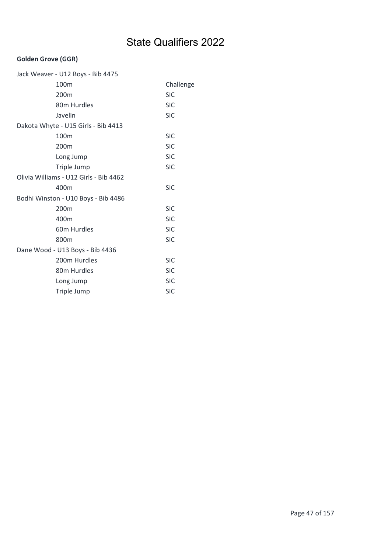| Jack Weaver - U12 Boys - Bib 4475      |            |
|----------------------------------------|------------|
| 100m                                   | Challenge  |
| 200m                                   | <b>SIC</b> |
| 80m Hurdles                            | <b>SIC</b> |
| Javelin                                | <b>SIC</b> |
| Dakota Whyte - U15 Girls - Bib 4413    |            |
| 100m                                   | <b>SIC</b> |
| 200m                                   | <b>SIC</b> |
| Long Jump                              | <b>SIC</b> |
| Triple Jump                            | <b>SIC</b> |
| Olivia Williams - U12 Girls - Bib 4462 |            |
| 400m                                   | <b>SIC</b> |
| Bodhi Winston - U10 Boys - Bib 4486    |            |
| 200m                                   | <b>SIC</b> |
| 400m                                   | <b>SIC</b> |
| 60m Hurdles                            | <b>SIC</b> |
| 800m                                   | <b>SIC</b> |
| Dane Wood - U13 Boys - Bib 4436        |            |
| 200m Hurdles                           | <b>SIC</b> |
| 80m Hurdles                            | <b>SIC</b> |
| Long Jump                              | <b>SIC</b> |
| Triple Jump                            | <b>SIC</b> |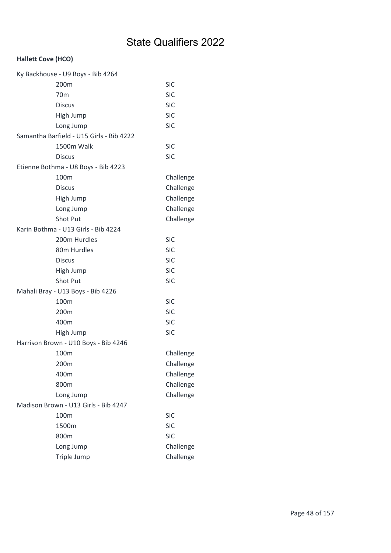| Ky Backhouse - U9 Boys - Bib 4264        |            |
|------------------------------------------|------------|
| 200m                                     | <b>SIC</b> |
| 70 <sub>m</sub>                          | <b>SIC</b> |
| <b>Discus</b>                            | <b>SIC</b> |
| High Jump                                | <b>SIC</b> |
| Long Jump                                | <b>SIC</b> |
| Samantha Barfield - U15 Girls - Bib 4222 |            |
| 1500m Walk                               | <b>SIC</b> |
| <b>Discus</b>                            | <b>SIC</b> |
| Etienne Bothma - U8 Boys - Bib 4223      |            |
| 100m                                     | Challenge  |
| <b>Discus</b>                            | Challenge  |
| High Jump                                | Challenge  |
| Long Jump                                | Challenge  |
| <b>Shot Put</b>                          | Challenge  |
| Karin Bothma - U13 Girls - Bib 4224      |            |
| 200m Hurdles                             | <b>SIC</b> |
| 80m Hurdles                              | <b>SIC</b> |
| <b>Discus</b>                            | <b>SIC</b> |
| High Jump                                | <b>SIC</b> |
| Shot Put                                 | <b>SIC</b> |
| Mahali Bray - U13 Boys - Bib 4226        |            |
| 100 <sub>m</sub>                         | <b>SIC</b> |
| 200m                                     | <b>SIC</b> |
| 400m                                     | <b>SIC</b> |
| High Jump                                | <b>SIC</b> |
| Harrison Brown - U10 Boys - Bib 4246     |            |
| 100m                                     | Challenge  |
| 200m                                     | Challenge  |
| 400m                                     | Challenge  |
| 800m                                     | Challenge  |
| Long Jump                                | Challenge  |
| Madison Brown - U13 Girls - Bib 4247     |            |
| 100m                                     | <b>SIC</b> |
| 1500m                                    | <b>SIC</b> |
| 800m                                     | <b>SIC</b> |
| Long Jump                                | Challenge  |
| Triple Jump                              | Challenge  |
|                                          |            |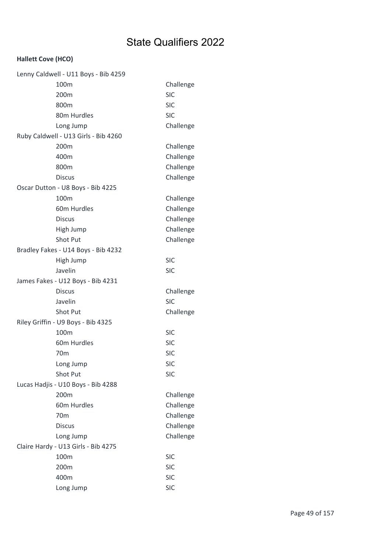| Lenny Caldwell - U11 Boys - Bib 4259 |            |
|--------------------------------------|------------|
| 100m                                 | Challenge  |
| 200m                                 | <b>SIC</b> |
| 800m                                 | <b>SIC</b> |
| 80m Hurdles                          | <b>SIC</b> |
| Long Jump                            | Challenge  |
| Ruby Caldwell - U13 Girls - Bib 4260 |            |
| 200m                                 | Challenge  |
| 400m                                 | Challenge  |
| 800m                                 | Challenge  |
| <b>Discus</b>                        | Challenge  |
| Oscar Dutton - U8 Boys - Bib 4225    |            |
| 100m                                 | Challenge  |
| 60m Hurdles                          | Challenge  |
| <b>Discus</b>                        | Challenge  |
| High Jump                            | Challenge  |
| <b>Shot Put</b>                      | Challenge  |
| Bradley Fakes - U14 Boys - Bib 4232  |            |
| High Jump                            | <b>SIC</b> |
| Javelin                              | <b>SIC</b> |
| James Fakes - U12 Boys - Bib 4231    |            |
| <b>Discus</b>                        | Challenge  |
| Javelin                              | <b>SIC</b> |
| Shot Put                             | Challenge  |
| Riley Griffin - U9 Boys - Bib 4325   |            |
| 100m                                 | <b>SIC</b> |
| 60m Hurdles                          | <b>SIC</b> |
| 70 <sub>m</sub>                      | <b>SIC</b> |
| Long Jump                            | <b>SIC</b> |
| Shot Put                             |            |
|                                      | <b>SIC</b> |
| Lucas Hadjis - U10 Boys - Bib 4288   |            |
| 200m                                 | Challenge  |
| 60m Hurdles                          | Challenge  |
| 70 <sub>m</sub>                      | Challenge  |
| <b>Discus</b>                        | Challenge  |
| Long Jump                            | Challenge  |
| Claire Hardy - U13 Girls - Bib 4275  |            |
| 100m                                 | <b>SIC</b> |
| 200m                                 | <b>SIC</b> |
| 400m                                 | <b>SIC</b> |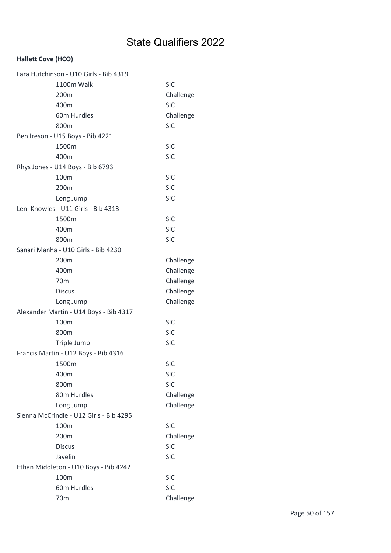| Lara Hutchinson - U10 Girls - Bib 4319  |            |
|-----------------------------------------|------------|
| 1100m Walk                              | <b>SIC</b> |
| 200 <sub>m</sub>                        | Challenge  |
| 400m                                    | <b>SIC</b> |
| 60m Hurdles                             | Challenge  |
| 800m                                    | <b>SIC</b> |
| Ben Ireson - U15 Boys - Bib 4221        |            |
| 1500m                                   | <b>SIC</b> |
| 400m                                    | <b>SIC</b> |
| Rhys Jones - U14 Boys - Bib 6793        |            |
| 100m                                    | <b>SIC</b> |
| 200m                                    | <b>SIC</b> |
| Long Jump                               | <b>SIC</b> |
| Leni Knowles - U11 Girls - Bib 4313     |            |
| 1500m                                   | <b>SIC</b> |
| 400m                                    | <b>SIC</b> |
| 800m                                    | <b>SIC</b> |
| Sanari Manha - U10 Girls - Bib 4230     |            |
| 200m                                    | Challenge  |
| 400m                                    | Challenge  |
| 70 <sub>m</sub>                         | Challenge  |
| <b>Discus</b>                           | Challenge  |
| Long Jump                               | Challenge  |
| Alexander Martin - U14 Boys - Bib 4317  |            |
| 100m                                    | <b>SIC</b> |
| 800m                                    | <b>SIC</b> |
| Triple Jump                             | <b>SIC</b> |
| Francis Martin - U12 Boys - Bib 4316    |            |
| 1500m                                   | <b>SIC</b> |
| 400m                                    | <b>SIC</b> |
| 800m                                    | <b>SIC</b> |
| 80m Hurdles                             | Challenge  |
| Long Jump                               | Challenge  |
| Sienna McCrindle - U12 Girls - Bib 4295 |            |
| 100m                                    | <b>SIC</b> |
| 200m                                    | Challenge  |
| <b>Discus</b>                           | <b>SIC</b> |
| Javelin                                 | <b>SIC</b> |
| Ethan Middleton - U10 Boys - Bib 4242   |            |
| 100m                                    | <b>SIC</b> |
| 60m Hurdles                             | <b>SIC</b> |
| 70 <sub>m</sub>                         | Challenge  |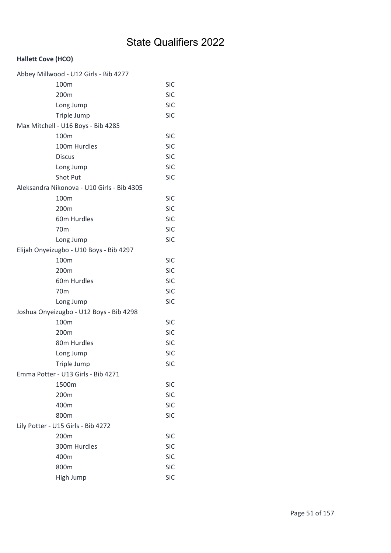| Abbey Millwood - U12 Girls - Bib 4277      |            |
|--------------------------------------------|------------|
| 100m                                       | <b>SIC</b> |
| 200m                                       | <b>SIC</b> |
| Long Jump                                  | <b>SIC</b> |
| Triple Jump                                | <b>SIC</b> |
| Max Mitchell - U16 Boys - Bib 4285         |            |
| 100m                                       | <b>SIC</b> |
| 100m Hurdles                               | <b>SIC</b> |
| <b>Discus</b>                              | <b>SIC</b> |
| Long Jump                                  | <b>SIC</b> |
| Shot Put                                   | <b>SIC</b> |
| Aleksandra Nikonova - U10 Girls - Bib 4305 |            |
| 100m                                       | <b>SIC</b> |
| 200m                                       | <b>SIC</b> |
| 60m Hurdles                                | <b>SIC</b> |
| 70 <sub>m</sub>                            | <b>SIC</b> |
| Long Jump                                  | <b>SIC</b> |
| Elijah Onyeizugbo - U10 Boys - Bib 4297    |            |
| 100m                                       | <b>SIC</b> |
| 200m                                       | <b>SIC</b> |
| 60m Hurdles                                | <b>SIC</b> |
| 70 <sub>m</sub>                            | <b>SIC</b> |
| Long Jump                                  | <b>SIC</b> |
| Joshua Onyeizugbo - U12 Boys - Bib 4298    |            |
| 100m                                       | <b>SIC</b> |
| 200m                                       | <b>SIC</b> |
| 80m Hurdles                                | <b>SIC</b> |
| Long Jump                                  | <b>SIC</b> |
| Triple Jump                                | <b>SIC</b> |
| Emma Potter - U13 Girls - Bib 4271         |            |
| 1500m                                      | <b>SIC</b> |
| 200m                                       | <b>SIC</b> |
| 400m                                       | <b>SIC</b> |
| 800m                                       | <b>SIC</b> |
| Lily Potter - U15 Girls - Bib 4272         |            |
| 200m                                       | <b>SIC</b> |
| 300m Hurdles                               | <b>SIC</b> |
| 400m                                       | <b>SIC</b> |
| 800m                                       | <b>SIC</b> |
| High Jump                                  | <b>SIC</b> |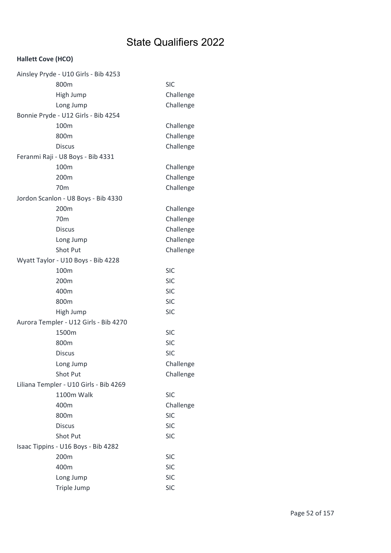| Ainsley Pryde - U10 Girls - Bib 4253   |            |
|----------------------------------------|------------|
| 800m                                   | <b>SIC</b> |
| High Jump                              | Challenge  |
| Long Jump                              | Challenge  |
| Bonnie Pryde - U12 Girls - Bib 4254    |            |
| 100m                                   | Challenge  |
| 800m                                   | Challenge  |
| <b>Discus</b>                          | Challenge  |
| Feranmi Raji - U8 Boys - Bib 4331      |            |
| 100m                                   | Challenge  |
| 200m                                   | Challenge  |
| 70 <sub>m</sub>                        | Challenge  |
| Jordon Scanlon - U8 Boys - Bib 4330    |            |
| 200m                                   | Challenge  |
| 70 <sub>m</sub>                        | Challenge  |
| <b>Discus</b>                          | Challenge  |
| Long Jump                              | Challenge  |
| <b>Shot Put</b>                        | Challenge  |
| Wyatt Taylor - U10 Boys - Bib 4228     |            |
| 100m                                   | <b>SIC</b> |
| 200m                                   | <b>SIC</b> |
| 400m                                   | <b>SIC</b> |
| 800m                                   | <b>SIC</b> |
| High Jump                              | <b>SIC</b> |
| Aurora Templer - U12 Girls - Bib 4270  |            |
| 1500m                                  | <b>SIC</b> |
| 800m                                   | <b>SIC</b> |
| <b>Discus</b>                          | <b>SIC</b> |
| Long Jump                              | Challenge  |
| Shot Put                               | Challenge  |
| Liliana Templer - U10 Girls - Bib 4269 |            |
| 1100m Walk                             | <b>SIC</b> |
| 400m                                   | Challenge  |
| 800m                                   | <b>SIC</b> |
| <b>Discus</b>                          | <b>SIC</b> |
| Shot Put                               | <b>SIC</b> |
| Isaac Tippins - U16 Boys - Bib 4282    |            |
| 200m                                   | <b>SIC</b> |
| 400m                                   | <b>SIC</b> |
| Long Jump                              | <b>SIC</b> |
| Triple Jump                            | <b>SIC</b> |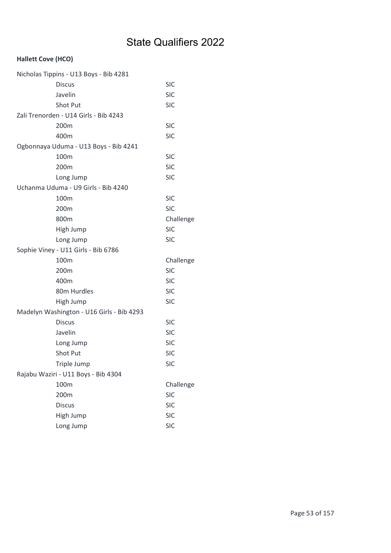| Nicholas Tippins - U13 Boys - Bib 4281    |            |
|-------------------------------------------|------------|
| <b>Discus</b>                             | <b>SIC</b> |
| Javelin                                   | <b>SIC</b> |
| Shot Put                                  | <b>SIC</b> |
| Zali Trenorden - U14 Girls - Bib 4243     |            |
| 200m                                      | <b>SIC</b> |
| 400m                                      | <b>SIC</b> |
| Ogbonnaya Uduma - U13 Boys - Bib 4241     |            |
| 100m                                      | <b>SIC</b> |
| 200m                                      | <b>SIC</b> |
| Long Jump                                 | <b>SIC</b> |
| Uchanma Uduma - U9 Girls - Bib 4240       |            |
| 100m                                      | <b>SIC</b> |
| 200m                                      | <b>SIC</b> |
| 800m                                      | Challenge  |
| High Jump                                 | <b>SIC</b> |
| Long Jump                                 | <b>SIC</b> |
| Sophie Viney - U11 Girls - Bib 6786       |            |
| 100m                                      | Challenge  |
| 200m                                      | <b>SIC</b> |
| 400m                                      | <b>SIC</b> |
| 80m Hurdles                               | <b>SIC</b> |
| High Jump                                 | <b>SIC</b> |
| Madelyn Washington - U16 Girls - Bib 4293 |            |
| <b>Discus</b>                             | <b>SIC</b> |
| Javelin                                   | <b>SIC</b> |
| Long Jump                                 | <b>SIC</b> |
| <b>Shot Put</b>                           | <b>SIC</b> |
| Triple Jump                               | <b>SIC</b> |
| Rajabu Waziri - U11 Boys - Bib 4304       |            |
| 100m                                      | Challenge  |
| 200m                                      | <b>SIC</b> |
| <b>Discus</b>                             | <b>SIC</b> |
| High Jump                                 | <b>SIC</b> |
| Long Jump                                 | <b>SIC</b> |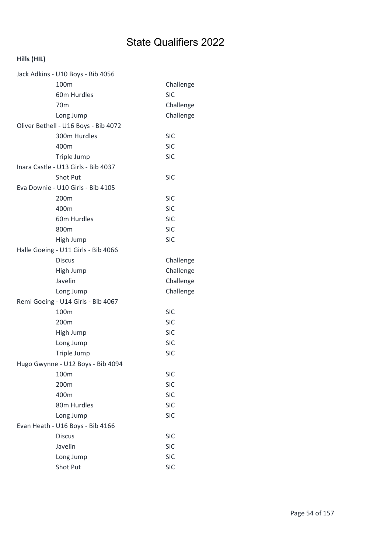| Jack Adkins - U10 Boys - Bib 4056    |            |
|--------------------------------------|------------|
| 100m                                 | Challenge  |
| 60m Hurdles                          | <b>SIC</b> |
| 70 <sub>m</sub>                      | Challenge  |
| Long Jump                            | Challenge  |
| Oliver Bethell - U16 Boys - Bib 4072 |            |
| 300m Hurdles                         | <b>SIC</b> |
| 400m                                 | <b>SIC</b> |
| Triple Jump                          | <b>SIC</b> |
| Inara Castle - U13 Girls - Bib 4037  |            |
| Shot Put                             | <b>SIC</b> |
| Eva Downie - U10 Girls - Bib 4105    |            |
| 200m                                 | <b>SIC</b> |
| 400m                                 | <b>SIC</b> |
| 60m Hurdles                          | <b>SIC</b> |
| 800m                                 | <b>SIC</b> |
| High Jump                            | <b>SIC</b> |
| Halle Goeing - U11 Girls - Bib 4066  |            |
| <b>Discus</b>                        | Challenge  |
| High Jump                            | Challenge  |
| Javelin                              | Challenge  |
| Long Jump                            | Challenge  |
| Remi Goeing - U14 Girls - Bib 4067   |            |
| 100m                                 | <b>SIC</b> |
| 200m                                 | <b>SIC</b> |
| High Jump                            | <b>SIC</b> |
| Long Jump                            | <b>SIC</b> |
| Triple Jump                          | <b>SIC</b> |
| Hugo Gwynne - U12 Boys - Bib 4094    |            |
| 100m                                 | <b>SIC</b> |
| 200m                                 | <b>SIC</b> |
| 400m                                 | <b>SIC</b> |
| 80m Hurdles                          | <b>SIC</b> |
| Long Jump                            | <b>SIC</b> |
| Evan Heath - U16 Boys - Bib 4166     |            |
| <b>Discus</b>                        | <b>SIC</b> |
| Javelin                              | <b>SIC</b> |
| Long Jump                            | <b>SIC</b> |
| Shot Put                             | <b>SIC</b> |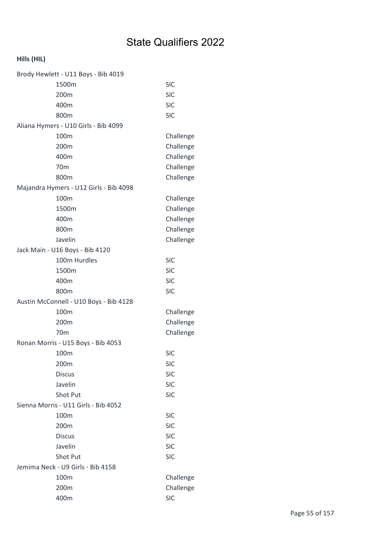| Brody Hewlett - U11 Boys - Bib 4019    |            |
|----------------------------------------|------------|
| 1500m                                  | <b>SIC</b> |
| 200m                                   | <b>SIC</b> |
| 400m                                   | <b>SIC</b> |
| 800m                                   | <b>SIC</b> |
| Aliana Hymers - U10 Girls - Bib 4099   |            |
| 100m                                   | Challenge  |
| 200m                                   | Challenge  |
| 400m                                   | Challenge  |
| 70 <sub>m</sub>                        | Challenge  |
| 800m                                   | Challenge  |
| Majandra Hymers - U12 Girls - Bib 4098 |            |
| 100m                                   | Challenge  |
| 1500m                                  | Challenge  |
| 400m                                   | Challenge  |
| 800m                                   | Challenge  |
| Javelin                                | Challenge  |
| Jack Main - U16 Boys - Bib 4120        |            |
| 100m Hurdles                           | <b>SIC</b> |
| 1500m                                  | <b>SIC</b> |
| 400m                                   | <b>SIC</b> |
| 800m                                   | <b>SIC</b> |
| Austin McConnell - U10 Boys - Bib 4128 |            |
| 100m                                   | Challenge  |
| 200m                                   | Challenge  |
| 70 <sub>m</sub>                        | Challenge  |
| Ronan Morris - U15 Boys - Bib 4053     |            |
| 100m                                   | <b>SIC</b> |
| 200m                                   | <b>SIC</b> |
| <b>Discus</b>                          | <b>SIC</b> |
| Javelin                                | <b>SIC</b> |
| Shot Put                               | <b>SIC</b> |
| Sienna Morris - U11 Girls - Bib 4052   |            |
| 100m                                   | <b>SIC</b> |
| 200m                                   | <b>SIC</b> |
| <b>Discus</b>                          | <b>SIC</b> |
| Javelin                                | <b>SIC</b> |
| Shot Put                               | <b>SIC</b> |
| Jemima Neck - U9 Girls - Bib 4158      |            |
| 100m                                   | Challenge  |
| 200m                                   | Challenge  |
| 400m                                   | <b>SIC</b> |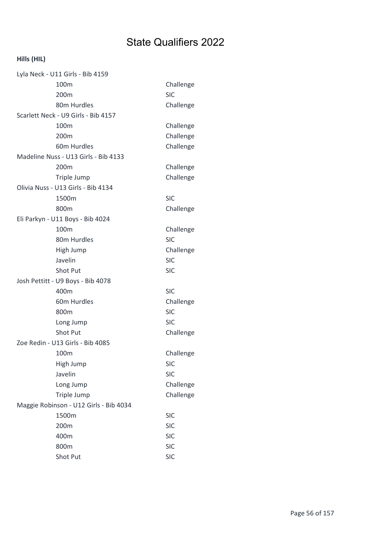| Lyla Neck - U11 Girls - Bib 4159    |                                        |            |  |
|-------------------------------------|----------------------------------------|------------|--|
|                                     | 100m                                   | Challenge  |  |
|                                     | 200m                                   | <b>SIC</b> |  |
|                                     | 80m Hurdles                            | Challenge  |  |
| Scarlett Neck - U9 Girls - Bib 4157 |                                        |            |  |
|                                     | 100m                                   | Challenge  |  |
|                                     | 200m                                   | Challenge  |  |
|                                     | 60m Hurdles                            | Challenge  |  |
|                                     | Madeline Nuss - U13 Girls - Bib 4133   |            |  |
|                                     | 200 <sub>m</sub>                       | Challenge  |  |
|                                     | Triple Jump                            | Challenge  |  |
|                                     | Olivia Nuss - U13 Girls - Bib 4134     |            |  |
|                                     | 1500m                                  | <b>SIC</b> |  |
|                                     | 800m                                   | Challenge  |  |
|                                     | Eli Parkyn - U11 Boys - Bib 4024       |            |  |
|                                     | 100m                                   | Challenge  |  |
|                                     | 80m Hurdles                            | <b>SIC</b> |  |
|                                     | High Jump                              | Challenge  |  |
|                                     | Javelin                                | <b>SIC</b> |  |
|                                     | <b>Shot Put</b>                        | <b>SIC</b> |  |
|                                     | Josh Pettitt - U9 Boys - Bib 4078      |            |  |
|                                     | 400m                                   | <b>SIC</b> |  |
|                                     | 60m Hurdles                            | Challenge  |  |
|                                     | 800m                                   | <b>SIC</b> |  |
|                                     | Long Jump                              | <b>SIC</b> |  |
|                                     | <b>Shot Put</b>                        | Challenge  |  |
|                                     | Zoe Redin - U13 Girls - Bib 4085       |            |  |
|                                     | 100m                                   | Challenge  |  |
|                                     | High Jump                              | <b>SIC</b> |  |
|                                     | Javelin                                | <b>SIC</b> |  |
|                                     | Long Jump                              | Challenge  |  |
|                                     | Triple Jump                            | Challenge  |  |
|                                     | Maggie Robinson - U12 Girls - Bib 4034 |            |  |
|                                     | 1500m                                  | <b>SIC</b> |  |
|                                     | 200m                                   | <b>SIC</b> |  |
|                                     | 400m                                   | <b>SIC</b> |  |
|                                     | 800m                                   | <b>SIC</b> |  |
|                                     | Shot Put                               | <b>SIC</b> |  |
|                                     |                                        |            |  |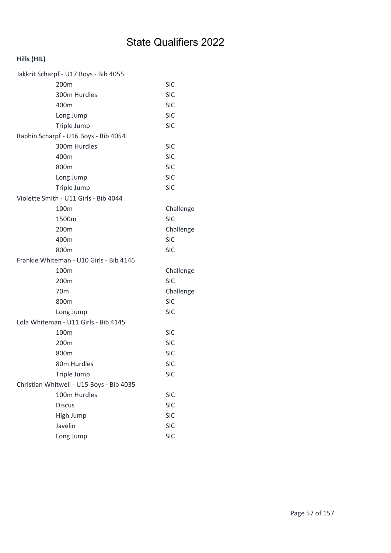| Jakkrit Scharpf - U17 Boys - Bib 4055    |            |
|------------------------------------------|------------|
| 200m                                     | <b>SIC</b> |
| 300m Hurdles                             | <b>SIC</b> |
| 400m                                     | <b>SIC</b> |
| Long Jump                                | <b>SIC</b> |
| Triple Jump                              | <b>SIC</b> |
| Raphin Scharpf - U16 Boys - Bib 4054     |            |
| 300m Hurdles                             | <b>SIC</b> |
| 400m                                     | <b>SIC</b> |
| 800m                                     | <b>SIC</b> |
| Long Jump                                | <b>SIC</b> |
| Triple Jump                              | <b>SIC</b> |
| Violette Smith - U11 Girls - Bib 4044    |            |
| 100 <sub>m</sub>                         | Challenge  |
| 1500m                                    | <b>SIC</b> |
| 200m                                     | Challenge  |
| 400m                                     | <b>SIC</b> |
| 800m                                     | <b>SIC</b> |
| Frankie Whiteman - U10 Girls - Bib 4146  |            |
| 100m                                     | Challenge  |
| 200m                                     | <b>SIC</b> |
| 70 <sub>m</sub>                          | Challenge  |
| 800m                                     | <b>SIC</b> |
| Long Jump                                | <b>SIC</b> |
| Lola Whiteman - U11 Girls - Bib 4145     |            |
| 100m                                     | <b>SIC</b> |
| 200 <sub>m</sub>                         | <b>SIC</b> |
| 800m                                     | <b>SIC</b> |
| 80m Hurdles                              | <b>SIC</b> |
| Triple Jump                              | <b>SIC</b> |
| Christian Whitwell - U15 Boys - Bib 4035 |            |
| 100m Hurdles                             | <b>SIC</b> |
| <b>Discus</b>                            | <b>SIC</b> |
| High Jump                                | <b>SIC</b> |
| Javelin                                  | <b>SIC</b> |
| Long Jump                                | <b>SIC</b> |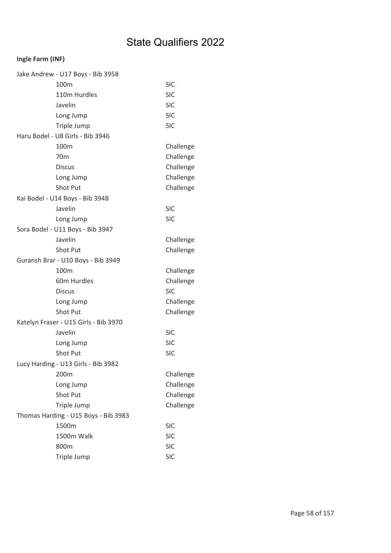## Ingle Farm (INF)

| Jake Andrew - U17 Boys - Bib 3958     |            |
|---------------------------------------|------------|
| 100m                                  | <b>SIC</b> |
| 110m Hurdles                          | <b>SIC</b> |
| Javelin                               | <b>SIC</b> |
| Long Jump                             | <b>SIC</b> |
| Triple Jump                           | <b>SIC</b> |
| Haru Bodel - U8 Girls - Bib 3946      |            |
| 100 <sub>m</sub>                      | Challenge  |
| 70 <sub>m</sub>                       | Challenge  |
| <b>Discus</b>                         | Challenge  |
| Long Jump                             | Challenge  |
| <b>Shot Put</b>                       | Challenge  |
| Kai Bodel - U14 Boys - Bib 3948       |            |
| Javelin                               | <b>SIC</b> |
| Long Jump                             | <b>SIC</b> |
| Sora Bodel - U11 Boys - Bib 3947      |            |
| Javelin                               | Challenge  |
| Shot Put                              | Challenge  |
| Guransh Brar - U10 Boys - Bib 3949    |            |
| 100m                                  | Challenge  |
| 60m Hurdles                           | Challenge  |
| <b>Discus</b>                         | <b>SIC</b> |
| Long Jump                             | Challenge  |
| <b>Shot Put</b>                       | Challenge  |
| Katelyn Fraser - U15 Girls - Bib 3970 |            |
| Javelin                               | <b>SIC</b> |
| Long Jump                             | <b>SIC</b> |
| <b>Shot Put</b>                       | <b>SIC</b> |
| Lucy Harding - U13 Girls - Bib 3982   |            |
| 200m                                  | Challenge  |
| Long Jump                             | Challenge  |
| <b>Shot Put</b>                       | Challenge  |
| Triple Jump                           | Challenge  |
| Thomas Harding - U15 Boys - Bib 3983  |            |
| 1500m                                 | <b>SIC</b> |
| 1500m Walk                            | <b>SIC</b> |
| 800m                                  | <b>SIC</b> |
| Triple Jump                           | <b>SIC</b> |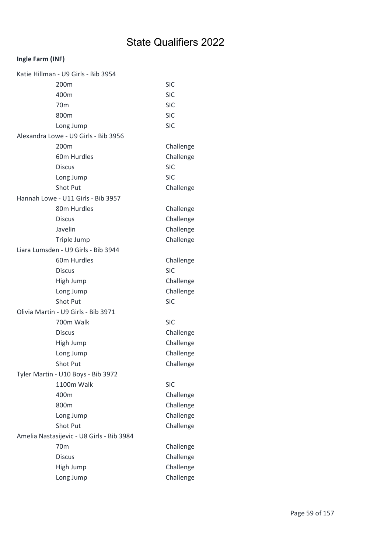## Ingle Farm (INF)

| Katie Hillman - U9 Girls - Bib 3954       |            |
|-------------------------------------------|------------|
| 200m                                      | <b>SIC</b> |
| 400m                                      | <b>SIC</b> |
| 70 <sub>m</sub>                           | <b>SIC</b> |
| 800m                                      | <b>SIC</b> |
| Long Jump                                 | <b>SIC</b> |
| Alexandra Lowe - U9 Girls - Bib 3956      |            |
| 200m                                      | Challenge  |
| 60m Hurdles                               | Challenge  |
| <b>Discus</b>                             | <b>SIC</b> |
| Long Jump                                 | <b>SIC</b> |
| <b>Shot Put</b>                           | Challenge  |
| Hannah Lowe - U11 Girls - Bib 3957        |            |
| 80m Hurdles                               | Challenge  |
| <b>Discus</b>                             | Challenge  |
| Javelin                                   | Challenge  |
| Triple Jump                               | Challenge  |
| Liara Lumsden - U9 Girls - Bib 3944       |            |
| 60m Hurdles                               | Challenge  |
| <b>Discus</b>                             | <b>SIC</b> |
| High Jump                                 | Challenge  |
| Long Jump                                 | Challenge  |
| Shot Put                                  | <b>SIC</b> |
| Olivia Martin - U9 Girls - Bib 3971       |            |
| 700m Walk                                 | <b>SIC</b> |
| <b>Discus</b>                             | Challenge  |
| High Jump                                 | Challenge  |
| Long Jump                                 | Challenge  |
| Shot Put                                  | Challenge  |
| Tyler Martin - U10 Boys - Bib 3972        |            |
| 1100m Walk                                | <b>SIC</b> |
| 400m                                      | Challenge  |
| 800m                                      | Challenge  |
| Long Jump                                 | Challenge  |
| Shot Put                                  | Challenge  |
| Amelia Nastasijevic - U8 Girls - Bib 3984 |            |
| 70 <sub>m</sub>                           | Challenge  |
| <b>Discus</b>                             | Challenge  |
| High Jump                                 | Challenge  |
| Long Jump                                 | Challenge  |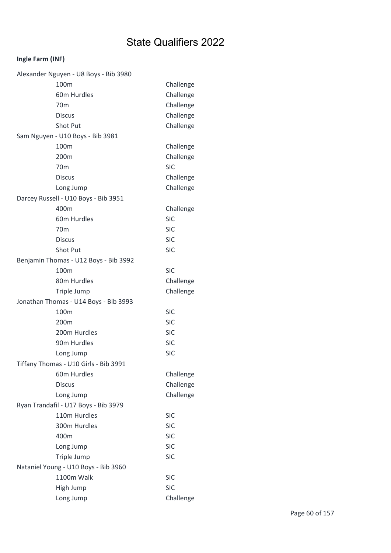## Ingle Farm (INF)

| Alexander Nguyen - U8 Boys - Bib 3980 |            |
|---------------------------------------|------------|
| 100m                                  | Challenge  |
| 60m Hurdles                           | Challenge  |
| 70 <sub>m</sub>                       | Challenge  |
| <b>Discus</b>                         | Challenge  |
| Shot Put                              | Challenge  |
| Sam Nguyen - U10 Boys - Bib 3981      |            |
| 100m                                  | Challenge  |
| 200m                                  | Challenge  |
| 70 <sub>m</sub>                       | <b>SIC</b> |
| <b>Discus</b>                         | Challenge  |
| Long Jump                             | Challenge  |
| Darcey Russell - U10 Boys - Bib 3951  |            |
| 400m                                  | Challenge  |
| 60m Hurdles                           | <b>SIC</b> |
| 70 <sub>m</sub>                       | <b>SIC</b> |
| <b>Discus</b>                         | <b>SIC</b> |
| Shot Put                              | <b>SIC</b> |
| Benjamin Thomas - U12 Boys - Bib 3992 |            |
| 100m                                  | <b>SIC</b> |
| 80m Hurdles                           | Challenge  |
|                                       |            |
| Triple Jump                           | Challenge  |
| Jonathan Thomas - U14 Boys - Bib 3993 |            |
| 100m                                  | <b>SIC</b> |
| 200m                                  | <b>SIC</b> |
| 200m Hurdles                          | <b>SIC</b> |
| 90m Hurdles                           | <b>SIC</b> |
| Long Jump                             | <b>SIC</b> |
| Tiffany Thomas - U10 Girls - Bib 3991 |            |
| 60m Hurdles                           | Challenge  |
| <b>Discus</b>                         | Challenge  |
| Long Jump                             | Challenge  |
| Ryan Trandafil - U17 Boys - Bib 3979  |            |
| 110m Hurdles                          | <b>SIC</b> |
| 300m Hurdles                          | <b>SIC</b> |
| 400m                                  | <b>SIC</b> |
| Long Jump                             | <b>SIC</b> |
| Triple Jump                           | <b>SIC</b> |
| Nataniel Young - U10 Boys - Bib 3960  |            |
| 1100m Walk                            | <b>SIC</b> |
| High Jump                             | <b>SIC</b> |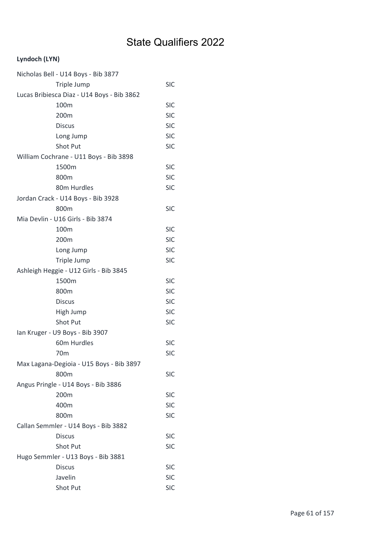### Lyndoch (LYN)

| Nicholas Bell - U14 Boys - Bib 3877        |            |
|--------------------------------------------|------------|
| Triple Jump                                | <b>SIC</b> |
| Lucas Bribiesca Diaz - U14 Boys - Bib 3862 |            |
| 100m                                       | <b>SIC</b> |
| 200m                                       | <b>SIC</b> |
| <b>Discus</b>                              | <b>SIC</b> |
| Long Jump                                  | <b>SIC</b> |
| <b>Shot Put</b>                            | <b>SIC</b> |
| William Cochrane - U11 Boys - Bib 3898     |            |
| 1500m                                      | <b>SIC</b> |
| 800m                                       | <b>SIC</b> |
| 80m Hurdles                                | <b>SIC</b> |
| Jordan Crack - U14 Boys - Bib 3928         |            |
| 800m                                       | <b>SIC</b> |
| Mia Devlin - U16 Girls - Bib 3874          |            |
| 100m                                       | <b>SIC</b> |
| 200m                                       | <b>SIC</b> |
| Long Jump                                  | <b>SIC</b> |
| Triple Jump                                | <b>SIC</b> |
| Ashleigh Heggie - U12 Girls - Bib 3845     |            |
| 1500m                                      | <b>SIC</b> |
| 800m                                       | <b>SIC</b> |
| <b>Discus</b>                              | <b>SIC</b> |
| High Jump                                  | <b>SIC</b> |
| Shot Put                                   | <b>SIC</b> |
| Ian Kruger - U9 Boys - Bib 3907            |            |
| 60m Hurdles                                | <b>SIC</b> |
| 70 <sub>m</sub>                            | <b>SIC</b> |
| Max Lagana-Degioia - U15 Boys - Bib 3897   |            |
| 800m                                       | <b>SIC</b> |
| Angus Pringle - U14 Boys - Bib 3886        |            |
| 200m                                       | <b>SIC</b> |
| 400m                                       | <b>SIC</b> |
| 800m                                       | <b>SIC</b> |
| Callan Semmler - U14 Boys - Bib 3882       |            |
| <b>Discus</b>                              | <b>SIC</b> |
| Shot Put                                   | <b>SIC</b> |
| Hugo Semmler - U13 Boys - Bib 3881         |            |
| <b>Discus</b>                              | <b>SIC</b> |
| Javelin                                    | <b>SIC</b> |
| Shot Put                                   | <b>SIC</b> |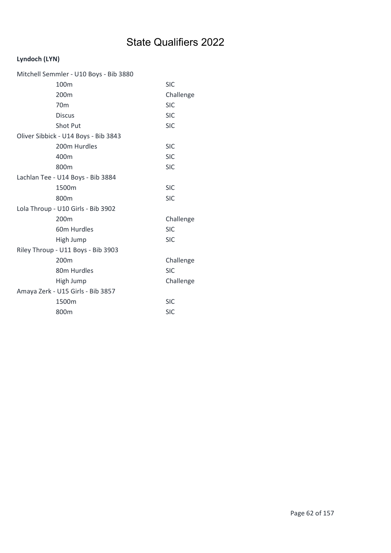### Lyndoch (LYN)

| Mitchell Semmler - U10 Boys - Bib 3880 |            |  |
|----------------------------------------|------------|--|
| 100m                                   | <b>SIC</b> |  |
| 200m                                   | Challenge  |  |
| 70 <sub>m</sub>                        | <b>SIC</b> |  |
| <b>Discus</b>                          | <b>SIC</b> |  |
| Shot Put                               | <b>SIC</b> |  |
| Oliver Sibbick - U14 Boys - Bib 3843   |            |  |
| 200m Hurdles                           | <b>SIC</b> |  |
| 400m                                   | <b>SIC</b> |  |
| 800m                                   | <b>SIC</b> |  |
| Lachlan Tee - U14 Boys - Bib 3884      |            |  |
| 1500m                                  | <b>SIC</b> |  |
| 800m                                   | <b>SIC</b> |  |
| Lola Throup - U10 Girls - Bib 3902     |            |  |
| 200 <sub>m</sub>                       | Challenge  |  |
| 60m Hurdles                            | <b>SIC</b> |  |
| High Jump                              | <b>SIC</b> |  |
| Riley Throup - U11 Boys - Bib 3903     |            |  |
| 200m                                   | Challenge  |  |
| 80m Hurdles                            | <b>SIC</b> |  |
| High Jump                              | Challenge  |  |
| Amaya Zerk - U15 Girls - Bib 3857      |            |  |
| 1500m                                  | <b>SIC</b> |  |
| 800m                                   | <b>SIC</b> |  |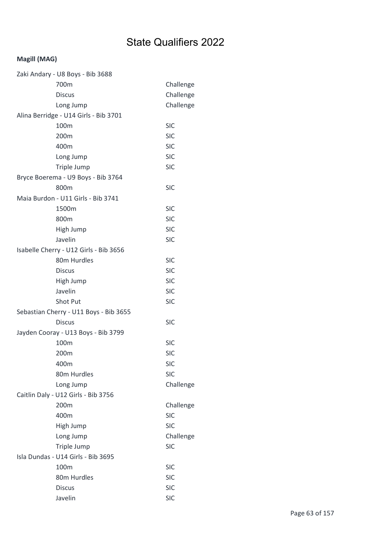| Zaki Andary - U8 Boys - Bib 3688       |            |  |
|----------------------------------------|------------|--|
| 700m                                   | Challenge  |  |
| <b>Discus</b>                          | Challenge  |  |
| Long Jump                              | Challenge  |  |
| Alina Berridge - U14 Girls - Bib 3701  |            |  |
| 100m                                   | <b>SIC</b> |  |
| 200m                                   | <b>SIC</b> |  |
| 400m                                   | <b>SIC</b> |  |
| Long Jump                              | <b>SIC</b> |  |
| Triple Jump                            | <b>SIC</b> |  |
| Bryce Boerema - U9 Boys - Bib 3764     |            |  |
| 800m                                   | <b>SIC</b> |  |
| Maia Burdon - U11 Girls - Bib 3741     |            |  |
| 1500m                                  | <b>SIC</b> |  |
| 800m                                   | <b>SIC</b> |  |
| High Jump                              | <b>SIC</b> |  |
| Javelin                                | <b>SIC</b> |  |
| Isabelle Cherry - U12 Girls - Bib 3656 |            |  |
| 80m Hurdles                            | <b>SIC</b> |  |
| <b>Discus</b>                          | <b>SIC</b> |  |
| High Jump                              | <b>SIC</b> |  |
| Javelin                                | <b>SIC</b> |  |
| Shot Put                               | <b>SIC</b> |  |
| Sebastian Cherry - U11 Boys - Bib 3655 |            |  |
| <b>Discus</b>                          | <b>SIC</b> |  |
| Jayden Cooray - U13 Boys - Bib 3799    |            |  |
| 100m                                   | <b>SIC</b> |  |
| 200m                                   | <b>SIC</b> |  |
| 400m                                   | <b>SIC</b> |  |
| 80m Hurdles                            | <b>SIC</b> |  |
| Long Jump                              | Challenge  |  |
| Caitlin Daly - U12 Girls - Bib 3756    |            |  |
| 200m                                   | Challenge  |  |
| 400m                                   | <b>SIC</b> |  |
| High Jump                              | <b>SIC</b> |  |
| Long Jump                              | Challenge  |  |
| Triple Jump                            | <b>SIC</b> |  |
| Isla Dundas - U14 Girls - Bib 3695     |            |  |
| 100m                                   | <b>SIC</b> |  |
| 80m Hurdles                            | <b>SIC</b> |  |
| <b>Discus</b>                          | <b>SIC</b> |  |
| Javelin                                | <b>SIC</b> |  |
|                                        |            |  |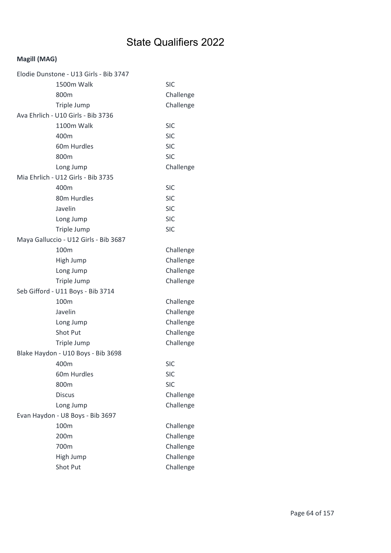| Elodie Dunstone - U13 Girls - Bib 3747 |            |
|----------------------------------------|------------|
| 1500m Walk                             | <b>SIC</b> |
| 800m                                   | Challenge  |
| Triple Jump                            | Challenge  |
| Ava Ehrlich - U10 Girls - Bib 3736     |            |
| 1100m Walk                             | <b>SIC</b> |
| 400m                                   | <b>SIC</b> |
| 60m Hurdles                            | <b>SIC</b> |
| 800m                                   | <b>SIC</b> |
| Long Jump                              | Challenge  |
| Mia Ehrlich - U12 Girls - Bib 3735     |            |
| 400m                                   | <b>SIC</b> |
| 80m Hurdles                            | <b>SIC</b> |
| Javelin                                | <b>SIC</b> |
| Long Jump                              | <b>SIC</b> |
| Triple Jump                            | <b>SIC</b> |
| Maya Galluccio - U12 Girls - Bib 3687  |            |
| 100m                                   | Challenge  |
| High Jump                              | Challenge  |
| Long Jump                              | Challenge  |
| Triple Jump                            | Challenge  |
| Seb Gifford - U11 Boys - Bib 3714      |            |
| 100m                                   | Challenge  |
| Javelin                                | Challenge  |
| Long Jump                              | Challenge  |
| Shot Put                               | Challenge  |
| Triple Jump                            | Challenge  |
| Blake Haydon - U10 Boys - Bib 3698     |            |
| 400m                                   | <b>SIC</b> |
| 60m Hurdles                            | <b>SIC</b> |
| 800m                                   | <b>SIC</b> |
| <b>Discus</b>                          | Challenge  |
| Long Jump                              | Challenge  |
| Evan Haydon - U8 Boys - Bib 3697       |            |
| 100m                                   | Challenge  |
| 200m                                   | Challenge  |
| 700m                                   | Challenge  |
| High Jump                              | Challenge  |
| Shot Put                               | Challenge  |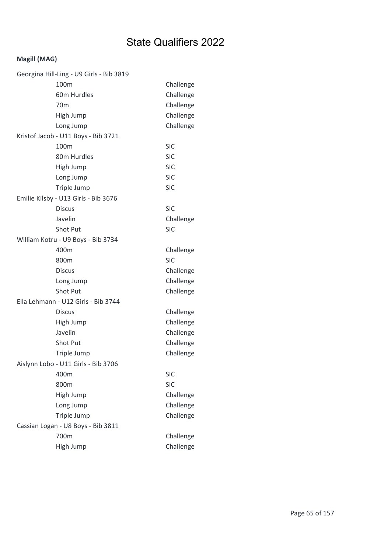| Georgina Hill-Ling - U9 Girls - Bib 3819 |            |
|------------------------------------------|------------|
| 100m                                     | Challenge  |
| 60m Hurdles                              | Challenge  |
| 70 <sub>m</sub>                          | Challenge  |
| High Jump                                | Challenge  |
| Long Jump                                | Challenge  |
| Kristof Jacob - U11 Boys - Bib 3721      |            |
| 100m                                     | <b>SIC</b> |
| 80m Hurdles                              | <b>SIC</b> |
| High Jump                                | <b>SIC</b> |
| Long Jump                                | <b>SIC</b> |
| Triple Jump                              | <b>SIC</b> |
| Emilie Kilsby - U13 Girls - Bib 3676     |            |
| <b>Discus</b>                            | <b>SIC</b> |
| Javelin                                  | Challenge  |
| <b>Shot Put</b>                          | <b>SIC</b> |
| William Kotru - U9 Boys - Bib 3734       |            |
| 400m                                     | Challenge  |
| 800m                                     | <b>SIC</b> |
| <b>Discus</b>                            | Challenge  |
| Long Jump                                | Challenge  |
| <b>Shot Put</b>                          | Challenge  |
| Ella Lehmann - U12 Girls - Bib 3744      |            |
| <b>Discus</b>                            | Challenge  |
| High Jump                                | Challenge  |
| Javelin                                  | Challenge  |
| <b>Shot Put</b>                          | Challenge  |
| Triple Jump                              | Challenge  |
| Aislynn Lobo - U11 Girls - Bib 3706      |            |
| 400m                                     | <b>SIC</b> |
| 800m                                     | <b>SIC</b> |
| High Jump                                | Challenge  |
| Long Jump                                | Challenge  |
| Triple Jump                              | Challenge  |
| Cassian Logan - U8 Boys - Bib 3811       |            |
| 700m                                     | Challenge  |
| High Jump                                | Challenge  |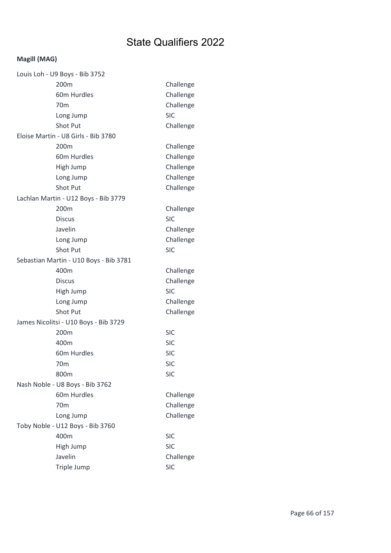| Louis Loh - U9 Boys - Bib 3752         |            |
|----------------------------------------|------------|
| 200 <sub>m</sub>                       | Challenge  |
| 60m Hurdles                            | Challenge  |
| 70 <sub>m</sub>                        | Challenge  |
| Long Jump                              | <b>SIC</b> |
| <b>Shot Put</b>                        | Challenge  |
| Eloise Martin - U8 Girls - Bib 3780    |            |
| 200 <sub>m</sub>                       | Challenge  |
| 60m Hurdles                            | Challenge  |
| High Jump                              | Challenge  |
| Long Jump                              | Challenge  |
| <b>Shot Put</b>                        | Challenge  |
| Lachlan Martin - U12 Boys - Bib 3779   |            |
| 200 <sub>m</sub>                       | Challenge  |
| <b>Discus</b>                          | <b>SIC</b> |
| Javelin                                | Challenge  |
| Long Jump                              | Challenge  |
| <b>Shot Put</b>                        | <b>SIC</b> |
| Sebastian Martin - U10 Boys - Bib 3781 |            |
| 400m                                   | Challenge  |
| <b>Discus</b>                          | Challenge  |
| High Jump                              | <b>SIC</b> |
| Long Jump                              | Challenge  |
| <b>Shot Put</b>                        | Challenge  |
| James Nicolitsi - U10 Boys - Bib 3729  |            |
| 200 <sub>m</sub>                       | <b>SIC</b> |
| 400m                                   | <b>SIC</b> |
| 60m Hurdles                            | <b>SIC</b> |
| 70 <sub>m</sub>                        | <b>SIC</b> |
| 800m                                   | <b>SIC</b> |
| Nash Noble - U8 Boys - Bib 3762        |            |
| 60m Hurdles                            | Challenge  |
| 70 <sub>m</sub>                        | Challenge  |
| Long Jump                              | Challenge  |
| Toby Noble - U12 Boys - Bib 3760       |            |
| 400m                                   | <b>SIC</b> |
| High Jump                              | <b>SIC</b> |
| Javelin                                | Challenge  |
| Triple Jump                            | <b>SIC</b> |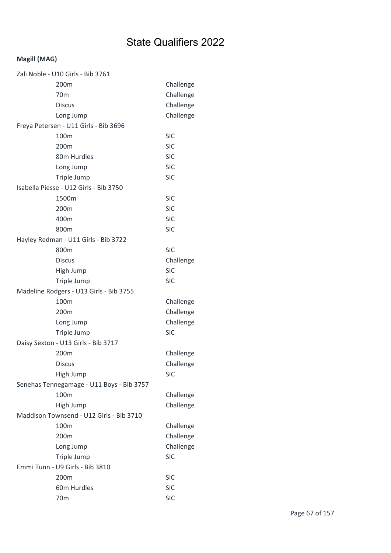| Zali Noble - U10 Girls - Bib 3761         |            |
|-------------------------------------------|------------|
| 200m                                      | Challenge  |
| 70 <sub>m</sub>                           | Challenge  |
| <b>Discus</b>                             | Challenge  |
| Long Jump                                 | Challenge  |
| Freya Petersen - U11 Girls - Bib 3696     |            |
| 100m                                      | <b>SIC</b> |
| 200m                                      | <b>SIC</b> |
| 80m Hurdles                               | <b>SIC</b> |
| Long Jump                                 | <b>SIC</b> |
| Triple Jump                               | <b>SIC</b> |
| Isabella Piesse - U12 Girls - Bib 3750    |            |
| 1500m                                     | <b>SIC</b> |
| 200m                                      | <b>SIC</b> |
| 400m                                      | <b>SIC</b> |
| 800m                                      | <b>SIC</b> |
| Hayley Redman - U11 Girls - Bib 3722      |            |
| 800m                                      | <b>SIC</b> |
| <b>Discus</b>                             | Challenge  |
| High Jump                                 | <b>SIC</b> |
| Triple Jump                               | <b>SIC</b> |
| Madeline Rodgers - U13 Girls - Bib 3755   |            |
| 100m                                      | Challenge  |
| 200 <sub>m</sub>                          | Challenge  |
| Long Jump                                 | Challenge  |
| Triple Jump                               | <b>SIC</b> |
| Daisy Sexton - U13 Girls - Bib 3717       |            |
| 200m                                      | Challenge  |
| Discus                                    | Challenge  |
| High Jump                                 | <b>SIC</b> |
| Senehas Tennegamage - U11 Boys - Bib 3757 |            |
| 100m                                      | Challenge  |
| High Jump                                 | Challenge  |
| Maddison Townsend - U12 Girls - Bib 3710  |            |
| 100m                                      | Challenge  |
| 200m                                      | Challenge  |
| Long Jump                                 | Challenge  |
| Triple Jump                               | <b>SIC</b> |
| Emmi Tunn - U9 Girls - Bib 3810           |            |
| 200m                                      | <b>SIC</b> |
| 60m Hurdles                               | <b>SIC</b> |
| 70 <sub>m</sub>                           | <b>SIC</b> |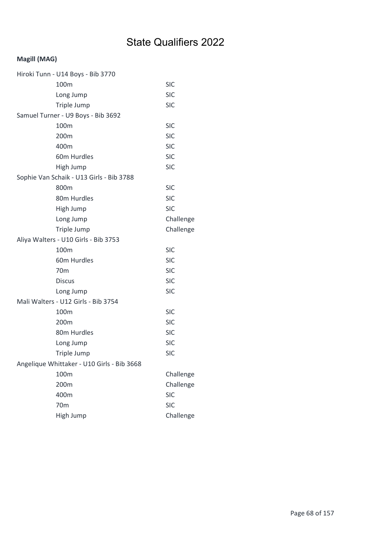| Hiroki Tunn - U14 Boys - Bib 3770          |            |
|--------------------------------------------|------------|
| 100m                                       | <b>SIC</b> |
| Long Jump                                  | <b>SIC</b> |
| Triple Jump                                | <b>SIC</b> |
| Samuel Turner - U9 Boys - Bib 3692         |            |
| 100m                                       | <b>SIC</b> |
| 200m                                       | <b>SIC</b> |
| 400m                                       | <b>SIC</b> |
| 60m Hurdles                                | <b>SIC</b> |
| High Jump                                  | <b>SIC</b> |
| Sophie Van Schaik - U13 Girls - Bib 3788   |            |
| 800m                                       | <b>SIC</b> |
| 80m Hurdles                                | <b>SIC</b> |
| High Jump                                  | <b>SIC</b> |
| Long Jump                                  | Challenge  |
| Triple Jump                                | Challenge  |
| Aliya Walters - U10 Girls - Bib 3753       |            |
| 100m                                       | <b>SIC</b> |
| 60m Hurdles                                | <b>SIC</b> |
| 70 <sub>m</sub>                            | <b>SIC</b> |
| <b>Discus</b>                              | <b>SIC</b> |
| Long Jump                                  | <b>SIC</b> |
| Mali Walters - U12 Girls - Bib 3754        |            |
| 100m                                       | <b>SIC</b> |
| 200m                                       | <b>SIC</b> |
| 80m Hurdles                                | <b>SIC</b> |
| Long Jump                                  | <b>SIC</b> |
| Triple Jump                                | <b>SIC</b> |
| Angelique Whittaker - U10 Girls - Bib 3668 |            |
| 100m                                       | Challenge  |
| 200m                                       | Challenge  |
| 400m                                       | <b>SIC</b> |
| 70 <sub>m</sub>                            | <b>SIC</b> |
| High Jump                                  | Challenge  |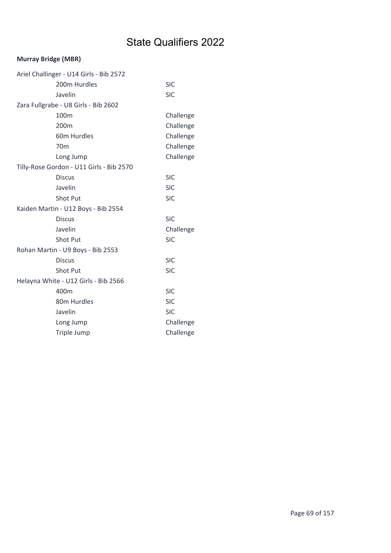### Murray Bridge (MBR)

| Ariel Challinger - U14 Girls - Bib 2572  |            |  |
|------------------------------------------|------------|--|
| 200m Hurdles                             | <b>SIC</b> |  |
| Javelin                                  | <b>SIC</b> |  |
| Zara Fullgrabe - U8 Girls - Bib 2602     |            |  |
| 100m                                     | Challenge  |  |
| 200m                                     | Challenge  |  |
| 60m Hurdles                              | Challenge  |  |
| 70 <sub>m</sub>                          | Challenge  |  |
| Long Jump                                | Challenge  |  |
| Tilly-Rose Gordon - U11 Girls - Bib 2570 |            |  |
| <b>Discus</b>                            | <b>SIC</b> |  |
| Javelin                                  | <b>SIC</b> |  |
| Shot Put                                 | <b>SIC</b> |  |
| Kaiden Martin - U12 Boys - Bib 2554      |            |  |
| <b>Discus</b>                            | <b>SIC</b> |  |
| Javelin                                  | Challenge  |  |
| Shot Put                                 | <b>SIC</b> |  |
| Rohan Martin - U9 Boys - Bib 2553        |            |  |
| <b>Discus</b>                            | <b>SIC</b> |  |
| <b>Shot Put</b>                          | <b>SIC</b> |  |
| Helayna White - U12 Girls - Bib 2566     |            |  |
| 400m                                     | <b>SIC</b> |  |
| 80m Hurdles                              | <b>SIC</b> |  |
| Javelin                                  | <b>SIC</b> |  |
| Long Jump                                | Challenge  |  |
| Triple Jump                              | Challenge  |  |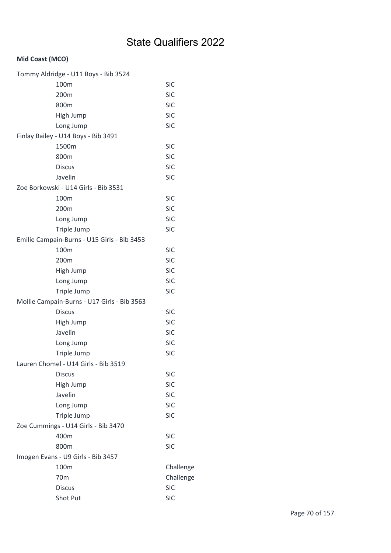### Mid Coast (MCO)

| Tommy Aldridge - U11 Boys - Bib 3524        |            |
|---------------------------------------------|------------|
| 100m                                        | <b>SIC</b> |
| 200m                                        | <b>SIC</b> |
| 800m                                        | <b>SIC</b> |
| High Jump                                   | <b>SIC</b> |
| Long Jump                                   | <b>SIC</b> |
| Finlay Bailey - U14 Boys - Bib 3491         |            |
| 1500m                                       | <b>SIC</b> |
| 800m                                        | <b>SIC</b> |
| <b>Discus</b>                               | <b>SIC</b> |
| Javelin                                     | <b>SIC</b> |
| Zoe Borkowski - U14 Girls - Bib 3531        |            |
| 100m                                        | <b>SIC</b> |
| 200m                                        | <b>SIC</b> |
| Long Jump                                   | <b>SIC</b> |
| Triple Jump                                 | <b>SIC</b> |
| Emilie Campain-Burns - U15 Girls - Bib 3453 |            |
| 100m                                        | <b>SIC</b> |
| 200m                                        | <b>SIC</b> |
| High Jump                                   | <b>SIC</b> |
| Long Jump                                   | <b>SIC</b> |
| Triple Jump                                 | <b>SIC</b> |
| Mollie Campain-Burns - U17 Girls - Bib 3563 |            |
| <b>Discus</b>                               | <b>SIC</b> |
| High Jump                                   | <b>SIC</b> |
| Javelin                                     | <b>SIC</b> |
| Long Jump                                   | <b>SIC</b> |
| Triple Jump                                 | <b>SIC</b> |
| Lauren Chomel - U14 Girls - Bib 3519        |            |
| <b>Discus</b>                               | <b>SIC</b> |
| High Jump                                   | <b>SIC</b> |
| Javelin                                     | <b>SIC</b> |
| Long Jump                                   | <b>SIC</b> |
| Triple Jump                                 | <b>SIC</b> |
| Zoe Cummings - U14 Girls - Bib 3470         |            |
| 400m                                        | <b>SIC</b> |
| 800m                                        | <b>SIC</b> |
| Imogen Evans - U9 Girls - Bib 3457          |            |
| 100m                                        | Challenge  |
| 70 <sub>m</sub>                             | Challenge  |
| <b>Discus</b>                               | <b>SIC</b> |
| Shot Put                                    | <b>SIC</b> |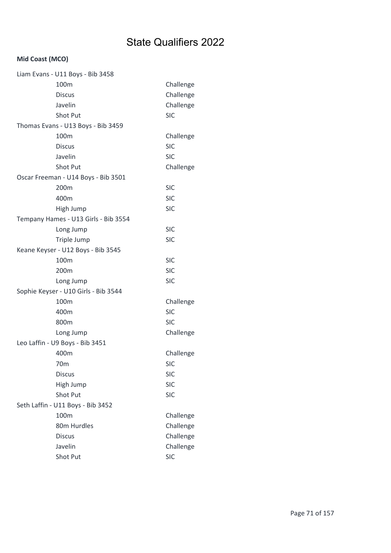### Mid Coast (MCO)

| Challenge<br>Challenge<br>Challenge<br><b>SIC</b><br>Challenge<br><b>SIC</b> |
|------------------------------------------------------------------------------|
|                                                                              |
|                                                                              |
|                                                                              |
|                                                                              |
|                                                                              |
|                                                                              |
|                                                                              |
| <b>SIC</b>                                                                   |
| Challenge                                                                    |
|                                                                              |
| <b>SIC</b>                                                                   |
| <b>SIC</b>                                                                   |
| <b>SIC</b>                                                                   |
|                                                                              |
| <b>SIC</b>                                                                   |
| <b>SIC</b>                                                                   |
|                                                                              |
| <b>SIC</b>                                                                   |
| <b>SIC</b>                                                                   |
| <b>SIC</b>                                                                   |
|                                                                              |
| Challenge                                                                    |
| <b>SIC</b>                                                                   |
| <b>SIC</b>                                                                   |
| Challenge                                                                    |
|                                                                              |
| Challenge                                                                    |
| <b>SIC</b>                                                                   |
| <b>SIC</b>                                                                   |
| <b>SIC</b>                                                                   |
| <b>SIC</b>                                                                   |
|                                                                              |
| Challenge                                                                    |
| Challenge                                                                    |
|                                                                              |
| Challenge                                                                    |
| Challenge                                                                    |
|                                                                              |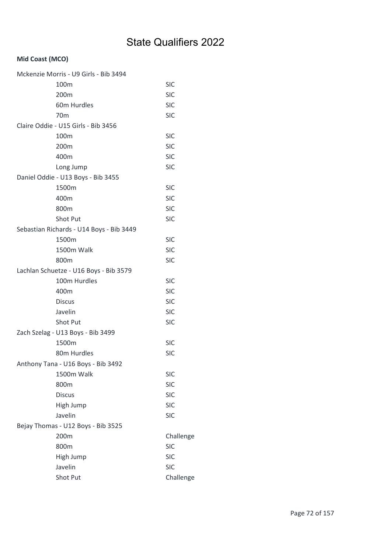### Mid Coast (MCO)

| Mckenzie Morris - U9 Girls - Bib 3494    |            |
|------------------------------------------|------------|
| 100 <sub>m</sub>                         | <b>SIC</b> |
| 200m                                     | <b>SIC</b> |
| 60m Hurdles                              | <b>SIC</b> |
| 70 <sub>m</sub>                          | <b>SIC</b> |
| Claire Oddie - U15 Girls - Bib 3456      |            |
| 100m                                     | <b>SIC</b> |
| 200m                                     | <b>SIC</b> |
| 400m                                     | <b>SIC</b> |
| Long Jump                                | <b>SIC</b> |
| Daniel Oddie - U13 Boys - Bib 3455       |            |
| 1500m                                    | <b>SIC</b> |
| 400m                                     | <b>SIC</b> |
| 800m                                     | <b>SIC</b> |
| Shot Put                                 | <b>SIC</b> |
| Sebastian Richards - U14 Boys - Bib 3449 |            |
| 1500m                                    | <b>SIC</b> |
| 1500m Walk                               | <b>SIC</b> |
| 800m                                     | <b>SIC</b> |
| Lachlan Schuetze - U16 Boys - Bib 3579   |            |
| 100m Hurdles                             | <b>SIC</b> |
| 400m                                     | <b>SIC</b> |
| <b>Discus</b>                            | <b>SIC</b> |
| Javelin                                  | <b>SIC</b> |
| Shot Put                                 | <b>SIC</b> |
| Zach Szelag - U13 Boys - Bib 3499        |            |
| 1500m                                    | <b>SIC</b> |
| 80m Hurdles                              | <b>SIC</b> |
| Anthony Tana - U16 Boys - Bib 3492       |            |
| 1500m Walk                               | <b>SIC</b> |
| 800m                                     | <b>SIC</b> |
| <b>Discus</b>                            | <b>SIC</b> |
| High Jump                                | <b>SIC</b> |
| Javelin                                  | <b>SIC</b> |
| Bejay Thomas - U12 Boys - Bib 3525       |            |
| 200m                                     | Challenge  |
| 800m                                     | <b>SIC</b> |
| High Jump                                | <b>SIC</b> |
| Javelin                                  | <b>SIC</b> |
| Shot Put                                 | Challenge  |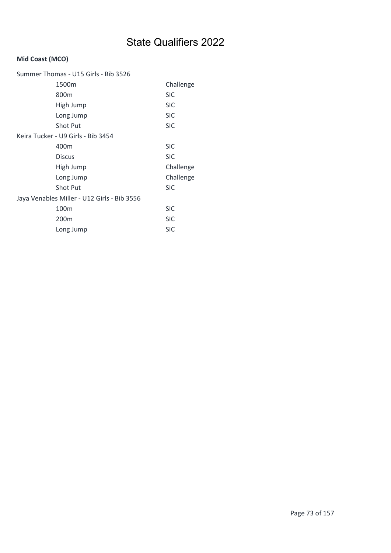### Mid Coast (MCO)

| Summer Thomas - U15 Girls - Bib 3526        |            |  |
|---------------------------------------------|------------|--|
| 1500m                                       | Challenge  |  |
| 800m                                        | <b>SIC</b> |  |
| High Jump                                   | <b>SIC</b> |  |
| Long Jump                                   | <b>SIC</b> |  |
| <b>Shot Put</b>                             | <b>SIC</b> |  |
| Keira Tucker - U9 Girls - Bib 3454          |            |  |
| 400m                                        | <b>SIC</b> |  |
| <b>Discus</b>                               | <b>SIC</b> |  |
| High Jump                                   | Challenge  |  |
| Long Jump                                   | Challenge  |  |
| <b>Shot Put</b>                             | <b>SIC</b> |  |
| Jaya Venables Miller - U12 Girls - Bib 3556 |            |  |
| 100 <sub>m</sub>                            | <b>SIC</b> |  |
| 200m                                        | <b>SIC</b> |  |
| Long Jump                                   | <b>SIC</b> |  |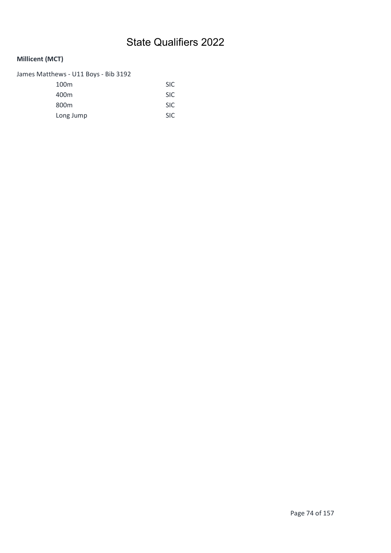### Millicent (MCT)

James Matthews - U11 Boys - Bib 3192

| 100 <sub>m</sub> | <b>SIC</b> |
|------------------|------------|
| 400m             | <b>SIC</b> |
| 800 <sub>m</sub> | <b>SIC</b> |
| Long Jump        | <b>SIC</b> |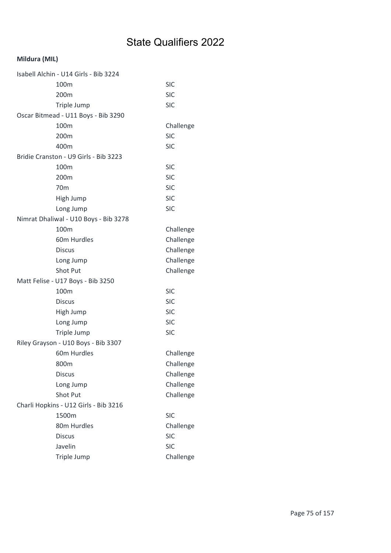### Mildura (MIL)

| Isabell Alchin - U14 Girls - Bib 3224 |            |
|---------------------------------------|------------|
| 100m                                  | <b>SIC</b> |
| 200 <sub>m</sub>                      | <b>SIC</b> |
| Triple Jump                           | <b>SIC</b> |
| Oscar Bitmead - U11 Boys - Bib 3290   |            |
| 100m                                  | Challenge  |
| 200m                                  | <b>SIC</b> |
| 400m                                  | <b>SIC</b> |
| Bridie Cranston - U9 Girls - Bib 3223 |            |
| 100m                                  | <b>SIC</b> |
| 200m                                  | <b>SIC</b> |
| 70 <sub>m</sub>                       | <b>SIC</b> |
| High Jump                             | <b>SIC</b> |
| Long Jump                             | <b>SIC</b> |
| Nimrat Dhaliwal - U10 Boys - Bib 3278 |            |
| 100m                                  | Challenge  |
| 60m Hurdles                           | Challenge  |
| <b>Discus</b>                         | Challenge  |
| Long Jump                             | Challenge  |
| Shot Put                              | Challenge  |
| Matt Felise - U17 Boys - Bib 3250     |            |
| 100m                                  | <b>SIC</b> |
| <b>Discus</b>                         | <b>SIC</b> |
| High Jump                             | <b>SIC</b> |
| Long Jump                             | <b>SIC</b> |
| Triple Jump                           | <b>SIC</b> |
| Riley Grayson - U10 Boys - Bib 3307   |            |
| 60m Hurdles                           | Challenge  |
| 800m                                  | Challenge  |
| <b>Discus</b>                         | Challenge  |
| Long Jump                             | Challenge  |
| <b>Shot Put</b>                       | Challenge  |
| Charli Hopkins - U12 Girls - Bib 3216 |            |
| 1500m                                 | <b>SIC</b> |
| 80m Hurdles                           | Challenge  |
| <b>Discus</b>                         | <b>SIC</b> |
| Javelin                               | <b>SIC</b> |
| Triple Jump                           | Challenge  |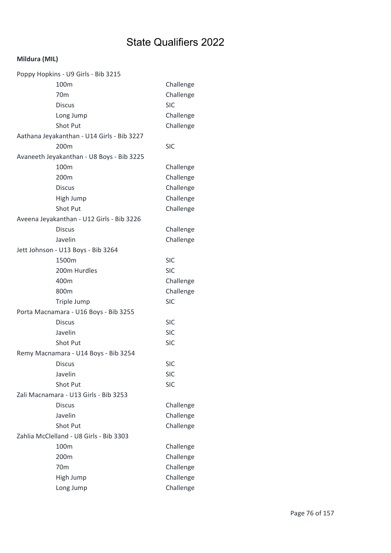### Mildura (MIL)

| Poppy Hopkins - U9 Girls - Bib 3215        |            |
|--------------------------------------------|------------|
| 100m                                       | Challenge  |
| 70 <sub>m</sub>                            | Challenge  |
| <b>Discus</b>                              | <b>SIC</b> |
| Long Jump                                  | Challenge  |
| Shot Put                                   | Challenge  |
| Aathana Jeyakanthan - U14 Girls - Bib 3227 |            |
| 200 <sub>m</sub>                           | <b>SIC</b> |
| Avaneeth Jeyakanthan - U8 Boys - Bib 3225  |            |
| 100m                                       | Challenge  |
| 200m                                       | Challenge  |
| <b>Discus</b>                              | Challenge  |
| High Jump                                  | Challenge  |
| Shot Put                                   | Challenge  |
| Aveena Jeyakanthan - U12 Girls - Bib 3226  |            |
| <b>Discus</b>                              | Challenge  |
| Javelin                                    | Challenge  |
| Jett Johnson - U13 Boys - Bib 3264         |            |
| 1500m                                      | <b>SIC</b> |
| 200m Hurdles                               | <b>SIC</b> |
| 400m                                       | Challenge  |
| 800m                                       | Challenge  |
| Triple Jump                                | <b>SIC</b> |
| Porta Macnamara - U16 Boys - Bib 3255      |            |
| <b>Discus</b>                              | <b>SIC</b> |
| Javelin                                    | <b>SIC</b> |
| Shot Put                                   | <b>SIC</b> |
| Remy Macnamara - U14 Boys - Bib 3254       |            |
| <b>Discus</b>                              | <b>SIC</b> |
| Javelin                                    | <b>SIC</b> |
| Shot Put                                   | <b>SIC</b> |
| Zali Macnamara - U13 Girls - Bib 3253      |            |
| <b>Discus</b>                              | Challenge  |
| Javelin                                    | Challenge  |
| Shot Put                                   | Challenge  |
| Zahlia McClelland - U8 Girls - Bib 3303    |            |
| 100m                                       | Challenge  |
| 200m                                       | Challenge  |
| 70 <sub>m</sub>                            | Challenge  |
| High Jump                                  | Challenge  |
| Long Jump                                  | Challenge  |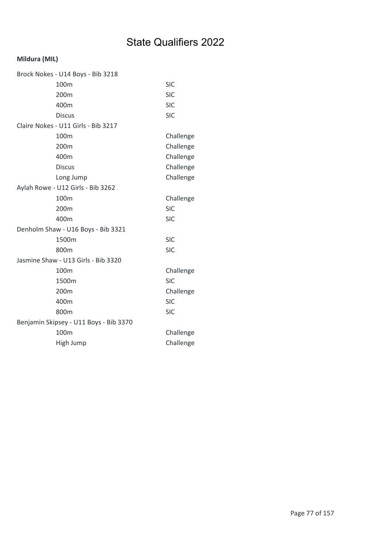### Mildura (MIL)

|                                        | Brock Nokes - U14 Boys - Bib 3218   |            |
|----------------------------------------|-------------------------------------|------------|
|                                        | 100 <sub>m</sub>                    | <b>SIC</b> |
|                                        | 200m                                | <b>SIC</b> |
|                                        | 400m                                | <b>SIC</b> |
|                                        | <b>Discus</b>                       | <b>SIC</b> |
|                                        | Claire Nokes - U11 Girls - Bib 3217 |            |
|                                        | 100 <sub>m</sub>                    | Challenge  |
|                                        | 200m                                | Challenge  |
|                                        | 400m                                | Challenge  |
|                                        | <b>Discus</b>                       | Challenge  |
|                                        | Long Jump                           | Challenge  |
|                                        | Aylah Rowe - U12 Girls - Bib 3262   |            |
|                                        | 100m                                | Challenge  |
|                                        | 200m                                | <b>SIC</b> |
|                                        | 400m                                | <b>SIC</b> |
|                                        | Denholm Shaw - U16 Boys - Bib 3321  |            |
|                                        | 1500m                               | <b>SIC</b> |
|                                        | 800m                                | <b>SIC</b> |
|                                        | Jasmine Shaw - U13 Girls - Bib 3320 |            |
|                                        | 100 <sub>m</sub>                    | Challenge  |
|                                        | 1500m                               | <b>SIC</b> |
|                                        | 200m                                | Challenge  |
|                                        | 400m                                | <b>SIC</b> |
|                                        | 800m                                | <b>SIC</b> |
| Benjamin Skipsey - U11 Boys - Bib 3370 |                                     |            |
|                                        | 100m                                | Challenge  |
|                                        | High Jump                           | Challenge  |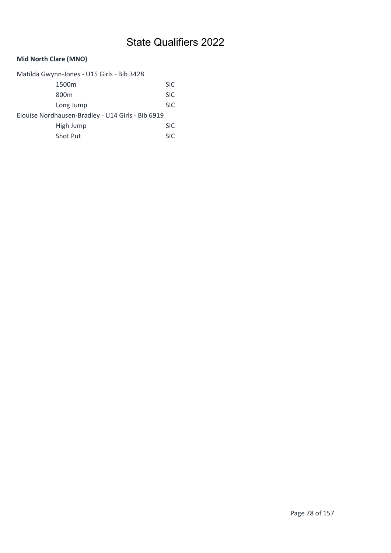### Mid North Clare (MNO)

| Matilda Gwynn-Jones - U15 Girls - Bib 3428        |            |  |
|---------------------------------------------------|------------|--|
| 1500m                                             | <b>SIC</b> |  |
| 800 <sub>m</sub>                                  | <b>SIC</b> |  |
| Long Jump                                         | <b>SIC</b> |  |
| Elouise Nordhausen-Bradley - U14 Girls - Bib 6919 |            |  |
| High Jump                                         | <b>SIC</b> |  |
| Shot Put                                          | <b>SIC</b> |  |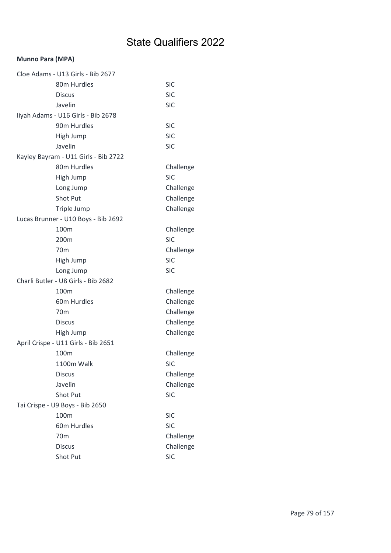#### Munno Para (MPA)

| Cloe Adams - U13 Girls - Bib 2677    |            |
|--------------------------------------|------------|
| 80m Hurdles                          | <b>SIC</b> |
| <b>Discus</b>                        | <b>SIC</b> |
| Javelin                              | <b>SIC</b> |
| liyah Adams - U16 Girls - Bib 2678   |            |
| 90m Hurdles                          | <b>SIC</b> |
| High Jump                            | <b>SIC</b> |
| Javelin                              | <b>SIC</b> |
| Kayley Bayram - U11 Girls - Bib 2722 |            |
| 80m Hurdles                          | Challenge  |
| High Jump                            | <b>SIC</b> |
| Long Jump                            | Challenge  |
| Shot Put                             | Challenge  |
| Triple Jump                          | Challenge  |
| Lucas Brunner - U10 Boys - Bib 2692  |            |
| 100m                                 | Challenge  |
| 200 <sub>m</sub>                     | <b>SIC</b> |
| 70 <sub>m</sub>                      | Challenge  |
| High Jump                            | <b>SIC</b> |
| Long Jump                            | <b>SIC</b> |
| Charli Butler - U8 Girls - Bib 2682  |            |
| 100 <sub>m</sub>                     | Challenge  |
| 60m Hurdles                          | Challenge  |
| 70 <sub>m</sub>                      | Challenge  |
| <b>Discus</b>                        | Challenge  |
| High Jump                            | Challenge  |
| April Crispe - U11 Girls - Bib 2651  |            |
| 100m                                 | Challenge  |
| 1100m Walk                           | SIC.       |
| <b>Discus</b>                        | Challenge  |
| Javelin                              | Challenge  |
| Shot Put                             | <b>SIC</b> |
| Tai Crispe - U9 Boys - Bib 2650      |            |
| 100m                                 | <b>SIC</b> |
| 60m Hurdles                          | <b>SIC</b> |
| 70 <sub>m</sub>                      | Challenge  |
| <b>Discus</b>                        | Challenge  |
| Shot Put                             | <b>SIC</b> |
|                                      |            |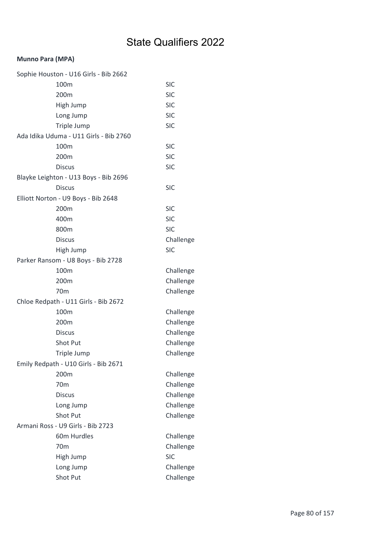### Munno Para (MPA)

| Sophie Houston - U16 Girls - Bib 2662  |            |
|----------------------------------------|------------|
| 100m                                   | <b>SIC</b> |
| 200m                                   | <b>SIC</b> |
| High Jump                              | <b>SIC</b> |
| Long Jump                              | <b>SIC</b> |
| Triple Jump                            | <b>SIC</b> |
| Ada Idika Uduma - U11 Girls - Bib 2760 |            |
| 100 <sub>m</sub>                       | <b>SIC</b> |
| 200m                                   | <b>SIC</b> |
| <b>Discus</b>                          | <b>SIC</b> |
| Blayke Leighton - U13 Boys - Bib 2696  |            |
| <b>Discus</b>                          | <b>SIC</b> |
| Elliott Norton - U9 Boys - Bib 2648    |            |
| 200m                                   | <b>SIC</b> |
| 400m                                   | <b>SIC</b> |
| 800m                                   | <b>SIC</b> |
| <b>Discus</b>                          | Challenge  |
| High Jump                              | <b>SIC</b> |
| Parker Ransom - U8 Boys - Bib 2728     |            |
| 100m                                   | Challenge  |
| 200m                                   | Challenge  |
| 70 <sub>m</sub>                        | Challenge  |
| Chloe Redpath - U11 Girls - Bib 2672   |            |
| 100m                                   | Challenge  |
| 200m                                   | Challenge  |
| <b>Discus</b>                          | Challenge  |
| Shot Put                               | Challenge  |
| Triple Jump                            | Challenge  |
| Emily Redpath - U10 Girls - Bib 2671   |            |
| 200m                                   | Challenge  |
| 70 <sub>m</sub>                        | Challenge  |
| <b>Discus</b>                          | Challenge  |
| Long Jump                              | Challenge  |
| Shot Put                               | Challenge  |
| Armani Ross - U9 Girls - Bib 2723      |            |
| 60m Hurdles                            | Challenge  |
| 70 <sub>m</sub>                        | Challenge  |
| High Jump                              | <b>SIC</b> |
| Long Jump                              | Challenge  |
| Shot Put                               | Challenge  |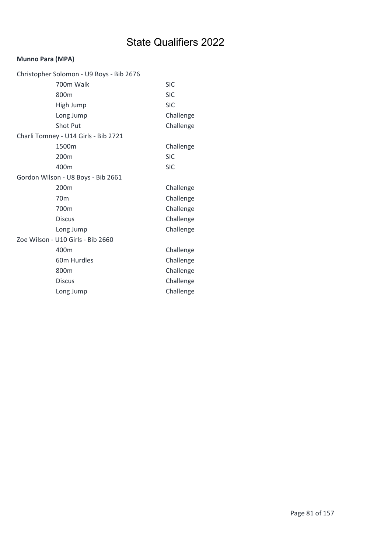#### Munno Para (MPA)

| Christopher Solomon - U9 Boys - Bib 2676 |            |
|------------------------------------------|------------|
| 700m Walk                                | <b>SIC</b> |
| 800m                                     | <b>SIC</b> |
| High Jump                                | <b>SIC</b> |
| Long Jump                                | Challenge  |
| <b>Shot Put</b>                          | Challenge  |
| Charli Tomney - U14 Girls - Bib 2721     |            |
| 1500m                                    | Challenge  |
| 200m                                     | <b>SIC</b> |
| 400m                                     | <b>SIC</b> |
| Gordon Wilson - U8 Boys - Bib 2661       |            |
| 200m                                     | Challenge  |
| 70 <sub>m</sub>                          | Challenge  |
| 700m                                     | Challenge  |
| <b>Discus</b>                            | Challenge  |
| Long Jump                                | Challenge  |
| Zoe Wilson - U10 Girls - Bib 2660        |            |
| 400m                                     | Challenge  |
| 60m Hurdles                              | Challenge  |
| 800m                                     | Challenge  |
| <b>Discus</b>                            | Challenge  |
| Long Jump                                | Challenge  |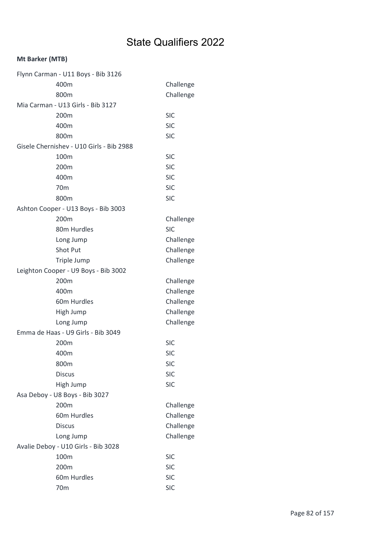| Flynn Carman - U11 Boys - Bib 3126       |            |
|------------------------------------------|------------|
| 400m                                     | Challenge  |
| 800m                                     | Challenge  |
| Mia Carman - U13 Girls - Bib 3127        |            |
| 200 <sub>m</sub>                         | <b>SIC</b> |
| 400m                                     | <b>SIC</b> |
| 800m                                     | <b>SIC</b> |
| Gisele Chernishev - U10 Girls - Bib 2988 |            |
| 100m                                     | <b>SIC</b> |
| 200m                                     | <b>SIC</b> |
| 400m                                     | <b>SIC</b> |
| 70 <sub>m</sub>                          | <b>SIC</b> |
| 800m                                     | <b>SIC</b> |
| Ashton Cooper - U13 Boys - Bib 3003      |            |
| 200m                                     | Challenge  |
| 80m Hurdles                              | <b>SIC</b> |
| Long Jump                                | Challenge  |
| <b>Shot Put</b>                          | Challenge  |
| Triple Jump                              | Challenge  |
| Leighton Cooper - U9 Boys - Bib 3002     |            |
| 200m                                     | Challenge  |
| 400m                                     | Challenge  |
| 60m Hurdles                              | Challenge  |
| High Jump                                | Challenge  |
| Long Jump                                | Challenge  |
| Emma de Haas - U9 Girls - Bib 3049       |            |
| 200m                                     | <b>SIC</b> |
| 400m                                     | <b>SIC</b> |
| 800m                                     | <b>SIC</b> |
| <b>Discus</b>                            | <b>SIC</b> |
| High Jump                                | <b>SIC</b> |
| Asa Deboy - U8 Boys - Bib 3027           |            |
| 200m                                     | Challenge  |
| 60m Hurdles                              | Challenge  |
| <b>Discus</b>                            | Challenge  |
| Long Jump                                | Challenge  |
| Avalie Deboy - U10 Girls - Bib 3028      |            |
| 100m                                     | <b>SIC</b> |
| 200m                                     | <b>SIC</b> |
| 60m Hurdles                              | <b>SIC</b> |
| 70m                                      | <b>SIC</b> |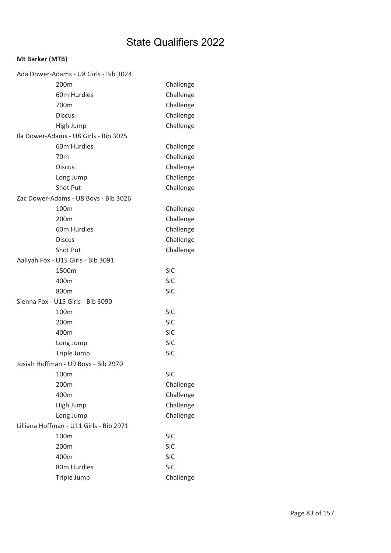| Ada Dower-Adams - U8 Girls - Bib 3024   |            |
|-----------------------------------------|------------|
| 200 <sub>m</sub>                        | Challenge  |
| 60m Hurdles                             | Challenge  |
| 700m                                    | Challenge  |
| <b>Discus</b>                           | Challenge  |
| High Jump                               | Challenge  |
| Ila Dower-Adams - U8 Girls - Bib 3025   |            |
| 60m Hurdles                             | Challenge  |
| 70 <sub>m</sub>                         | Challenge  |
| <b>Discus</b>                           | Challenge  |
| Long Jump                               | Challenge  |
| Shot Put                                | Challenge  |
| Zac Dower-Adams - U8 Boys - Bib 3026    |            |
| 100m                                    | Challenge  |
| 200m                                    | Challenge  |
| 60m Hurdles                             | Challenge  |
| <b>Discus</b>                           | Challenge  |
| Shot Put                                | Challenge  |
| Aaliyah Fox - U15 Girls - Bib 3091      |            |
| 1500m                                   | <b>SIC</b> |
| 400m                                    | <b>SIC</b> |
| 800m                                    | <b>SIC</b> |
| Sienna Fox - U15 Girls - Bib 3090       |            |
| 100m                                    | <b>SIC</b> |
| 200m                                    | <b>SIC</b> |
| 400m                                    | <b>SIC</b> |
| Long Jump                               | <b>SIC</b> |
| Triple Jump                             | <b>SIC</b> |
| Josiah Hoffman - U9 Boys - Bib 2970     |            |
| 100m                                    | <b>SIC</b> |
| 200m                                    | Challenge  |
| 400m                                    | Challenge  |
| High Jump                               | Challenge  |
| Long Jump                               | Challenge  |
| Lilliana Hoffman - U11 Girls - Bib 2971 |            |
| 100m                                    | <b>SIC</b> |
| 200m                                    | <b>SIC</b> |
| 400m                                    | <b>SIC</b> |
| 80m Hurdles                             | <b>SIC</b> |
| Triple Jump                             | Challenge  |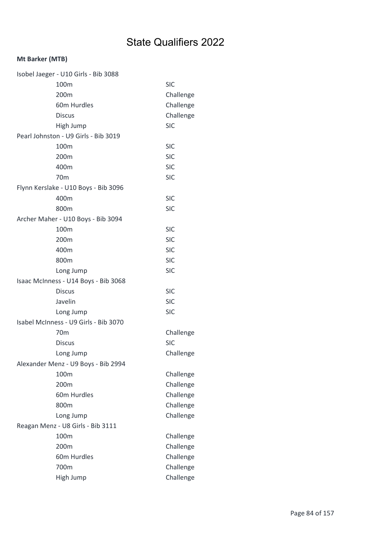| Isobel Jaeger - U10 Girls - Bib 3088  |            |
|---------------------------------------|------------|
| 100m                                  | <b>SIC</b> |
| 200m                                  | Challenge  |
| 60m Hurdles                           | Challenge  |
| <b>Discus</b>                         | Challenge  |
| High Jump                             | <b>SIC</b> |
| Pearl Johnston - U9 Girls - Bib 3019  |            |
| 100 <sub>m</sub>                      | <b>SIC</b> |
| 200m                                  | <b>SIC</b> |
| 400m                                  | <b>SIC</b> |
| 70m                                   | <b>SIC</b> |
| Flynn Kerslake - U10 Boys - Bib 3096  |            |
| 400m                                  | <b>SIC</b> |
| 800m                                  | <b>SIC</b> |
| Archer Maher - U10 Boys - Bib 3094    |            |
| 100m                                  | <b>SIC</b> |
| 200 <sub>m</sub>                      | <b>SIC</b> |
| 400m                                  | <b>SIC</b> |
| 800m                                  | <b>SIC</b> |
| Long Jump                             | <b>SIC</b> |
| Isaac McInness - U14 Boys - Bib 3068  |            |
| <b>Discus</b>                         | <b>SIC</b> |
| Javelin                               | <b>SIC</b> |
| Long Jump                             | <b>SIC</b> |
| Isabel McInness - U9 Girls - Bib 3070 |            |
| 70 <sub>m</sub>                       | Challenge  |
| <b>Discus</b>                         | <b>SIC</b> |
| Long Jump                             | Challenge  |
| Alexander Menz - U9 Boys - Bib 2994   |            |
| 100m                                  | Challenge  |
| 200m                                  | Challenge  |
| 60m Hurdles                           | Challenge  |
| 800m                                  | Challenge  |
| Long Jump                             | Challenge  |
| Reagan Menz - U8 Girls - Bib 3111     |            |
| 100m                                  | Challenge  |
| 200m                                  | Challenge  |
| 60m Hurdles                           | Challenge  |
| 700m                                  | Challenge  |
| High Jump                             | Challenge  |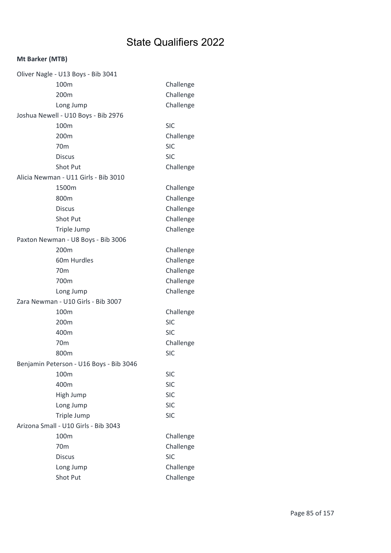| Oliver Nagle - U13 Boys - Bib 3041      |            |
|-----------------------------------------|------------|
| 100m                                    | Challenge  |
| 200m                                    | Challenge  |
| Long Jump                               | Challenge  |
| Joshua Newell - U10 Boys - Bib 2976     |            |
| 100m                                    | <b>SIC</b> |
| 200m                                    | Challenge  |
| 70 <sub>m</sub>                         | <b>SIC</b> |
| <b>Discus</b>                           | <b>SIC</b> |
| <b>Shot Put</b>                         | Challenge  |
| Alicia Newman - U11 Girls - Bib 3010    |            |
| 1500m                                   | Challenge  |
| 800m                                    | Challenge  |
| <b>Discus</b>                           | Challenge  |
| <b>Shot Put</b>                         | Challenge  |
| Triple Jump                             | Challenge  |
| Paxton Newman - U8 Boys - Bib 3006      |            |
| 200m                                    | Challenge  |
| 60m Hurdles                             | Challenge  |
| 70 <sub>m</sub>                         | Challenge  |
| 700m                                    | Challenge  |
| Long Jump                               | Challenge  |
| Zara Newman - U10 Girls - Bib 3007      |            |
| 100 <sub>m</sub>                        | Challenge  |
| 200m                                    | <b>SIC</b> |
| 400m                                    | <b>SIC</b> |
| 70 <sub>m</sub>                         | Challenge  |
| 800m                                    | <b>SIC</b> |
| Benjamin Peterson - U16 Boys - Bib 3046 |            |
| 100m                                    | <b>SIC</b> |
| 400m                                    | <b>SIC</b> |
| High Jump                               | <b>SIC</b> |
| Long Jump                               | <b>SIC</b> |
| Triple Jump                             | <b>SIC</b> |
| Arizona Small - U10 Girls - Bib 3043    |            |
| 100m                                    | Challenge  |
| 70 <sub>m</sub>                         | Challenge  |
| <b>Discus</b>                           | <b>SIC</b> |
| Long Jump                               | Challenge  |
| Shot Put                                | Challenge  |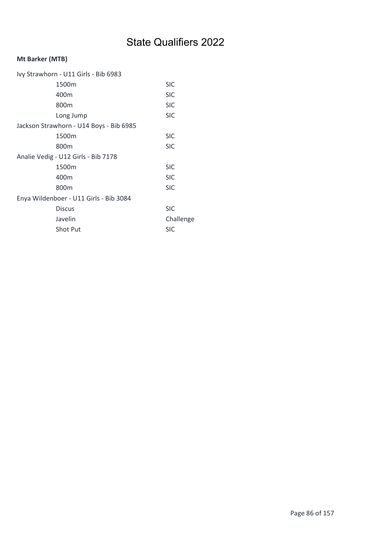| Ivy Strawhorn - U11 Girls - Bib 6983    |            |
|-----------------------------------------|------------|
| 1500m                                   | <b>SIC</b> |
| 400m                                    | <b>SIC</b> |
| 800 <sub>m</sub>                        | <b>SIC</b> |
| Long Jump                               | <b>SIC</b> |
| Jackson Strawhorn - U14 Boys - Bib 6985 |            |
| 1500m                                   | <b>SIC</b> |
| 800 <sub>m</sub>                        | <b>SIC</b> |
| Analie Vedig - U12 Girls - Bib 7178     |            |
| 1500m                                   | <b>SIC</b> |
| 400m                                    | <b>SIC</b> |
| 800m                                    | <b>SIC</b> |
| Enya Wildenboer - U11 Girls - Bib 3084  |            |
| <b>Discus</b>                           | <b>SIC</b> |
| Javelin                                 | Challenge  |
| <b>Shot Put</b>                         | <b>SIC</b> |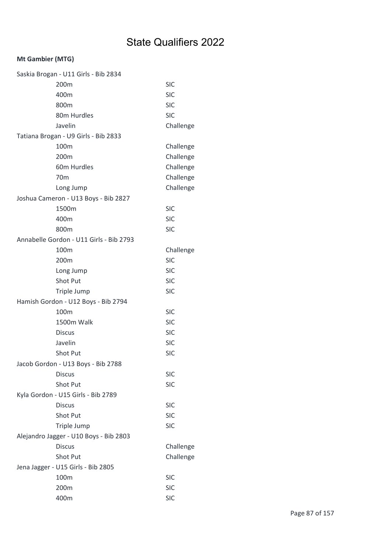### Mt Gambier (MTG)

| Saskia Brogan - U11 Girls - Bib 2834    |            |
|-----------------------------------------|------------|
| 200m                                    | <b>SIC</b> |
| 400m                                    | <b>SIC</b> |
| 800m                                    | <b>SIC</b> |
| 80m Hurdles                             | <b>SIC</b> |
| Javelin                                 | Challenge  |
| Tatiana Brogan - U9 Girls - Bib 2833    |            |
| 100m                                    | Challenge  |
| 200m                                    | Challenge  |
| 60m Hurdles                             | Challenge  |
| 70 <sub>m</sub>                         | Challenge  |
| Long Jump                               | Challenge  |
| Joshua Cameron - U13 Boys - Bib 2827    |            |
| 1500m                                   | <b>SIC</b> |
| 400m                                    | <b>SIC</b> |
| 800m                                    | <b>SIC</b> |
| Annabelle Gordon - U11 Girls - Bib 2793 |            |
| 100m                                    | Challenge  |
| 200 <sub>m</sub>                        | <b>SIC</b> |
| Long Jump                               | <b>SIC</b> |
| Shot Put                                | <b>SIC</b> |
| Triple Jump                             | <b>SIC</b> |
| Hamish Gordon - U12 Boys - Bib 2794     |            |
| 100m                                    | <b>SIC</b> |
| 1500m Walk                              | <b>SIC</b> |
| <b>Discus</b>                           | <b>SIC</b> |
| Javelin                                 | <b>SIC</b> |
| Shot Put                                | <b>SIC</b> |
| Jacob Gordon - U13 Boys - Bib 2788      |            |
| <b>Discus</b>                           | <b>SIC</b> |
| <b>Shot Put</b>                         | <b>SIC</b> |
| Kyla Gordon - U15 Girls - Bib 2789      |            |
| <b>Discus</b>                           | <b>SIC</b> |
| Shot Put                                | <b>SIC</b> |
| Triple Jump                             | <b>SIC</b> |
| Alejandro Jagger - U10 Boys - Bib 2803  |            |
| <b>Discus</b>                           | Challenge  |
| Shot Put                                | Challenge  |
| Jena Jagger - U15 Girls - Bib 2805      |            |
| 100m                                    | <b>SIC</b> |
| 200m                                    | <b>SIC</b> |
| 400m                                    | <b>SIC</b> |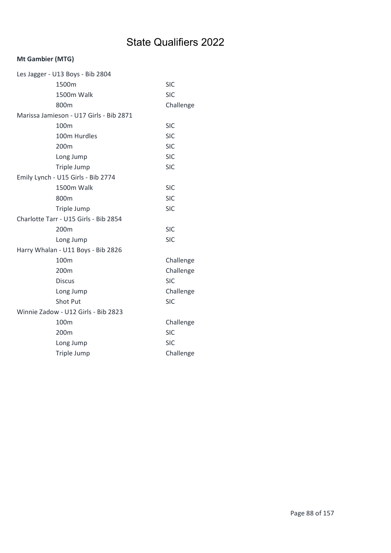### Mt Gambier (MTG)

| Les Jagger - U13 Boys - Bib 2804 |                                         |            |
|----------------------------------|-----------------------------------------|------------|
|                                  | 1500m                                   | <b>SIC</b> |
|                                  | 1500m Walk                              | <b>SIC</b> |
|                                  | 800m                                    | Challenge  |
|                                  | Marissa Jamieson - U17 Girls - Bib 2871 |            |
|                                  | 100 <sub>m</sub>                        | <b>SIC</b> |
|                                  | 100m Hurdles                            | <b>SIC</b> |
|                                  | 200m                                    | <b>SIC</b> |
|                                  | Long Jump                               | <b>SIC</b> |
|                                  | Triple Jump                             | <b>SIC</b> |
|                                  | Emily Lynch - U15 Girls - Bib 2774      |            |
|                                  | 1500m Walk                              | <b>SIC</b> |
|                                  | 800m                                    | <b>SIC</b> |
|                                  | Triple Jump                             | <b>SIC</b> |
|                                  | Charlotte Tarr - U15 Girls - Bib 2854   |            |
|                                  | 200m                                    | <b>SIC</b> |
|                                  | Long Jump                               | <b>SIC</b> |
|                                  | Harry Whalan - U11 Boys - Bib 2826      |            |
|                                  | 100m                                    | Challenge  |
|                                  | 200m                                    | Challenge  |
|                                  | <b>Discus</b>                           | <b>SIC</b> |
|                                  | Long Jump                               | Challenge  |
|                                  | Shot Put                                | <b>SIC</b> |
|                                  | Winnie Zadow - U12 Girls - Bib 2823     |            |
|                                  | 100 <sub>m</sub>                        | Challenge  |
|                                  | 200m                                    | <b>SIC</b> |
|                                  | Long Jump                               | <b>SIC</b> |
|                                  | Triple Jump                             | Challenge  |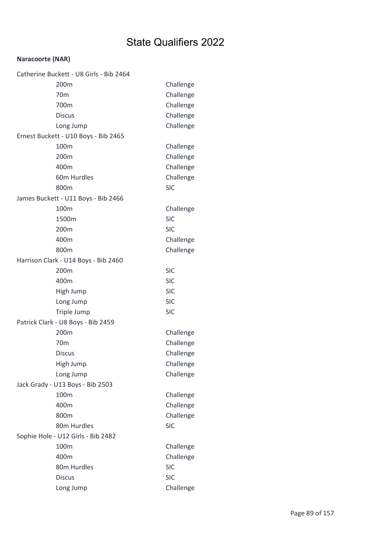#### Naracoorte (NAR)

| Catherine Buckett - U8 Girls - Bib 2464 |            |
|-----------------------------------------|------------|
| 200m                                    | Challenge  |
| 70 <sub>m</sub>                         | Challenge  |
| 700m                                    | Challenge  |
| <b>Discus</b>                           | Challenge  |
| Long Jump                               | Challenge  |
| Ernest Buckett - U10 Boys - Bib 2465    |            |
| 100m                                    | Challenge  |
| 200m                                    | Challenge  |
| 400m                                    | Challenge  |
| 60m Hurdles                             | Challenge  |
| 800m                                    | <b>SIC</b> |
| James Buckett - U11 Boys - Bib 2466     |            |
| 100m                                    | Challenge  |
| 1500m                                   | <b>SIC</b> |
| 200m                                    | <b>SIC</b> |
| 400m                                    | Challenge  |
| 800m                                    | Challenge  |
| Harrison Clark - U14 Boys - Bib 2460    |            |
| 200m                                    | <b>SIC</b> |
| 400m                                    | <b>SIC</b> |
| High Jump                               | <b>SIC</b> |
| Long Jump                               | <b>SIC</b> |
| Triple Jump                             | <b>SIC</b> |
| Patrick Clark - U8 Boys - Bib 2459      |            |
| 200m                                    | Challenge  |
| 70 <sub>m</sub>                         | Challenge  |
| <b>Discus</b>                           | Challenge  |
| High Jump                               | Challenge  |
| Long Jump                               | Challenge  |
| Jack Grady - U13 Boys - Bib 2503        |            |
| 100m                                    | Challenge  |
| 400m                                    | Challenge  |
| 800m                                    | Challenge  |
| 80m Hurdles                             | <b>SIC</b> |
| Sophie Hole - U12 Girls - Bib 2482      |            |
| 100m                                    | Challenge  |
| 400m                                    | Challenge  |
| 80m Hurdles                             | <b>SIC</b> |
| <b>Discus</b>                           | <b>SIC</b> |
| Long Jump                               | Challenge  |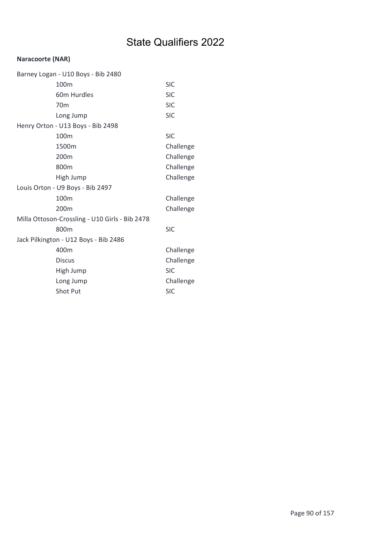#### Naracoorte (NAR)

| Barney Logan - U10 Boys - Bib 2480             |                                   |            |
|------------------------------------------------|-----------------------------------|------------|
|                                                | 100m                              | <b>SIC</b> |
|                                                | 60m Hurdles                       | <b>SIC</b> |
|                                                | 70 <sub>m</sub>                   | <b>SIC</b> |
|                                                | Long Jump                         | <b>SIC</b> |
|                                                | Henry Orton - U13 Boys - Bib 2498 |            |
|                                                | 100m                              | <b>SIC</b> |
|                                                | 1500m                             | Challenge  |
|                                                | 200m                              | Challenge  |
|                                                | 800m                              | Challenge  |
|                                                | High Jump                         | Challenge  |
|                                                | Louis Orton - U9 Boys - Bib 2497  |            |
|                                                | 100m                              | Challenge  |
|                                                | 200 <sub>m</sub>                  | Challenge  |
| Milla Ottoson-Crossling - U10 Girls - Bib 2478 |                                   |            |
|                                                | 800m                              | <b>SIC</b> |
| Jack Pilkington - U12 Boys - Bib 2486          |                                   |            |
|                                                | 400m                              | Challenge  |
|                                                | <b>Discus</b>                     | Challenge  |
|                                                | High Jump                         | <b>SIC</b> |
|                                                | Long Jump                         | Challenge  |
|                                                | <b>Shot Put</b>                   | <b>SIC</b> |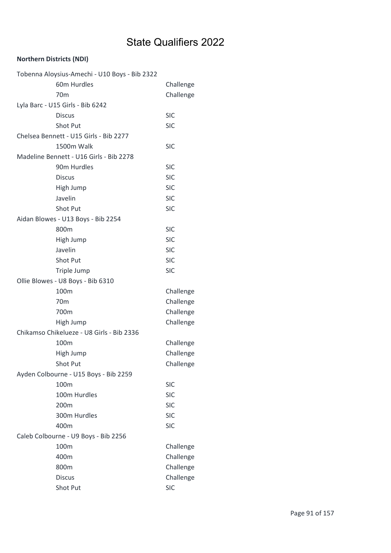| Tobenna Aloysius-Amechi - U10 Boys - Bib 2322 |            |
|-----------------------------------------------|------------|
| 60m Hurdles                                   | Challenge  |
| 70 <sub>m</sub>                               | Challenge  |
| Lyla Barc - U15 Girls - Bib 6242              |            |
| <b>Discus</b>                                 | <b>SIC</b> |
| Shot Put                                      | <b>SIC</b> |
| Chelsea Bennett - U15 Girls - Bib 2277        |            |
| 1500m Walk                                    | <b>SIC</b> |
| Madeline Bennett - U16 Girls - Bib 2278       |            |
| 90m Hurdles                                   | <b>SIC</b> |
| <b>Discus</b>                                 | <b>SIC</b> |
| High Jump                                     | <b>SIC</b> |
| Javelin                                       | <b>SIC</b> |
| Shot Put                                      | <b>SIC</b> |
| Aidan Blowes - U13 Boys - Bib 2254            |            |
| 800m                                          | <b>SIC</b> |
| High Jump                                     | <b>SIC</b> |
| Javelin                                       | <b>SIC</b> |
| Shot Put                                      | <b>SIC</b> |
| Triple Jump                                   | <b>SIC</b> |
| Ollie Blowes - U8 Boys - Bib 6310             |            |
| 100m                                          | Challenge  |
| 70 <sub>m</sub>                               | Challenge  |
| 700m                                          | Challenge  |
| High Jump                                     | Challenge  |
| Chikamso Chikelueze - U8 Girls - Bib 2336     |            |
| 100m                                          | Challenge  |
| High Jump                                     | Challenge  |
| Shot Put                                      | Challenge  |
| Ayden Colbourne - U15 Boys - Bib 2259         |            |
| 100m                                          | <b>SIC</b> |
| 100m Hurdles                                  | <b>SIC</b> |
| 200m                                          | <b>SIC</b> |
| 300m Hurdles                                  | <b>SIC</b> |
| 400m                                          | <b>SIC</b> |
| Caleb Colbourne - U9 Boys - Bib 2256          |            |
| 100m                                          | Challenge  |
| 400m                                          | Challenge  |
| 800m                                          | Challenge  |
| <b>Discus</b>                                 | Challenge  |
| Shot Put                                      | <b>SIC</b> |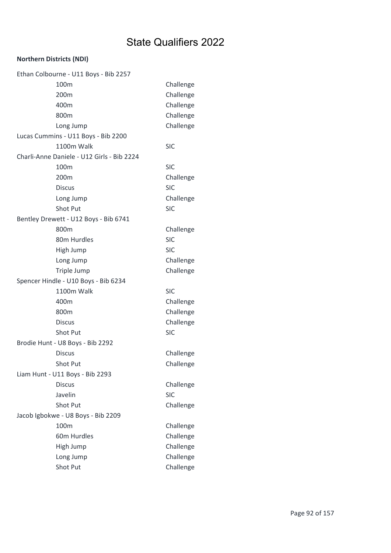| Ethan Colbourne - U11 Boys - Bib 2257      |            |
|--------------------------------------------|------------|
| 100m                                       | Challenge  |
| 200 <sub>m</sub>                           | Challenge  |
| 400m                                       | Challenge  |
| 800m                                       | Challenge  |
| Long Jump                                  | Challenge  |
| Lucas Cummins - U11 Boys - Bib 2200        |            |
| 1100m Walk                                 | <b>SIC</b> |
| Charli-Anne Daniele - U12 Girls - Bib 2224 |            |
| 100m                                       | <b>SIC</b> |
| 200m                                       | Challenge  |
| <b>Discus</b>                              | <b>SIC</b> |
| Long Jump                                  | Challenge  |
| Shot Put                                   | <b>SIC</b> |
| Bentley Drewett - U12 Boys - Bib 6741      |            |
| 800m                                       | Challenge  |
| 80m Hurdles                                | <b>SIC</b> |
| High Jump                                  | <b>SIC</b> |
| Long Jump                                  | Challenge  |
| Triple Jump                                | Challenge  |
| Spencer Hindle - U10 Boys - Bib 6234       |            |
| 1100m Walk                                 | <b>SIC</b> |
| 400m                                       | Challenge  |
| 800m                                       | Challenge  |
| <b>Discus</b>                              | Challenge  |
| Shot Put                                   | <b>SIC</b> |
| Brodie Hunt - U8 Boys - Bib 2292           |            |
| <b>Discus</b>                              | Challenge  |
| Shot Put                                   | Challenge  |
| Liam Hunt - U11 Boys - Bib 2293            |            |
| <b>Discus</b>                              | Challenge  |
| Javelin                                    | <b>SIC</b> |
| Shot Put                                   | Challenge  |
| Jacob Igbokwe - U8 Boys - Bib 2209         |            |
| 100m                                       | Challenge  |
| 60m Hurdles                                | Challenge  |
| High Jump                                  | Challenge  |
| Long Jump                                  | Challenge  |
| Shot Put                                   | Challenge  |
|                                            |            |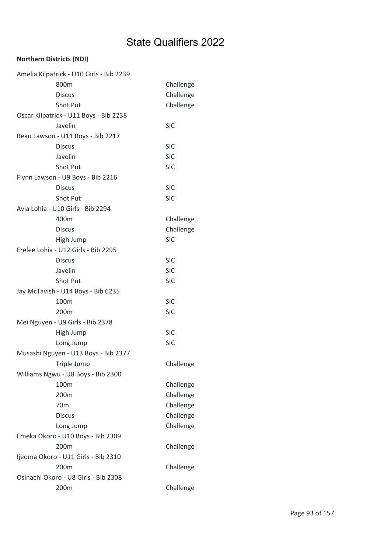|                                     | Amelia Kilpatrick - U10 Girls - Bib 2239 |            |  |
|-------------------------------------|------------------------------------------|------------|--|
|                                     | 800m                                     | Challenge  |  |
|                                     | <b>Discus</b>                            | Challenge  |  |
|                                     | Shot Put                                 | Challenge  |  |
|                                     | Oscar Kilpatrick - U11 Boys - Bib 2238   |            |  |
|                                     | Javelin                                  | <b>SIC</b> |  |
|                                     | Beau Lawson - U11 Boys - Bib 2217        |            |  |
|                                     | <b>Discus</b>                            | <b>SIC</b> |  |
|                                     | Javelin                                  | <b>SIC</b> |  |
|                                     | Shot Put                                 | <b>SIC</b> |  |
|                                     | Flynn Lawson - U9 Boys - Bib 2216        |            |  |
|                                     | <b>Discus</b>                            | <b>SIC</b> |  |
|                                     | Shot Put                                 | <b>SIC</b> |  |
|                                     | Avia Lohia - U10 Girls - Bib 2294        |            |  |
|                                     | 400m                                     | Challenge  |  |
|                                     | <b>Discus</b>                            | Challenge  |  |
|                                     | High Jump                                | <b>SIC</b> |  |
|                                     | Erelee Lohia - U12 Girls - Bib 2295      |            |  |
|                                     | <b>Discus</b>                            | <b>SIC</b> |  |
|                                     | Javelin                                  | <b>SIC</b> |  |
|                                     | Shot Put                                 | <b>SIC</b> |  |
|                                     | Jay McTavish - U14 Boys - Bib 6235       |            |  |
|                                     | 100m                                     | <b>SIC</b> |  |
|                                     | 200 <sub>m</sub>                         | <b>SIC</b> |  |
|                                     | Mei Nguyen - U9 Girls - Bib 2378         |            |  |
|                                     | High Jump                                | <b>SIC</b> |  |
|                                     | Long Jump                                | <b>SIC</b> |  |
|                                     | Musashi Nguyen - U13 Boys - Bib 2377     |            |  |
|                                     | Triple Jump                              | Challenge  |  |
|                                     | Williams Ngwu - U8 Boys - Bib 2300       |            |  |
|                                     | 100m                                     | Challenge  |  |
|                                     | 200m                                     | Challenge  |  |
|                                     | 70 <sub>m</sub>                          | Challenge  |  |
|                                     | <b>Discus</b>                            | Challenge  |  |
|                                     | Long Jump                                | Challenge  |  |
|                                     | Emeka Okoro - U10 Boys - Bib 2309        |            |  |
|                                     | 200m                                     | Challenge  |  |
| Ijeoma Okoro - U11 Girls - Bib 2310 |                                          |            |  |
|                                     | 200m                                     | Challenge  |  |
|                                     | Osinachi Okoro - U8 Girls - Bib 2308     |            |  |
|                                     | 200m                                     | Challenge  |  |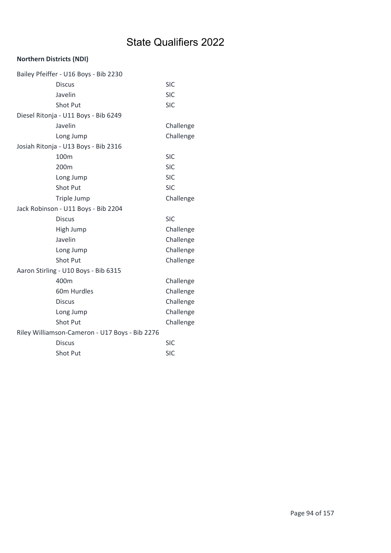| Bailey Pfeiffer - U16 Boys - Bib 2230          |            |
|------------------------------------------------|------------|
| <b>Discus</b>                                  | <b>SIC</b> |
| Javelin                                        | <b>SIC</b> |
| <b>Shot Put</b>                                | <b>SIC</b> |
| Diesel Ritonja - U11 Boys - Bib 6249           |            |
| Javelin                                        | Challenge  |
| Long Jump                                      | Challenge  |
| Josiah Ritonja - U13 Boys - Bib 2316           |            |
| 100m                                           | <b>SIC</b> |
| 200m                                           | <b>SIC</b> |
| Long Jump                                      | <b>SIC</b> |
| Shot Put                                       | <b>SIC</b> |
| Triple Jump                                    | Challenge  |
| Jack Robinson - U11 Boys - Bib 2204            |            |
| <b>Discus</b>                                  | <b>SIC</b> |
| High Jump                                      | Challenge  |
| Javelin                                        | Challenge  |
| Long Jump                                      | Challenge  |
| <b>Shot Put</b>                                | Challenge  |
| Aaron Stirling - U10 Boys - Bib 6315           |            |
| 400m                                           | Challenge  |
| 60m Hurdles                                    | Challenge  |
| <b>Discus</b>                                  | Challenge  |
| Long Jump                                      | Challenge  |
|                                                |            |
| <b>Shot Put</b>                                | Challenge  |
| Riley Williamson-Cameron - U17 Boys - Bib 2276 |            |
| <b>Discus</b>                                  | <b>SIC</b> |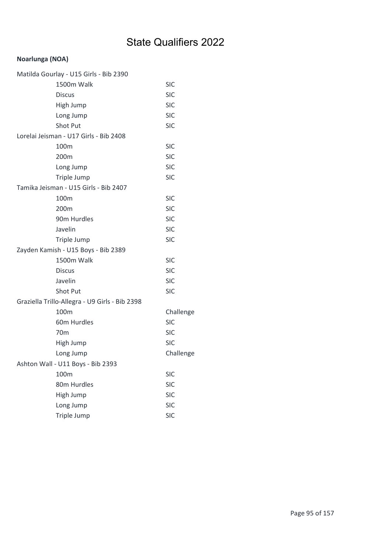### Noarlunga (NOA)

| Matilda Gourlay - U15 Girls - Bib 2390         |            |
|------------------------------------------------|------------|
| 1500m Walk                                     | <b>SIC</b> |
| <b>Discus</b>                                  | <b>SIC</b> |
| High Jump                                      | <b>SIC</b> |
| Long Jump                                      | <b>SIC</b> |
| Shot Put                                       | <b>SIC</b> |
| Lorelai Jeisman - U17 Girls - Bib 2408         |            |
| 100 <sub>m</sub>                               | <b>SIC</b> |
| 200m                                           | <b>SIC</b> |
| Long Jump                                      | <b>SIC</b> |
| Triple Jump                                    | <b>SIC</b> |
| Tamika Jeisman - U15 Girls - Bib 2407          |            |
| 100m                                           | <b>SIC</b> |
| 200m                                           | <b>SIC</b> |
| 90m Hurdles                                    | <b>SIC</b> |
| Javelin                                        | <b>SIC</b> |
| Triple Jump                                    | <b>SIC</b> |
| Zayden Kamish - U15 Boys - Bib 2389            |            |
| 1500m Walk                                     | <b>SIC</b> |
| <b>Discus</b>                                  | <b>SIC</b> |
| Javelin                                        | <b>SIC</b> |
| Shot Put                                       | <b>SIC</b> |
| Graziella Trillo-Allegra - U9 Girls - Bib 2398 |            |
| 100m                                           | Challenge  |
| 60m Hurdles                                    | <b>SIC</b> |
| 70 <sub>m</sub>                                | <b>SIC</b> |
| High Jump                                      | <b>SIC</b> |
| Long Jump                                      | Challenge  |
| Ashton Wall - U11 Boys - Bib 2393              |            |
| 100m                                           | <b>SIC</b> |
| 80m Hurdles                                    | <b>SIC</b> |
| High Jump                                      | <b>SIC</b> |
| Long Jump                                      | <b>SIC</b> |
| Triple Jump                                    | <b>SIC</b> |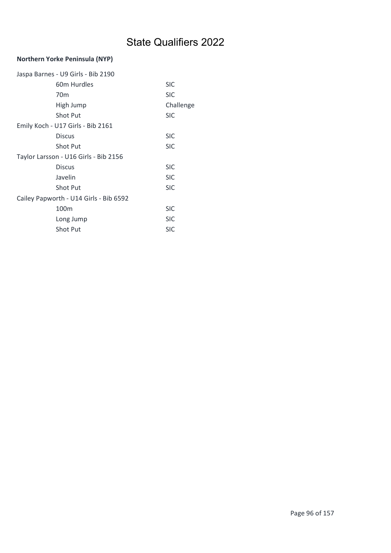### Northern Yorke Peninsula (NYP)

| Jaspa Barnes - U9 Girls - Bib 2190     |            |
|----------------------------------------|------------|
| 60m Hurdles                            | <b>SIC</b> |
| 70 <sub>m</sub>                        | <b>SIC</b> |
| High Jump                              | Challenge  |
| <b>Shot Put</b>                        | <b>SIC</b> |
| Emily Koch - U17 Girls - Bib 2161      |            |
| <b>Discus</b>                          | <b>SIC</b> |
| <b>Shot Put</b>                        | <b>SIC</b> |
| Taylor Larsson - U16 Girls - Bib 2156  |            |
| <b>Discus</b>                          | <b>SIC</b> |
| Javelin                                | <b>SIC</b> |
| <b>Shot Put</b>                        | <b>SIC</b> |
| Cailey Papworth - U14 Girls - Bib 6592 |            |
| 100 <sub>m</sub>                       | <b>SIC</b> |
| Long Jump                              | <b>SIC</b> |
| <b>Shot Put</b>                        | <b>SIC</b> |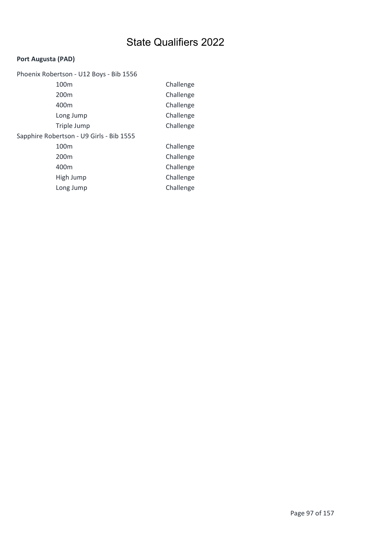### Port Augusta (PAD)

| Phoenix Robertson - U12 Boys - Bib 1556  |           |
|------------------------------------------|-----------|
| 100 <sub>m</sub>                         | Challenge |
| 200 <sub>m</sub>                         | Challenge |
| 400m                                     | Challenge |
| Long Jump                                | Challenge |
| Triple Jump                              | Challenge |
| Sapphire Robertson - U9 Girls - Bib 1555 |           |
| 100m                                     | Challenge |
| 200 <sub>m</sub>                         | Challenge |
| 400m                                     | Challenge |
| High Jump                                | Challenge |
| Long Jump                                | Challenge |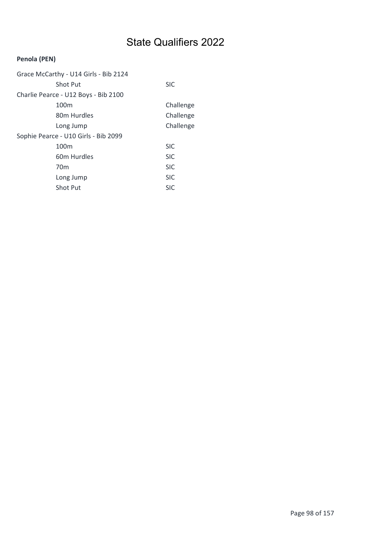### Penola (PEN)

| Grace McCarthy - U14 Girls - Bib 2124 |            |
|---------------------------------------|------------|
| <b>Shot Put</b>                       | <b>SIC</b> |
| Charlie Pearce - U12 Boys - Bib 2100  |            |
| 100 <sub>m</sub>                      | Challenge  |
| 80 <sub>m</sub> Hurdles               | Challenge  |
| Long Jump                             | Challenge  |
| Sophie Pearce - U10 Girls - Bib 2099  |            |
| 100 <sub>m</sub>                      | <b>SIC</b> |
| 60 <sub>m</sub> Hurdles               | <b>SIC</b> |
| 70 <sub>m</sub>                       | <b>SIC</b> |
| Long Jump                             | <b>SIC</b> |
| <b>Shot Put</b>                       | SIC        |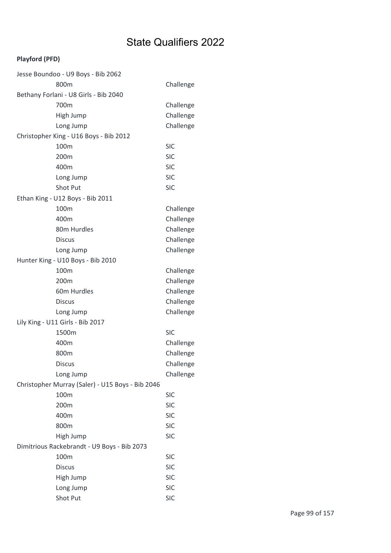### Playford (PFD)

| Jesse Boundoo - U9 Boys - Bib 2062               |            |
|--------------------------------------------------|------------|
| 800m                                             | Challenge  |
| Bethany Forlani - U8 Girls - Bib 2040            |            |
| 700m                                             | Challenge  |
| High Jump                                        | Challenge  |
| Long Jump                                        | Challenge  |
| Christopher King - U16 Boys - Bib 2012           |            |
| 100 <sub>m</sub>                                 | <b>SIC</b> |
| 200m                                             | <b>SIC</b> |
| 400m                                             | <b>SIC</b> |
| Long Jump                                        | <b>SIC</b> |
| <b>Shot Put</b>                                  | <b>SIC</b> |
| Ethan King - U12 Boys - Bib 2011                 |            |
| 100m                                             | Challenge  |
| 400m                                             | Challenge  |
| 80m Hurdles                                      | Challenge  |
| <b>Discus</b>                                    | Challenge  |
| Long Jump                                        | Challenge  |
| Hunter King - U10 Boys - Bib 2010                |            |
| 100m                                             | Challenge  |
| 200m                                             | Challenge  |
| 60m Hurdles                                      | Challenge  |
| <b>Discus</b>                                    | Challenge  |
| Long Jump                                        | Challenge  |
| Lily King - U11 Girls - Bib 2017                 |            |
| 1500m                                            | <b>SIC</b> |
| 400m                                             | Challenge  |
| 800m                                             | Challenge  |
| <b>Discus</b>                                    | Challenge  |
| Long Jump                                        | Challenge  |
| Christopher Murray (Saler) - U15 Boys - Bib 2046 |            |
| 100m                                             | <b>SIC</b> |
| 200m                                             | <b>SIC</b> |
| 400m                                             | <b>SIC</b> |
| 800m                                             | <b>SIC</b> |
| High Jump                                        | <b>SIC</b> |
| Dimitrious Rackebrandt - U9 Boys - Bib 2073      |            |
| 100m                                             | <b>SIC</b> |
| <b>Discus</b>                                    | <b>SIC</b> |
| High Jump                                        | <b>SIC</b> |
| Long Jump                                        | <b>SIC</b> |
| Shot Put                                         | <b>SIC</b> |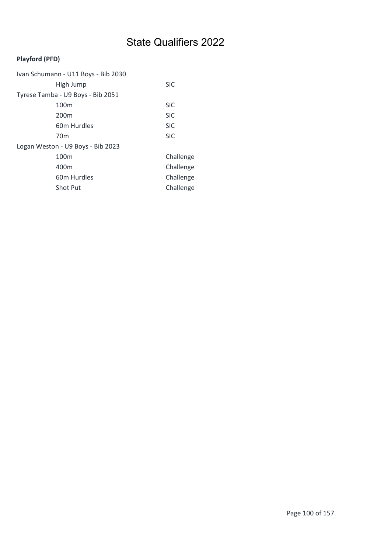### Playford (PFD)

| Ivan Schumann - U11 Boys - Bib 2030 |            |
|-------------------------------------|------------|
| High Jump                           | <b>SIC</b> |
| Tyrese Tamba - U9 Boys - Bib 2051   |            |
| 100 <sub>m</sub>                    | <b>SIC</b> |
| 200 <sub>m</sub>                    | <b>SIC</b> |
| 60m Hurdles                         | <b>SIC</b> |
| 70 <sub>m</sub>                     | <b>SIC</b> |
| Logan Weston - U9 Boys - Bib 2023   |            |
| 100 <sub>m</sub>                    | Challenge  |
| 400m                                | Challenge  |
| 60m Hurdles                         | Challenge  |
| <b>Shot Put</b>                     | Challenge  |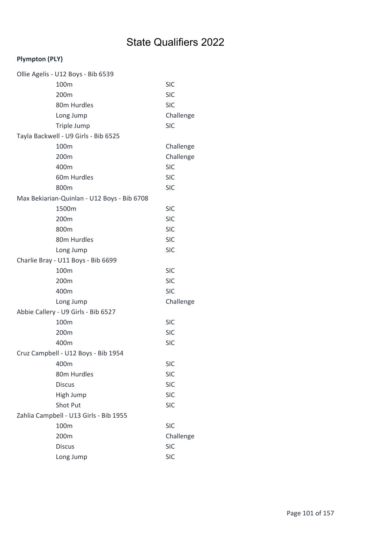| Ollie Agelis - U12 Boys - Bib 6539          |            |
|---------------------------------------------|------------|
| 100m                                        | <b>SIC</b> |
| 200m                                        | <b>SIC</b> |
| 80m Hurdles                                 | <b>SIC</b> |
| Long Jump                                   | Challenge  |
| Triple Jump                                 | <b>SIC</b> |
| Tayla Backwell - U9 Girls - Bib 6525        |            |
| 100m                                        | Challenge  |
| 200m                                        | Challenge  |
| 400m                                        | <b>SIC</b> |
| 60m Hurdles                                 | <b>SIC</b> |
| 800m                                        | <b>SIC</b> |
| Max Bekiarian-Quinlan - U12 Boys - Bib 6708 |            |
| 1500m                                       | <b>SIC</b> |
| 200m                                        | <b>SIC</b> |
| 800m                                        | <b>SIC</b> |
| 80m Hurdles                                 | <b>SIC</b> |
| Long Jump                                   | <b>SIC</b> |
| Charlie Bray - U11 Boys - Bib 6699          |            |
| 100m                                        | <b>SIC</b> |
| 200 <sub>m</sub>                            | <b>SIC</b> |
| 400m                                        | <b>SIC</b> |
| Long Jump                                   | Challenge  |
| Abbie Callery - U9 Girls - Bib 6527         |            |
| 100m                                        | <b>SIC</b> |
| 200m                                        | <b>SIC</b> |
| 400m                                        | <b>SIC</b> |
| Cruz Campbell - U12 Boys - Bib 1954         |            |
| 400m                                        | <b>SIC</b> |
| 80m Hurdles                                 | <b>SIC</b> |
| <b>Discus</b>                               | <b>SIC</b> |
| High Jump                                   | <b>SIC</b> |
| Shot Put                                    | <b>SIC</b> |
| Zahlia Campbell - U13 Girls - Bib 1955      |            |
| 100m                                        | <b>SIC</b> |
| 200m                                        | Challenge  |
| <b>Discus</b>                               | <b>SIC</b> |
| Long Jump                                   | <b>SIC</b> |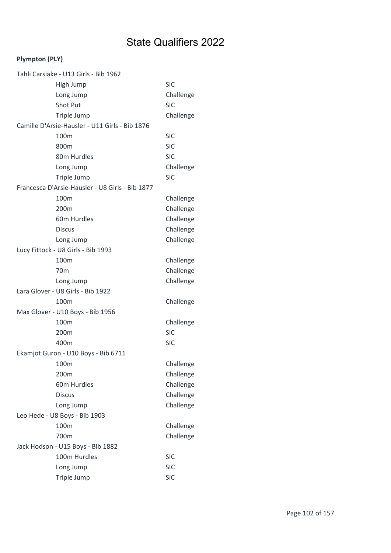| Tahli Carslake - U13 Girls - Bib 1962           |            |
|-------------------------------------------------|------------|
| High Jump                                       | <b>SIC</b> |
| Long Jump                                       | Challenge  |
| Shot Put                                        | <b>SIC</b> |
| Triple Jump                                     | Challenge  |
| Camille D'Arsie-Hausler - U11 Girls - Bib 1876  |            |
| 100m                                            | <b>SIC</b> |
| 800m                                            | <b>SIC</b> |
| 80m Hurdles                                     | <b>SIC</b> |
| Long Jump                                       | Challenge  |
| Triple Jump                                     | <b>SIC</b> |
| Francesca D'Arsie-Hausler - U8 Girls - Bib 1877 |            |
| 100m                                            | Challenge  |
| 200m                                            | Challenge  |
| 60m Hurdles                                     | Challenge  |
| <b>Discus</b>                                   | Challenge  |
| Long Jump                                       | Challenge  |
| Lucy Fittock - U8 Girls - Bib 1993              |            |
| 100m                                            | Challenge  |
| 70 <sub>m</sub>                                 | Challenge  |
| Long Jump                                       | Challenge  |
| Lara Glover - U8 Girls - Bib 1922               |            |
| 100m                                            | Challenge  |
| Max Glover - U10 Boys - Bib 1956                |            |
| 100m                                            | Challenge  |
| 200m                                            | <b>SIC</b> |
| 400m                                            | <b>SIC</b> |
| Ekamjot Guron - U10 Boys - Bib 6711             |            |
| 100m                                            | Challenge  |
| 200m                                            | Challenge  |
| 60m Hurdles                                     | Challenge  |
| <b>Discus</b>                                   | Challenge  |
| Long Jump                                       | Challenge  |
| Leo Hede - U8 Boys - Bib 1903                   |            |
| 100m                                            | Challenge  |
| 700m                                            | Challenge  |
| Jack Hodson - U15 Boys - Bib 1882               |            |
| 100m Hurdles                                    | <b>SIC</b> |
| Long Jump                                       | <b>SIC</b> |
| Triple Jump                                     | <b>SIC</b> |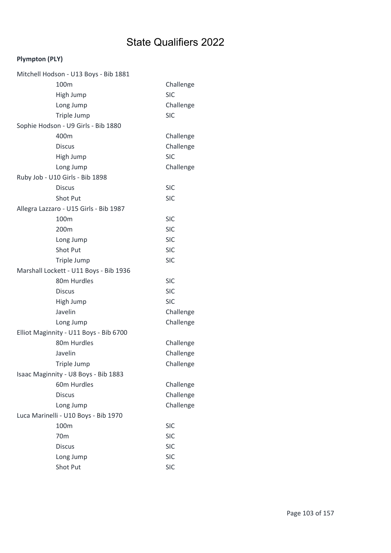| Mitchell Hodson - U13 Boys - Bib 1881  |            |
|----------------------------------------|------------|
| 100m                                   | Challenge  |
| High Jump                              | <b>SIC</b> |
| Long Jump                              | Challenge  |
| Triple Jump                            | <b>SIC</b> |
| Sophie Hodson - U9 Girls - Bib 1880    |            |
| 400m                                   | Challenge  |
| <b>Discus</b>                          | Challenge  |
| High Jump                              | <b>SIC</b> |
| Long Jump                              | Challenge  |
| Ruby Job - U10 Girls - Bib 1898        |            |
| <b>Discus</b>                          | <b>SIC</b> |
| Shot Put                               | <b>SIC</b> |
| Allegra Lazzaro - U15 Girls - Bib 1987 |            |
| 100m                                   | <b>SIC</b> |
| 200 <sub>m</sub>                       | <b>SIC</b> |
| Long Jump                              | <b>SIC</b> |
| <b>Shot Put</b>                        | <b>SIC</b> |
| Triple Jump                            | <b>SIC</b> |
| Marshall Lockett - U11 Boys - Bib 1936 |            |
| 80m Hurdles                            | <b>SIC</b> |
| <b>Discus</b>                          | <b>SIC</b> |
| High Jump                              | <b>SIC</b> |
| Javelin                                | Challenge  |
| Long Jump                              | Challenge  |
| Elliot Maginnity - U11 Boys - Bib 6700 |            |
| 80m Hurdles                            | Challenge  |
| Javelin                                | Challenge  |
| Triple Jump                            | Challenge  |
| Isaac Maginnity - U8 Boys - Bib 1883   |            |
| 60m Hurdles                            | Challenge  |
| <b>Discus</b>                          | Challenge  |
| Long Jump                              | Challenge  |
| Luca Marinelli - U10 Boys - Bib 1970   |            |
| 100m                                   | <b>SIC</b> |
| 70 <sub>m</sub>                        | <b>SIC</b> |
| <b>Discus</b>                          | <b>SIC</b> |
| Long Jump                              | <b>SIC</b> |
| Shot Put                               | <b>SIC</b> |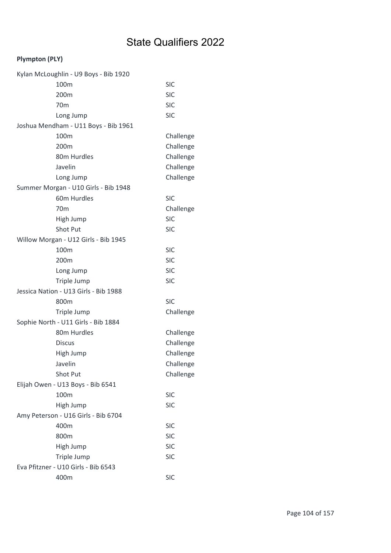| Kylan McLoughlin - U9 Boys - Bib 1920 |            |
|---------------------------------------|------------|
| 100m                                  | <b>SIC</b> |
| 200m                                  | <b>SIC</b> |
| 70 <sub>m</sub>                       | <b>SIC</b> |
| Long Jump                             | <b>SIC</b> |
| Joshua Mendham - U11 Boys - Bib 1961  |            |
| 100m                                  | Challenge  |
| 200m                                  | Challenge  |
| 80m Hurdles                           | Challenge  |
| Javelin                               | Challenge  |
| Long Jump                             | Challenge  |
| Summer Morgan - U10 Girls - Bib 1948  |            |
| 60m Hurdles                           | <b>SIC</b> |
| 70 <sub>m</sub>                       | Challenge  |
| High Jump                             | <b>SIC</b> |
| Shot Put                              | <b>SIC</b> |
| Willow Morgan - U12 Girls - Bib 1945  |            |
| 100m                                  | <b>SIC</b> |
| 200m                                  | <b>SIC</b> |
| Long Jump                             | <b>SIC</b> |
| Triple Jump                           | <b>SIC</b> |
| Jessica Nation - U13 Girls - Bib 1988 |            |
| 800m                                  | <b>SIC</b> |
| Triple Jump                           | Challenge  |
| Sophie North - U11 Girls - Bib 1884   |            |
| 80m Hurdles                           | Challenge  |
| <b>Discus</b>                         | Challenge  |
| High Jump                             | Challenge  |
| Javelin                               | Challenge  |
| Shot Put                              | Challenge  |
| Elijah Owen - U13 Boys - Bib 6541     |            |
| 100m                                  | <b>SIC</b> |
| High Jump                             | <b>SIC</b> |
| Amy Peterson - U16 Girls - Bib 6704   |            |
| 400m                                  | <b>SIC</b> |
| 800m                                  | <b>SIC</b> |
| High Jump                             | <b>SIC</b> |
| Triple Jump                           | <b>SIC</b> |
| Eva Pfitzner - U10 Girls - Bib 6543   |            |
| 400m                                  | <b>SIC</b> |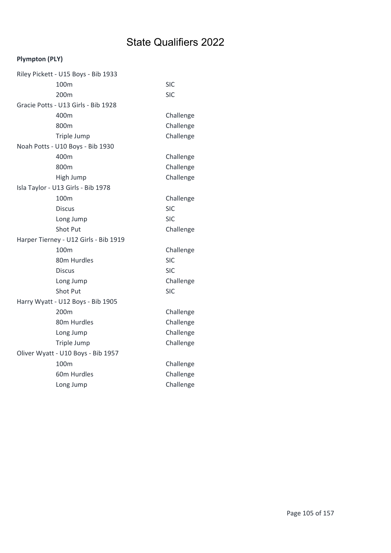| Riley Pickett - U15 Boys - Bib 1933   |            |
|---------------------------------------|------------|
| 100 <sub>m</sub>                      | <b>SIC</b> |
| 200 <sub>m</sub>                      | <b>SIC</b> |
| Gracie Potts - U13 Girls - Bib 1928   |            |
| 400m                                  | Challenge  |
| 800m                                  | Challenge  |
| Triple Jump                           | Challenge  |
| Noah Potts - U10 Boys - Bib 1930      |            |
| 400m                                  | Challenge  |
| 800m                                  | Challenge  |
| High Jump                             | Challenge  |
| Isla Taylor - U13 Girls - Bib 1978    |            |
| 100m                                  | Challenge  |
| <b>Discus</b>                         | <b>SIC</b> |
| Long Jump                             | <b>SIC</b> |
| <b>Shot Put</b>                       | Challenge  |
| Harper Tierney - U12 Girls - Bib 1919 |            |
| 100 <sub>m</sub>                      | Challenge  |
| 80m Hurdles                           | <b>SIC</b> |
| <b>Discus</b>                         | <b>SIC</b> |
| Long Jump                             | Challenge  |
| <b>Shot Put</b>                       | <b>SIC</b> |
| Harry Wyatt - U12 Boys - Bib 1905     |            |
| 200 <sub>m</sub>                      | Challenge  |
| 80m Hurdles                           | Challenge  |
| Long Jump                             | Challenge  |
| Triple Jump                           | Challenge  |
| Oliver Wyatt - U10 Boys - Bib 1957    |            |
| 100 <sub>m</sub>                      | Challenge  |
| 60m Hurdles                           | Challenge  |
| Long Jump                             | Challenge  |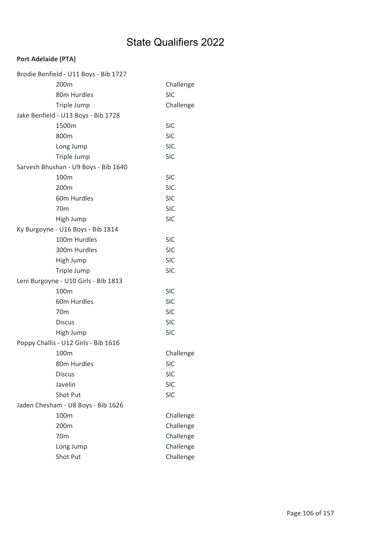#### Port Adelaide (PTA)

| Brodie Benfield - U11 Boys - Bib 1727 |            |
|---------------------------------------|------------|
| 200m                                  | Challenge  |
| 80m Hurdles                           | <b>SIC</b> |
| Triple Jump                           | Challenge  |
| Jake Benfield - U13 Boys - Bib 1728   |            |
| 1500m                                 | <b>SIC</b> |
| 800m                                  | <b>SIC</b> |
| Long Jump                             | <b>SIC</b> |
| Triple Jump                           | <b>SIC</b> |
| Sarvesh Bhushan - U9 Boys - Bib 1640  |            |
| 100m                                  | <b>SIC</b> |
| 200m                                  | <b>SIC</b> |
| 60m Hurdles                           | <b>SIC</b> |
| 70 <sub>m</sub>                       | <b>SIC</b> |
| High Jump                             | <b>SIC</b> |
| Ky Burgoyne - U16 Boys - Bib 1814     |            |
| 100m Hurdles                          | <b>SIC</b> |
| 300m Hurdles                          | <b>SIC</b> |
| High Jump                             | <b>SIC</b> |
| Triple Jump                           | <b>SIC</b> |
| Leni Burgoyne - U10 Girls - Bib 1813  |            |
| 100 <sub>m</sub>                      | <b>SIC</b> |
| 60m Hurdles                           | <b>SIC</b> |
| 70 <sub>m</sub>                       | <b>SIC</b> |
| <b>Discus</b>                         | <b>SIC</b> |
| High Jump                             | <b>SIC</b> |
| Poppy Challis - U12 Girls - Bib 1616  |            |
| 100m                                  | Challenge  |
| 80m Hurdles                           | <b>SIC</b> |
| <b>Discus</b>                         | <b>SIC</b> |
| Javelin                               | <b>SIC</b> |
| Shot Put                              | <b>SIC</b> |
| Jaden Chesham - U8 Boys - Bib 1626    |            |
| 100m                                  | Challenge  |
| 200m                                  | Challenge  |
| 70 <sub>m</sub>                       | Challenge  |
| Long Jump                             | Challenge  |
| Shot Put                              | Challenge  |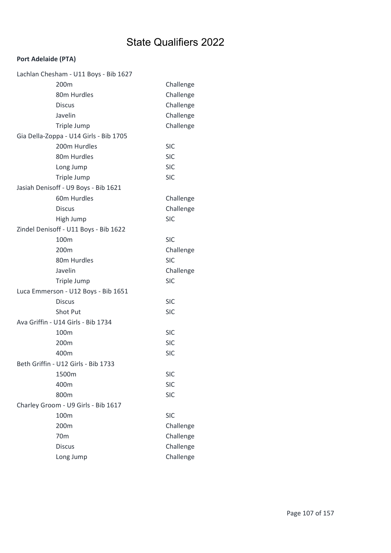#### Port Adelaide (PTA)

| Lachlan Chesham - U11 Boys - Bib 1627  |            |
|----------------------------------------|------------|
| 200m                                   | Challenge  |
| 80m Hurdles                            | Challenge  |
| <b>Discus</b>                          | Challenge  |
| Javelin                                | Challenge  |
| Triple Jump                            | Challenge  |
| Gia Della-Zoppa - U14 Girls - Bib 1705 |            |
| 200m Hurdles                           | <b>SIC</b> |
| 80m Hurdles                            | <b>SIC</b> |
| Long Jump                              | <b>SIC</b> |
| Triple Jump                            | <b>SIC</b> |
| Jasiah Denisoff - U9 Boys - Bib 1621   |            |
| 60m Hurdles                            | Challenge  |
| <b>Discus</b>                          | Challenge  |
| High Jump                              | <b>SIC</b> |
| Zindel Denisoff - U11 Boys - Bib 1622  |            |
| 100m                                   | <b>SIC</b> |
| 200 <sub>m</sub>                       | Challenge  |
| 80m Hurdles                            | <b>SIC</b> |
| Javelin                                | Challenge  |
| Triple Jump                            | <b>SIC</b> |
| Luca Emmerson - U12 Boys - Bib 1651    |            |
| <b>Discus</b>                          | <b>SIC</b> |
| Shot Put                               | <b>SIC</b> |
| Ava Griffin - U14 Girls - Bib 1734     |            |
| 100m                                   | <b>SIC</b> |
| 200m                                   | <b>SIC</b> |
| 400m                                   | <b>SIC</b> |
| Beth Griffin - U12 Girls - Bib 1733    |            |
| 1500m                                  | <b>SIC</b> |
| 400m                                   | <b>SIC</b> |
| 800m                                   | <b>SIC</b> |
| Charley Groom - U9 Girls - Bib 1617    |            |
| 100m                                   | <b>SIC</b> |
| 200m                                   | Challenge  |
| 70 <sub>m</sub>                        | Challenge  |
| <b>Discus</b>                          | Challenge  |
| Long Jump                              | Challenge  |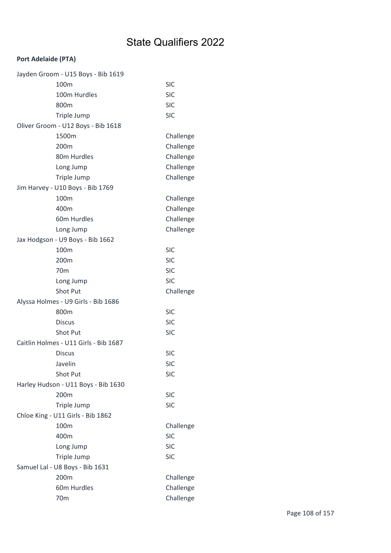#### Port Adelaide (PTA)

| Jayden Groom - U15 Boys - Bib 1619    |            |
|---------------------------------------|------------|
| 100m                                  | <b>SIC</b> |
| 100m Hurdles                          | <b>SIC</b> |
| 800m                                  | <b>SIC</b> |
| Triple Jump                           | <b>SIC</b> |
| Oliver Groom - U12 Boys - Bib 1618    |            |
| 1500m                                 | Challenge  |
| 200m                                  | Challenge  |
| 80m Hurdles                           | Challenge  |
| Long Jump                             | Challenge  |
| Triple Jump                           | Challenge  |
| Jim Harvey - U10 Boys - Bib 1769      |            |
| 100m                                  | Challenge  |
| 400m                                  | Challenge  |
| 60m Hurdles                           | Challenge  |
| Long Jump                             | Challenge  |
| Jax Hodgson - U9 Boys - Bib 1662      |            |
| 100m                                  | <b>SIC</b> |
| 200m                                  | <b>SIC</b> |
| 70 <sub>m</sub>                       | <b>SIC</b> |
| Long Jump                             | <b>SIC</b> |
| Shot Put                              | Challenge  |
| Alyssa Holmes - U9 Girls - Bib 1686   |            |
| 800m                                  | <b>SIC</b> |
| <b>Discus</b>                         | <b>SIC</b> |
| <b>Shot Put</b>                       | <b>SIC</b> |
| Caitlin Holmes - U11 Girls - Bib 1687 |            |
| <b>Discus</b>                         | <b>SIC</b> |
| Javelin                               | <b>SIC</b> |
| Shot Put                              | <b>SIC</b> |
| Harley Hudson - U11 Boys - Bib 1630   |            |
| 200m                                  | <b>SIC</b> |
| Triple Jump                           | <b>SIC</b> |
| Chloe King - U11 Girls - Bib 1862     |            |
| 100m                                  | Challenge  |
| 400m                                  | <b>SIC</b> |
| Long Jump                             | <b>SIC</b> |
| Triple Jump                           | <b>SIC</b> |
| Samuel Lal - U8 Boys - Bib 1631       |            |
| 200m                                  | Challenge  |
| 60m Hurdles                           | Challenge  |
| 70 <sub>m</sub>                       | Challenge  |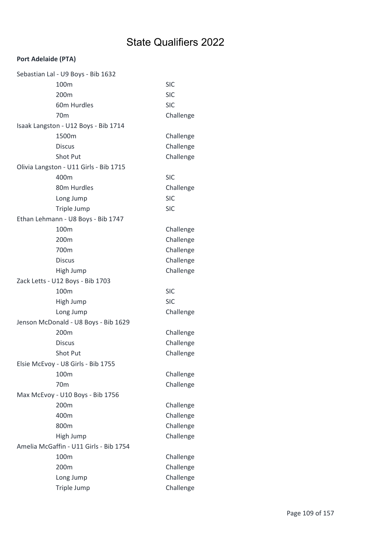| Sebastian Lal - U9 Boys - Bib 1632     |            |
|----------------------------------------|------------|
| 100m                                   | <b>SIC</b> |
| 200m                                   | <b>SIC</b> |
| 60m Hurdles                            | <b>SIC</b> |
| 70m                                    | Challenge  |
| Isaak Langston - U12 Boys - Bib 1714   |            |
| 1500m                                  | Challenge  |
| <b>Discus</b>                          | Challenge  |
| Shot Put                               | Challenge  |
| Olivia Langston - U11 Girls - Bib 1715 |            |
| 400m                                   | <b>SIC</b> |
| 80m Hurdles                            | Challenge  |
| Long Jump                              | <b>SIC</b> |
| Triple Jump                            | <b>SIC</b> |
| Ethan Lehmann - U8 Boys - Bib 1747     |            |
| 100m                                   | Challenge  |
| 200 <sub>m</sub>                       | Challenge  |
| 700m                                   | Challenge  |
| <b>Discus</b>                          | Challenge  |
| High Jump                              | Challenge  |
| Zack Letts - U12 Boys - Bib 1703       |            |
|                                        |            |
| 100m                                   | <b>SIC</b> |
| High Jump                              | <b>SIC</b> |
| Long Jump                              | Challenge  |
| Jenson McDonald - U8 Boys - Bib 1629   |            |
| 200m                                   | Challenge  |
| <b>Discus</b>                          | Challenge  |
| <b>Shot Put</b>                        | Challenge  |
| Elsie McEvoy - U8 Girls - Bib 1755     |            |
| 100m                                   | Challenge  |
| 70 <sub>m</sub>                        | Challenge  |
| Max McEvoy - U10 Boys - Bib 1756       |            |
| 200m                                   | Challenge  |
| 400m                                   | Challenge  |
| 800m                                   | Challenge  |
| High Jump                              | Challenge  |
| Amelia McGaffin - U11 Girls - Bib 1754 |            |
| 100m                                   | Challenge  |
| 200m                                   | Challenge  |
| Long Jump                              | Challenge  |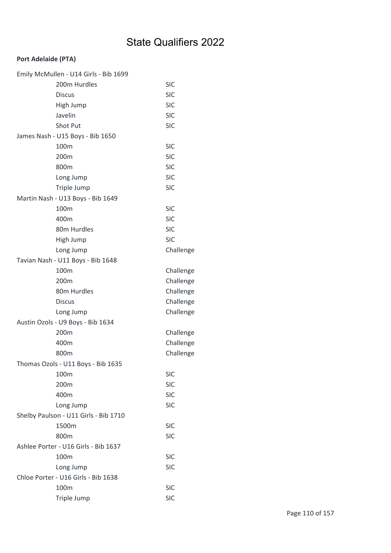| Emily McMullen - U14 Girls - Bib 1699 |            |
|---------------------------------------|------------|
| 200m Hurdles                          | <b>SIC</b> |
| <b>Discus</b>                         | <b>SIC</b> |
| High Jump                             | <b>SIC</b> |
| Javelin                               | <b>SIC</b> |
| Shot Put                              | <b>SIC</b> |
| James Nash - U15 Boys - Bib 1650      |            |
| 100m                                  | <b>SIC</b> |
| 200m                                  | <b>SIC</b> |
| 800m                                  | <b>SIC</b> |
| Long Jump                             | <b>SIC</b> |
| Triple Jump                           | <b>SIC</b> |
| Martin Nash - U13 Boys - Bib 1649     |            |
| 100m                                  | <b>SIC</b> |
| 400m                                  | <b>SIC</b> |
| 80m Hurdles                           | <b>SIC</b> |
| High Jump                             | <b>SIC</b> |
| Long Jump                             | Challenge  |
| Tavian Nash - U11 Boys - Bib 1648     |            |
| 100m                                  | Challenge  |
| 200 <sub>m</sub>                      | Challenge  |
| 80m Hurdles                           | Challenge  |
| <b>Discus</b>                         | Challenge  |
| Long Jump                             | Challenge  |
| Austin Ozols - U9 Boys - Bib 1634     |            |
| 200m                                  | Challenge  |
| 400m                                  | Challenge  |
| 800m                                  | Challenge  |
| Thomas Ozols - U11 Boys - Bib 1635    |            |
| 100m                                  | <b>SIC</b> |
| 200m                                  | <b>SIC</b> |
| 400m                                  | <b>SIC</b> |
| Long Jump                             | <b>SIC</b> |
| Shelby Paulson - U11 Girls - Bib 1710 |            |
| 1500m                                 | <b>SIC</b> |
| 800m                                  | <b>SIC</b> |
| Ashlee Porter - U16 Girls - Bib 1637  |            |
| 100m                                  | <b>SIC</b> |
| Long Jump                             | <b>SIC</b> |
| Chloe Porter - U16 Girls - Bib 1638   |            |
| 100m                                  | <b>SIC</b> |
| Triple Jump                           | <b>SIC</b> |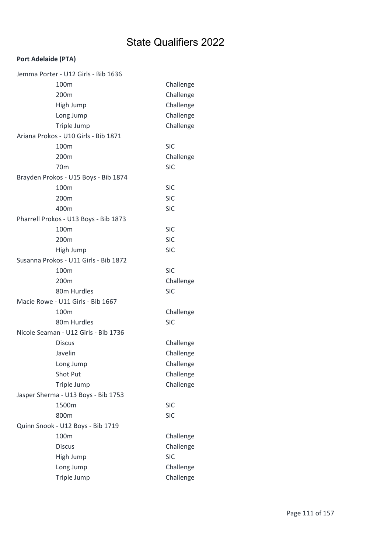| Jemma Porter - U12 Girls - Bib 1636   |            |
|---------------------------------------|------------|
| 100m                                  | Challenge  |
| 200 <sub>m</sub>                      | Challenge  |
| High Jump                             | Challenge  |
| Long Jump                             | Challenge  |
| Triple Jump                           | Challenge  |
| Ariana Prokos - U10 Girls - Bib 1871  |            |
| 100m                                  | <b>SIC</b> |
| 200m                                  | Challenge  |
| 70 <sub>m</sub>                       | <b>SIC</b> |
| Brayden Prokos - U15 Boys - Bib 1874  |            |
| 100m                                  | <b>SIC</b> |
| 200m                                  | <b>SIC</b> |
| 400m                                  | <b>SIC</b> |
| Pharrell Prokos - U13 Boys - Bib 1873 |            |
| 100m                                  | <b>SIC</b> |
| 200m                                  | <b>SIC</b> |
| High Jump                             | <b>SIC</b> |
| Susanna Prokos - U11 Girls - Bib 1872 |            |
| 100m                                  | <b>SIC</b> |
| 200 <sub>m</sub>                      | Challenge  |
| 80m Hurdles                           | <b>SIC</b> |
| Macie Rowe - U11 Girls - Bib 1667     |            |
| 100 <sub>m</sub>                      | Challenge  |
| 80m Hurdles                           | <b>SIC</b> |
| Nicole Seaman - U12 Girls - Bib 1736  |            |
| <b>Discus</b>                         | Challenge  |
| Javelin                               | Challenge  |
| Long Jump                             | Challenge  |
| Shot Put                              | Challenge  |
| Triple Jump                           | Challenge  |
| Jasper Sherma - U13 Boys - Bib 1753   |            |
| 1500m                                 | <b>SIC</b> |
| 800m                                  | <b>SIC</b> |
| Quinn Snook - U12 Boys - Bib 1719     |            |
| 100m                                  | Challenge  |
| <b>Discus</b>                         | Challenge  |
| High Jump                             | <b>SIC</b> |
| Long Jump                             | Challenge  |
| Triple Jump                           | Challenge  |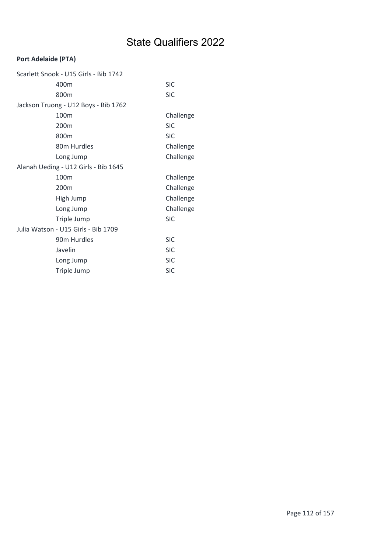| Scarlett Snook - U15 Girls - Bib 1742 |            |
|---------------------------------------|------------|
| 400m                                  | <b>SIC</b> |
| 800m                                  | <b>SIC</b> |
| Jackson Truong - U12 Boys - Bib 1762  |            |
| 100m                                  | Challenge  |
| 200m                                  | <b>SIC</b> |
| 800m                                  | <b>SIC</b> |
| 80 <sub>m</sub> Hurdles               | Challenge  |
| Long Jump                             | Challenge  |
| Alanah Ueding - U12 Girls - Bib 1645  |            |
| 100m                                  | Challenge  |
| 200m                                  | Challenge  |
| High Jump                             | Challenge  |
| Long Jump                             | Challenge  |
| Triple Jump                           | <b>SIC</b> |
| Julia Watson - U15 Girls - Bib 1709   |            |
| 90 <sub>m</sub> Hurdles               | <b>SIC</b> |
| Javelin                               | <b>SIC</b> |
| Long Jump                             | <b>SIC</b> |
| Triple Jump                           | <b>SIC</b> |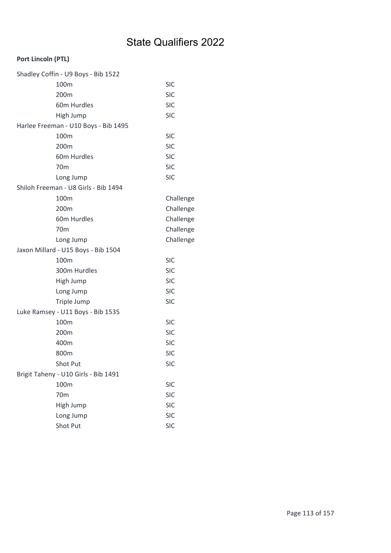### Port Lincoln (PTL)

| Shadley Coffin - U9 Boys - Bib 1522  |            |
|--------------------------------------|------------|
| 100m                                 | <b>SIC</b> |
| 200m                                 | <b>SIC</b> |
| 60m Hurdles                          | <b>SIC</b> |
| High Jump                            | <b>SIC</b> |
| Harlee Freeman - U10 Boys - Bib 1495 |            |
| 100m                                 | <b>SIC</b> |
| 200 <sub>m</sub>                     | <b>SIC</b> |
| 60m Hurdles                          | <b>SIC</b> |
| 70 <sub>m</sub>                      | <b>SIC</b> |
| Long Jump                            | <b>SIC</b> |
| Shiloh Freeman - U8 Girls - Bib 1494 |            |
| 100m                                 | Challenge  |
| 200m                                 | Challenge  |
| 60m Hurdles                          | Challenge  |
| 70 <sub>m</sub>                      | Challenge  |
| Long Jump                            | Challenge  |
| Jaxon Millard - U15 Boys - Bib 1504  |            |
| 100m                                 | <b>SIC</b> |
| 300m Hurdles                         | <b>SIC</b> |
| High Jump                            | <b>SIC</b> |
| Long Jump                            | <b>SIC</b> |
| Triple Jump                          | <b>SIC</b> |
| Luke Ramsey - U11 Boys - Bib 1535    |            |
| 100m                                 | <b>SIC</b> |
| 200m                                 | <b>SIC</b> |
| 400m                                 | <b>SIC</b> |
| 800m                                 | <b>SIC</b> |
| Shot Put                             | <b>SIC</b> |
| Brigit Taheny - U10 Girls - Bib 1491 |            |
| 100m                                 | <b>SIC</b> |
| 70 <sub>m</sub>                      | <b>SIC</b> |
| High Jump                            | <b>SIC</b> |
| Long Jump                            | <b>SIC</b> |
| Shot Put                             | <b>SIC</b> |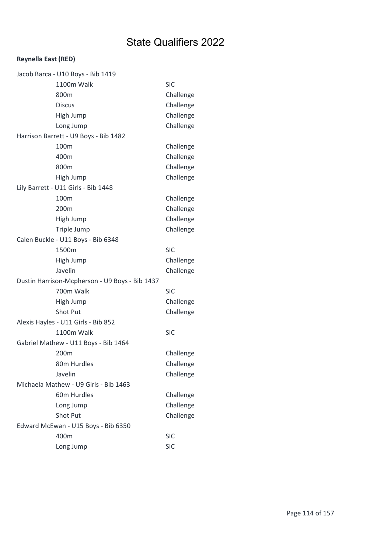### Reynella East (RED)

| Jacob Barca - U10 Boys - Bib 1419              |            |
|------------------------------------------------|------------|
| 1100m Walk                                     | <b>SIC</b> |
| 800m                                           | Challenge  |
| <b>Discus</b>                                  | Challenge  |
| High Jump                                      | Challenge  |
| Long Jump                                      | Challenge  |
| Harrison Barrett - U9 Boys - Bib 1482          |            |
| 100m                                           | Challenge  |
| 400m                                           | Challenge  |
| 800m                                           | Challenge  |
| High Jump                                      | Challenge  |
| Lily Barrett - U11 Girls - Bib 1448            |            |
| 100m                                           | Challenge  |
| 200m                                           | Challenge  |
| High Jump                                      | Challenge  |
| Triple Jump                                    | Challenge  |
| Calen Buckle - U11 Boys - Bib 6348             |            |
| 1500m                                          | <b>SIC</b> |
| High Jump                                      | Challenge  |
| Javelin                                        | Challenge  |
| Dustin Harrison-Mcpherson - U9 Boys - Bib 1437 |            |
| 700m Walk                                      | <b>SIC</b> |
| High Jump                                      | Challenge  |
| Shot Put                                       | Challenge  |
| Alexis Hayles - U11 Girls - Bib 852            |            |
| 1100m Walk                                     | <b>SIC</b> |
| Gabriel Mathew - U11 Boys - Bib 1464           |            |
| 200m                                           | Challenge  |
| 80m Hurdles                                    | Challenge  |
| Javelin                                        | Challenge  |
| Michaela Mathew - U9 Girls - Bib 1463          |            |
| 60m Hurdles                                    | Challenge  |
| Long Jump                                      | Challenge  |
| <b>Shot Put</b>                                | Challenge  |
| Edward McEwan - U15 Boys - Bib 6350            |            |
| 400m                                           | <b>SIC</b> |
| Long Jump                                      | <b>SIC</b> |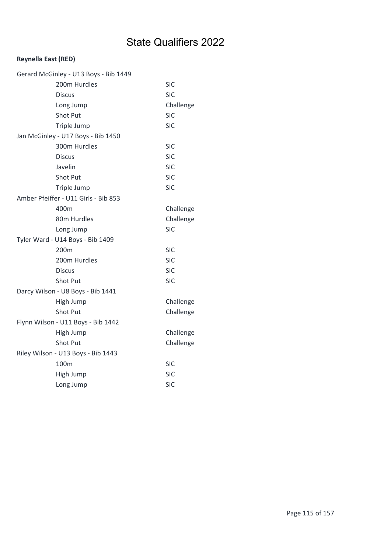### Reynella East (RED)

| Gerard McGinley - U13 Boys - Bib 1449 |            |
|---------------------------------------|------------|
| 200m Hurdles                          | SIC        |
| <b>Discus</b>                         | <b>SIC</b> |
| Long Jump                             | Challenge  |
| <b>Shot Put</b>                       | <b>SIC</b> |
| Triple Jump                           | SIC        |
| Jan McGinley - U17 Boys - Bib 1450    |            |
| 300m Hurdles                          | <b>SIC</b> |
| <b>Discus</b>                         | <b>SIC</b> |
| Javelin                               | SIC        |
| <b>Shot Put</b>                       | <b>SIC</b> |
| Triple Jump                           | <b>SIC</b> |
| Amber Pfeiffer - U11 Girls - Bib 853  |            |
| 400m                                  | Challenge  |
| 80m Hurdles                           | Challenge  |
| Long Jump                             | SIC        |
| Tyler Ward - U14 Boys - Bib 1409      |            |
| 200m                                  | <b>SIC</b> |
| 200m Hurdles                          | <b>SIC</b> |
| <b>Discus</b>                         | SIC        |
| <b>Shot Put</b>                       | SIC        |
| Darcy Wilson - U8 Boys - Bib 1441     |            |
| High Jump                             | Challenge  |
| Shot Put                              | Challenge  |
| Flynn Wilson - U11 Boys - Bib 1442    |            |
| High Jump                             | Challenge  |
| Shot Put                              | Challenge  |
| Riley Wilson - U13 Boys - Bib 1443    |            |
| 100m                                  | <b>SIC</b> |
| High Jump                             | <b>SIC</b> |
| Long Jump                             | SIC        |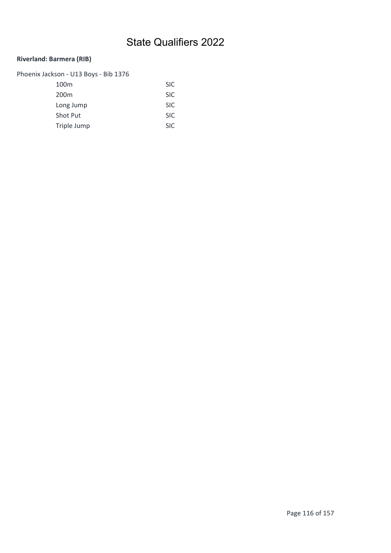### Riverland: Barmera (RIB)

| Phoenix Jackson - U13 Boys - Bib 1376 |            |
|---------------------------------------|------------|
| 100 <sub>m</sub>                      | <b>SIC</b> |
| 200 <sub>m</sub>                      | <b>SIC</b> |
| Long Jump                             | <b>SIC</b> |
| <b>Shot Put</b>                       | <b>SIC</b> |
| Triple Jump                           | <b>SIC</b> |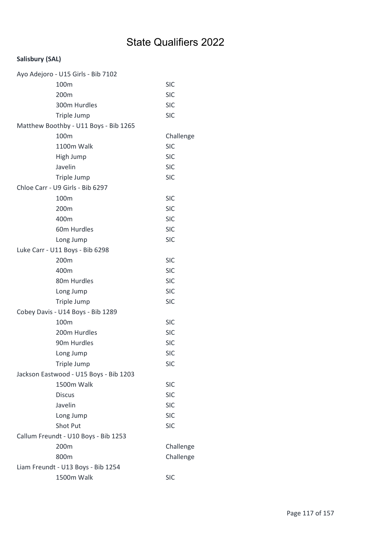| Ayo Adejoro - U15 Girls - Bib 7102     |            |
|----------------------------------------|------------|
| 100m                                   | <b>SIC</b> |
| 200m                                   | <b>SIC</b> |
| 300m Hurdles                           | <b>SIC</b> |
| Triple Jump                            | <b>SIC</b> |
| Matthew Boothby - U11 Boys - Bib 1265  |            |
| 100m                                   | Challenge  |
| 1100m Walk                             | <b>SIC</b> |
| High Jump                              | <b>SIC</b> |
| Javelin                                | <b>SIC</b> |
| Triple Jump                            | <b>SIC</b> |
| Chloe Carr - U9 Girls - Bib 6297       |            |
| 100m                                   | <b>SIC</b> |
| 200 <sub>m</sub>                       | <b>SIC</b> |
| 400m                                   | <b>SIC</b> |
| 60m Hurdles                            | <b>SIC</b> |
| Long Jump                              | <b>SIC</b> |
| Luke Carr - U11 Boys - Bib 6298        |            |
| 200m                                   | <b>SIC</b> |
| 400m                                   | <b>SIC</b> |
| 80m Hurdles                            | <b>SIC</b> |
| Long Jump                              | <b>SIC</b> |
| Triple Jump                            | <b>SIC</b> |
| Cobey Davis - U14 Boys - Bib 1289      |            |
| 100m                                   | <b>SIC</b> |
| 200m Hurdles                           | <b>SIC</b> |
| 90m Hurdles                            | <b>SIC</b> |
| Long Jump                              | <b>SIC</b> |
| Triple Jump                            | <b>SIC</b> |
| Jackson Eastwood - U15 Boys - Bib 1203 |            |
| 1500m Walk                             | <b>SIC</b> |
| <b>Discus</b>                          | <b>SIC</b> |
| Javelin                                | <b>SIC</b> |
| Long Jump                              | <b>SIC</b> |
| Shot Put                               | <b>SIC</b> |
| Callum Freundt - U10 Boys - Bib 1253   |            |
| 200m                                   | Challenge  |
| 800m                                   | Challenge  |
| Liam Freundt - U13 Boys - Bib 1254     |            |
| 1500m Walk                             | <b>SIC</b> |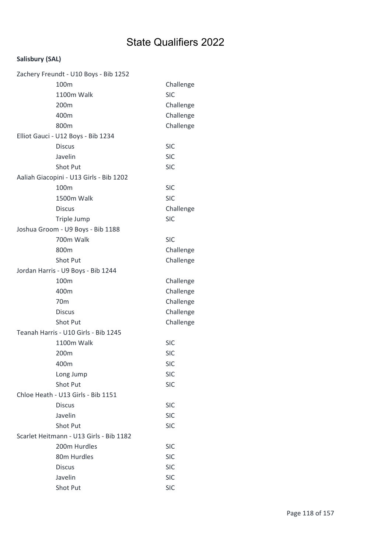| Zachery Freundt - U10 Boys - Bib 1252   |            |
|-----------------------------------------|------------|
| 100m                                    | Challenge  |
| 1100m Walk                              | <b>SIC</b> |
| 200m                                    | Challenge  |
| 400m                                    | Challenge  |
| 800m                                    | Challenge  |
| Elliot Gauci - U12 Boys - Bib 1234      |            |
| <b>Discus</b>                           | <b>SIC</b> |
| Javelin                                 | <b>SIC</b> |
| <b>Shot Put</b>                         | <b>SIC</b> |
| Aaliah Giacopini - U13 Girls - Bib 1202 |            |
| 100m                                    | <b>SIC</b> |
| 1500m Walk                              | <b>SIC</b> |
| <b>Discus</b>                           | Challenge  |
| Triple Jump                             | <b>SIC</b> |
| Joshua Groom - U9 Boys - Bib 1188       |            |
| 700m Walk                               | <b>SIC</b> |
| 800m                                    | Challenge  |
| Shot Put                                | Challenge  |
| Jordan Harris - U9 Boys - Bib 1244      |            |
| 100m                                    | Challenge  |
| 400m                                    | Challenge  |
| 70 <sub>m</sub>                         | Challenge  |
| <b>Discus</b>                           | Challenge  |
| Shot Put                                | Challenge  |
| Teanah Harris - U10 Girls - Bib 1245    |            |
| 1100m Walk                              | <b>SIC</b> |
| 200m                                    | <b>SIC</b> |
| 400m                                    | <b>SIC</b> |
| Long Jump                               | <b>SIC</b> |
| <b>Shot Put</b>                         | <b>SIC</b> |
| Chloe Heath - U13 Girls - Bib 1151      |            |
| <b>Discus</b>                           | <b>SIC</b> |
| Javelin                                 | <b>SIC</b> |
| <b>Shot Put</b>                         | <b>SIC</b> |
| Scarlet Heitmann - U13 Girls - Bib 1182 |            |
| 200m Hurdles                            | <b>SIC</b> |
| 80m Hurdles                             | <b>SIC</b> |
| <b>Discus</b>                           | <b>SIC</b> |
| Javelin                                 | <b>SIC</b> |
| Shot Put                                | <b>SIC</b> |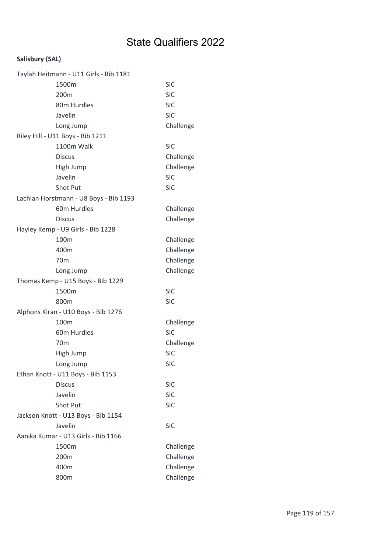| Taylah Heitmann - U11 Girls - Bib 1181 |            |
|----------------------------------------|------------|
| 1500m                                  | <b>SIC</b> |
| 200m                                   | <b>SIC</b> |
| 80m Hurdles                            | <b>SIC</b> |
| Javelin                                | <b>SIC</b> |
| Long Jump                              | Challenge  |
| Riley Hill - U11 Boys - Bib 1211       |            |
| 1100m Walk                             | <b>SIC</b> |
| <b>Discus</b>                          | Challenge  |
| High Jump                              | Challenge  |
| Javelin                                | <b>SIC</b> |
| Shot Put                               | <b>SIC</b> |
| Lachlan Horstmann - U8 Boys - Bib 1193 |            |
| 60m Hurdles                            | Challenge  |
| <b>Discus</b>                          | Challenge  |
| Hayley Kemp - U9 Girls - Bib 1228      |            |
| 100m                                   | Challenge  |
| 400m                                   | Challenge  |
| 70 <sub>m</sub>                        | Challenge  |
| Long Jump                              | Challenge  |
| Thomas Kemp - U15 Boys - Bib 1229      |            |
| 1500m                                  | <b>SIC</b> |
| 800m                                   | <b>SIC</b> |
| Alphons Kiran - U10 Boys - Bib 1276    |            |
| 100m                                   | Challenge  |
| 60m Hurdles                            | <b>SIC</b> |
| 70m                                    | Challenge  |
| High Jump                              | <b>SIC</b> |
| Long Jump                              | <b>SIC</b> |
| Ethan Knott - U11 Boys - Bib 1153      |            |
| <b>Discus</b>                          | <b>SIC</b> |
| Javelin                                | <b>SIC</b> |
| <b>Shot Put</b>                        | <b>SIC</b> |
| Jackson Knott - U13 Boys - Bib 1154    |            |
| Javelin                                | <b>SIC</b> |
| Aanika Kumar - U13 Girls - Bib 1166    |            |
| 1500m                                  | Challenge  |
| 200m                                   | Challenge  |
| 400m                                   | Challenge  |
| 800m                                   | Challenge  |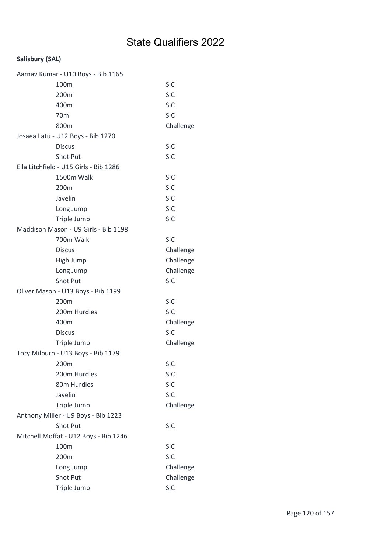| Aarnav Kumar - U10 Boys - Bib 1165     |            |
|----------------------------------------|------------|
| 100m                                   | <b>SIC</b> |
| 200m                                   | <b>SIC</b> |
| 400m                                   | <b>SIC</b> |
| 70 <sub>m</sub>                        | <b>SIC</b> |
| 800m                                   | Challenge  |
| Josaea Latu - U12 Boys - Bib 1270      |            |
| <b>Discus</b>                          | <b>SIC</b> |
| <b>Shot Put</b>                        | <b>SIC</b> |
| Ella Litchfield - U15 Girls - Bib 1286 |            |
| 1500m Walk                             | <b>SIC</b> |
| 200m                                   | <b>SIC</b> |
| Javelin                                | <b>SIC</b> |
| Long Jump                              | <b>SIC</b> |
| Triple Jump                            | <b>SIC</b> |
| Maddison Mason - U9 Girls - Bib 1198   |            |
| 700m Walk                              | <b>SIC</b> |
| <b>Discus</b>                          | Challenge  |
| High Jump                              | Challenge  |
| Long Jump                              | Challenge  |
| Shot Put                               | <b>SIC</b> |
| Oliver Mason - U13 Boys - Bib 1199     |            |
| 200m                                   | <b>SIC</b> |
| 200m Hurdles                           | <b>SIC</b> |
| 400m                                   | Challenge  |
| <b>Discus</b>                          | <b>SIC</b> |
| Triple Jump                            | Challenge  |
| Tory Milburn - U13 Boys - Bib 1179     |            |
| 200 <sub>m</sub>                       | SIC        |
| 200m Hurdles                           | <b>SIC</b> |
| 80m Hurdles                            | <b>SIC</b> |
| Javelin                                | <b>SIC</b> |
| Triple Jump                            | Challenge  |
| Anthony Miller - U9 Boys - Bib 1223    |            |
| Shot Put                               | <b>SIC</b> |
| Mitchell Moffat - U12 Boys - Bib 1246  |            |
| 100m                                   | <b>SIC</b> |
| 200m                                   | <b>SIC</b> |
| Long Jump                              | Challenge  |
| Shot Put                               | Challenge  |
| Triple Jump                            | <b>SIC</b> |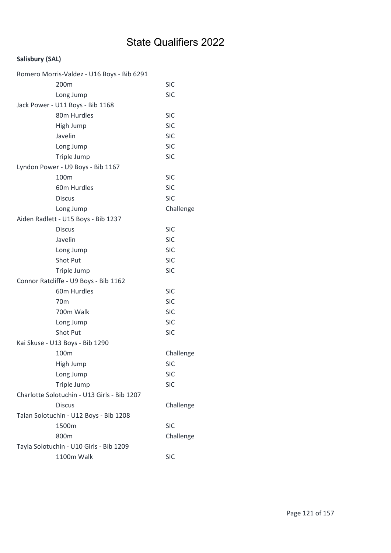| Romero Morris-Valdez - U16 Boys - Bib 6291  |            |
|---------------------------------------------|------------|
| 200m                                        | <b>SIC</b> |
| Long Jump                                   | <b>SIC</b> |
| Jack Power - U11 Boys - Bib 1168            |            |
| 80m Hurdles                                 | <b>SIC</b> |
| High Jump                                   | <b>SIC</b> |
| Javelin                                     | <b>SIC</b> |
| Long Jump                                   | <b>SIC</b> |
| Triple Jump                                 | <b>SIC</b> |
| Lyndon Power - U9 Boys - Bib 1167           |            |
| 100m                                        | <b>SIC</b> |
| 60m Hurdles                                 | <b>SIC</b> |
| <b>Discus</b>                               | <b>SIC</b> |
| Long Jump                                   | Challenge  |
| Aiden Radlett - U15 Boys - Bib 1237         |            |
| <b>Discus</b>                               | <b>SIC</b> |
| Javelin                                     | <b>SIC</b> |
| Long Jump                                   | <b>SIC</b> |
| Shot Put                                    | <b>SIC</b> |
| Triple Jump                                 | <b>SIC</b> |
| Connor Ratcliffe - U9 Boys - Bib 1162       |            |
| 60m Hurdles                                 | <b>SIC</b> |
| 70 <sub>m</sub>                             | <b>SIC</b> |
| 700m Walk                                   | <b>SIC</b> |
| Long Jump                                   | <b>SIC</b> |
| Shot Put                                    | <b>SIC</b> |
| Kai Skuse - U13 Boys - Bib 1290             |            |
| 100m                                        | Challenge  |
| High Jump                                   | <b>SIC</b> |
| Long Jump                                   | <b>SIC</b> |
| Triple Jump                                 | <b>SIC</b> |
| Charlotte Solotuchin - U13 Girls - Bib 1207 |            |
| <b>Discus</b>                               | Challenge  |
| Talan Solotuchin - U12 Boys - Bib 1208      |            |
| 1500m                                       | <b>SIC</b> |
| 800m                                        | Challenge  |
| Tayla Solotuchin - U10 Girls - Bib 1209     |            |
| 1100m Walk                                  | <b>SIC</b> |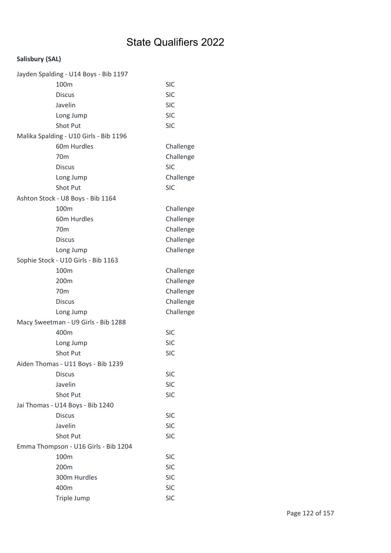| Jayden Spalding - U14 Boys - Bib 1197  |            |
|----------------------------------------|------------|
| 100m                                   | <b>SIC</b> |
| <b>Discus</b>                          | <b>SIC</b> |
| Javelin                                | <b>SIC</b> |
| Long Jump                              | <b>SIC</b> |
| <b>Shot Put</b>                        | <b>SIC</b> |
| Malika Spalding - U10 Girls - Bib 1196 |            |
| 60m Hurdles                            | Challenge  |
| 70 <sub>m</sub>                        | Challenge  |
| <b>Discus</b>                          | <b>SIC</b> |
| Long Jump                              | Challenge  |
| <b>Shot Put</b>                        | <b>SIC</b> |
| Ashton Stock - U8 Boys - Bib 1164      |            |
| 100m                                   | Challenge  |
| 60m Hurdles                            | Challenge  |
| 70 <sub>m</sub>                        | Challenge  |
| <b>Discus</b>                          | Challenge  |
| Long Jump                              | Challenge  |
| Sophie Stock - U10 Girls - Bib 1163    |            |
| 100m                                   | Challenge  |
| 200m                                   | Challenge  |
| 70 <sub>m</sub>                        | Challenge  |
| <b>Discus</b>                          | Challenge  |
| Long Jump                              | Challenge  |
| Macy Sweetman - U9 Girls - Bib 1288    |            |
| 400m                                   | <b>SIC</b> |
| Long Jump                              | <b>SIC</b> |
| <b>Shot Put</b>                        | <b>SIC</b> |
| Aiden Thomas - U11 Boys - Bib 1239     |            |
| <b>Discus</b>                          | <b>SIC</b> |
| Javelin                                | <b>SIC</b> |
| Shot Put                               | <b>SIC</b> |
| Jai Thomas - U14 Boys - Bib 1240       |            |
| <b>Discus</b>                          | <b>SIC</b> |
| Javelin                                | <b>SIC</b> |
| <b>Shot Put</b>                        | <b>SIC</b> |
| Emma Thompson - U16 Girls - Bib 1204   |            |
| 100m                                   | <b>SIC</b> |
| 200m                                   | <b>SIC</b> |
| 300m Hurdles                           | <b>SIC</b> |
| 400m                                   | <b>SIC</b> |
| Triple Jump                            | <b>SIC</b> |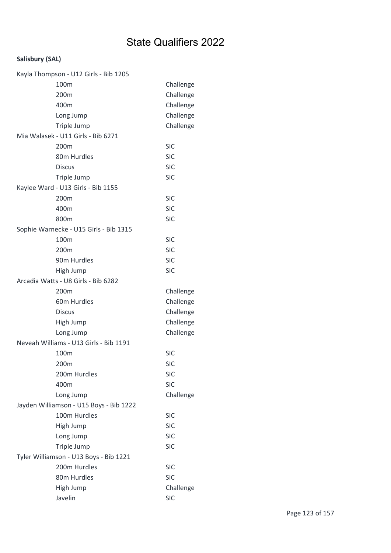| Kayla Thompson - U12 Girls - Bib 1205   |            |
|-----------------------------------------|------------|
| 100m                                    | Challenge  |
| 200m                                    | Challenge  |
| 400m                                    | Challenge  |
| Long Jump                               | Challenge  |
| Triple Jump                             | Challenge  |
| Mia Walasek - U11 Girls - Bib 6271      |            |
| 200 <sub>m</sub>                        | <b>SIC</b> |
| 80m Hurdles                             | <b>SIC</b> |
| <b>Discus</b>                           | <b>SIC</b> |
| Triple Jump                             | <b>SIC</b> |
| Kaylee Ward - U13 Girls - Bib 1155      |            |
| 200m                                    | <b>SIC</b> |
| 400m                                    | <b>SIC</b> |
| 800m                                    | <b>SIC</b> |
| Sophie Warnecke - U15 Girls - Bib 1315  |            |
| 100m                                    | <b>SIC</b> |
| 200m                                    | <b>SIC</b> |
| 90m Hurdles                             | <b>SIC</b> |
| High Jump                               | <b>SIC</b> |
| Arcadia Watts - U8 Girls - Bib 6282     |            |
| 200m                                    | Challenge  |
| 60m Hurdles                             | Challenge  |
| <b>Discus</b>                           | Challenge  |
| High Jump                               | Challenge  |
| Long Jump                               | Challenge  |
| Neveah Williams - U13 Girls - Bib 1191  |            |
| 100m                                    | <b>SIC</b> |
| 200m                                    | SIC        |
| 200m Hurdles                            | <b>SIC</b> |
| 400m                                    | <b>SIC</b> |
| Long Jump                               | Challenge  |
| Jayden Williamson - U15 Boys - Bib 1222 |            |
| 100m Hurdles                            | <b>SIC</b> |
| High Jump                               | <b>SIC</b> |
| Long Jump                               | <b>SIC</b> |
| Triple Jump                             | <b>SIC</b> |
| Tyler Williamson - U13 Boys - Bib 1221  |            |
| 200m Hurdles                            | <b>SIC</b> |
| 80m Hurdles                             | <b>SIC</b> |
| High Jump                               | Challenge  |
| Javelin                                 | <b>SIC</b> |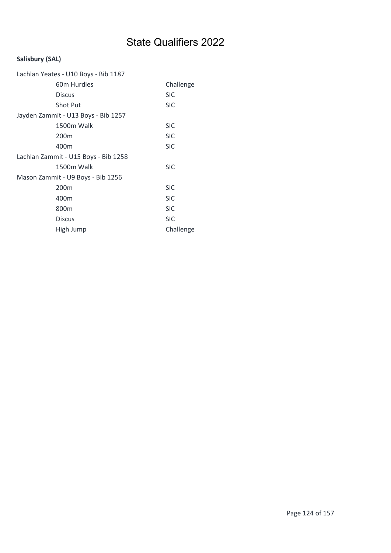| Lachlan Yeates - U10 Boys - Bib 1187 |            |
|--------------------------------------|------------|
| 60m Hurdles                          | Challenge  |
| <b>Discus</b>                        | <b>SIC</b> |
| <b>Shot Put</b>                      | <b>SIC</b> |
| Jayden Zammit - U13 Boys - Bib 1257  |            |
| 1500m Walk                           | <b>SIC</b> |
| 200 <sub>m</sub>                     | <b>SIC</b> |
| 400m                                 | <b>SIC</b> |
| Lachlan Zammit - U15 Boys - Bib 1258 |            |
| 1500m Walk                           | <b>SIC</b> |
| Mason Zammit - U9 Boys - Bib 1256    |            |
| 200m                                 | <b>SIC</b> |
| 400m                                 | <b>SIC</b> |
| 800m                                 | <b>SIC</b> |
| <b>Discus</b>                        | <b>SIC</b> |
| High Jump                            | Challenge  |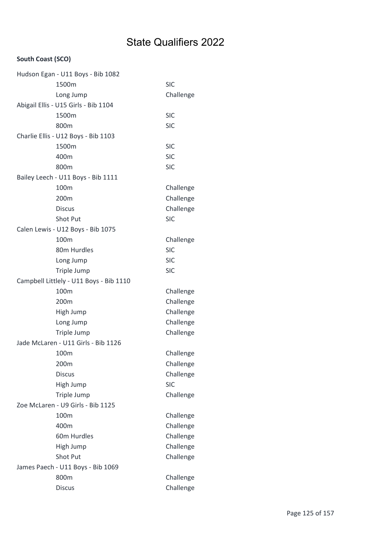### South Coast (SCO)

| Hudson Egan - U11 Boys - Bib 1082       |                        |
|-----------------------------------------|------------------------|
| 1500m                                   | <b>SIC</b>             |
| Long Jump                               | Challenge              |
| Abigail Ellis - U15 Girls - Bib 1104    |                        |
| 1500m                                   | <b>SIC</b>             |
| 800m                                    | <b>SIC</b>             |
| Charlie Ellis - U12 Boys - Bib 1103     |                        |
| 1500m                                   | <b>SIC</b>             |
| 400m                                    | <b>SIC</b>             |
| 800m                                    | <b>SIC</b>             |
| Bailey Leech - U11 Boys - Bib 1111      |                        |
| 100m                                    | Challenge              |
| 200m                                    | Challenge              |
| <b>Discus</b>                           | Challenge              |
| <b>Shot Put</b>                         | <b>SIC</b>             |
| Calen Lewis - U12 Boys - Bib 1075       |                        |
| 100m                                    | Challenge              |
| 80m Hurdles                             | <b>SIC</b>             |
| Long Jump                               | <b>SIC</b>             |
| Triple Jump                             | <b>SIC</b>             |
| Campbell Littlely - U11 Boys - Bib 1110 |                        |
|                                         |                        |
| 100m                                    | Challenge              |
| 200m                                    | Challenge              |
| High Jump                               | Challenge              |
| Long Jump                               | Challenge              |
| Triple Jump                             | Challenge              |
| Jade McLaren - U11 Girls - Bib 1126     |                        |
| 100m                                    | Challenge              |
| 200m                                    | Challenge              |
| <b>Discus</b>                           | Challenge              |
| High Jump                               | <b>SIC</b>             |
| Triple Jump                             | Challenge              |
| Zoe McLaren - U9 Girls - Bib 1125       |                        |
| 100m                                    | Challenge              |
| 400m                                    | Challenge              |
| 60m Hurdles                             | Challenge              |
| High Jump                               | Challenge              |
| Shot Put                                | Challenge              |
| James Paech - U11 Boys - Bib 1069       |                        |
| 800m<br><b>Discus</b>                   | Challenge<br>Challenge |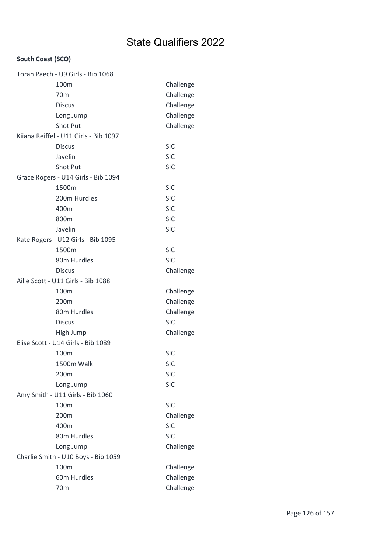### South Coast (SCO)

| Torah Paech - U9 Girls - Bib 1068     |            |
|---------------------------------------|------------|
| 100 <sub>m</sub>                      | Challenge  |
| 70 <sub>m</sub>                       | Challenge  |
| <b>Discus</b>                         | Challenge  |
| Long Jump                             | Challenge  |
| Shot Put                              | Challenge  |
| Kiiana Reiffel - U11 Girls - Bib 1097 |            |
| <b>Discus</b>                         | <b>SIC</b> |
| Javelin                               | <b>SIC</b> |
| Shot Put                              | <b>SIC</b> |
| Grace Rogers - U14 Girls - Bib 1094   |            |
| 1500m                                 | <b>SIC</b> |
| 200m Hurdles                          | <b>SIC</b> |
| 400m                                  | <b>SIC</b> |
| 800m                                  | <b>SIC</b> |
| Javelin                               | <b>SIC</b> |
| Kate Rogers - U12 Girls - Bib 1095    |            |
| 1500m                                 | <b>SIC</b> |
| 80m Hurdles                           | <b>SIC</b> |
| <b>Discus</b>                         | Challenge  |
| Ailie Scott - U11 Girls - Bib 1088    |            |
| 100m                                  | Challenge  |
| 200m                                  | Challenge  |
| 80m Hurdles                           | Challenge  |
| <b>Discus</b>                         | <b>SIC</b> |
| High Jump                             | Challenge  |
| Elise Scott - U14 Girls - Bib 1089    |            |
| 100m                                  | <b>SIC</b> |
| 1500m Walk                            | SIC        |
| 200m                                  | <b>SIC</b> |
| Long Jump                             | <b>SIC</b> |
| Amy Smith - U11 Girls - Bib 1060      |            |
| 100m                                  | <b>SIC</b> |
| 200m                                  | Challenge  |
| 400m                                  | <b>SIC</b> |
| 80m Hurdles                           | <b>SIC</b> |
| Long Jump                             | Challenge  |
| Charlie Smith - U10 Boys - Bib 1059   |            |
| 100m                                  | Challenge  |
| 60m Hurdles                           | Challenge  |
| 70 <sub>m</sub>                       | Challenge  |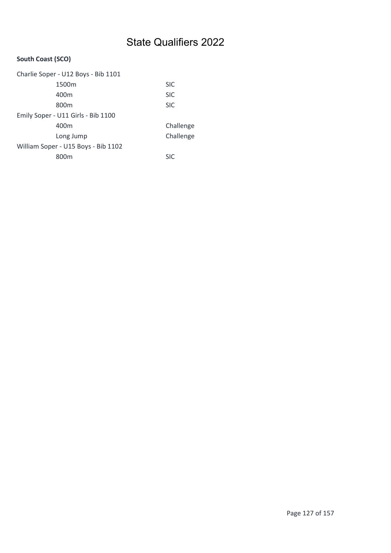### South Coast (SCO)

| Charlie Soper - U12 Boys - Bib 1101 |            |  |
|-------------------------------------|------------|--|
| 1500m                               | <b>SIC</b> |  |
| 400m                                | <b>SIC</b> |  |
| 800m                                | <b>SIC</b> |  |
| Emily Soper - U11 Girls - Bib 1100  |            |  |
| 400m                                | Challenge  |  |
| Long Jump                           | Challenge  |  |
| William Soper - U15 Boys - Bib 1102 |            |  |
| 800m                                | <b>SIC</b> |  |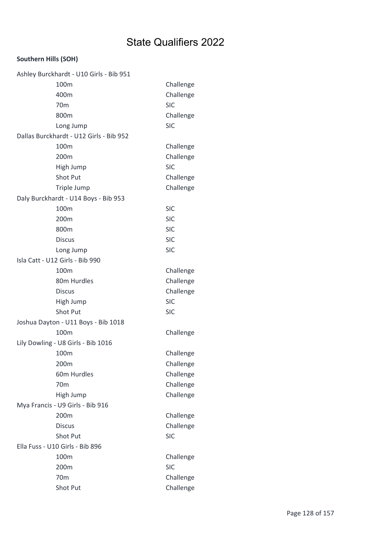### Southern Hills (SOH)

| Ashley Burckhardt - U10 Girls - Bib 951 |            |
|-----------------------------------------|------------|
| 100m                                    | Challenge  |
| 400m                                    | Challenge  |
| 70 <sub>m</sub>                         | <b>SIC</b> |
| 800m                                    | Challenge  |
| Long Jump                               | <b>SIC</b> |
| Dallas Burckhardt - U12 Girls - Bib 952 |            |
| 100m                                    | Challenge  |
| 200m                                    | Challenge  |
| High Jump                               | <b>SIC</b> |
| Shot Put                                | Challenge  |
| Triple Jump                             | Challenge  |
| Daly Burckhardt - U14 Boys - Bib 953    |            |
| 100m                                    | <b>SIC</b> |
| 200m                                    | <b>SIC</b> |
| 800m                                    | <b>SIC</b> |
| <b>Discus</b>                           | <b>SIC</b> |
| Long Jump                               | <b>SIC</b> |
| Isla Catt - U12 Girls - Bib 990         |            |
| 100m                                    | Challenge  |
| 80m Hurdles                             | Challenge  |
| <b>Discus</b>                           | Challenge  |
| High Jump                               | <b>SIC</b> |
| <b>Shot Put</b>                         | <b>SIC</b> |
| Joshua Dayton - U11 Boys - Bib 1018     |            |
| 100m                                    | Challenge  |
| Lily Dowling - U8 Girls - Bib 1016      |            |
| 100m                                    | Challenge  |
| 200m                                    | Challenge  |
| 60m Hurdles                             | Challenge  |
| 70 <sub>m</sub>                         | Challenge  |
| High Jump                               | Challenge  |
| Mya Francis - U9 Girls - Bib 916        |            |
| 200m                                    | Challenge  |
| <b>Discus</b>                           | Challenge  |
| Shot Put                                | <b>SIC</b> |
| Ella Fuss - U10 Girls - Bib 896         |            |
| 100m                                    | Challenge  |
| 200m                                    | <b>SIC</b> |
| 70 <sub>m</sub>                         | Challenge  |
| Shot Put                                | Challenge  |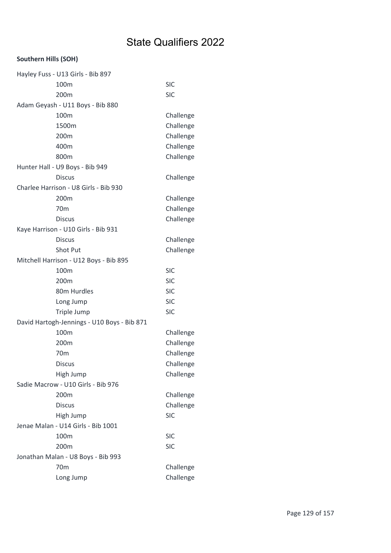### Southern Hills (SOH)

| Hayley Fuss - U13 Girls - Bib 897           |            |
|---------------------------------------------|------------|
| 100m                                        | <b>SIC</b> |
| 200m                                        | <b>SIC</b> |
| Adam Geyash - U11 Boys - Bib 880            |            |
| 100m                                        | Challenge  |
| 1500m                                       | Challenge  |
| 200m                                        | Challenge  |
| 400m                                        | Challenge  |
| 800m                                        | Challenge  |
| Hunter Hall - U9 Boys - Bib 949             |            |
| <b>Discus</b>                               | Challenge  |
| Charlee Harrison - U8 Girls - Bib 930       |            |
| 200m                                        | Challenge  |
| 70 <sub>m</sub>                             | Challenge  |
| <b>Discus</b>                               | Challenge  |
| Kaye Harrison - U10 Girls - Bib 931         |            |
| <b>Discus</b>                               | Challenge  |
| Shot Put                                    | Challenge  |
| Mitchell Harrison - U12 Boys - Bib 895      |            |
| 100m                                        | <b>SIC</b> |
| 200m                                        | <b>SIC</b> |
| 80m Hurdles                                 | <b>SIC</b> |
| Long Jump                                   | <b>SIC</b> |
| Triple Jump                                 | <b>SIC</b> |
| David Hartogh-Jennings - U10 Boys - Bib 871 |            |
| 100m                                        | Challenge  |
| 200m                                        | Challenge  |
| 70 <sub>m</sub>                             | Challenge  |
| <b>Discus</b>                               | Challenge  |
| High Jump                                   | Challenge  |
| Sadie Macrow - U10 Girls - Bib 976          |            |
| 200 <sub>m</sub>                            | Challenge  |
| <b>Discus</b>                               | Challenge  |
| High Jump                                   | <b>SIC</b> |
| Jenae Malan - U14 Girls - Bib 1001          |            |
| 100m                                        | <b>SIC</b> |
| 200m                                        | <b>SIC</b> |
| Jonathan Malan - U8 Boys - Bib 993          |            |
| 70 <sub>m</sub>                             | Challenge  |
| Long Jump                                   | Challenge  |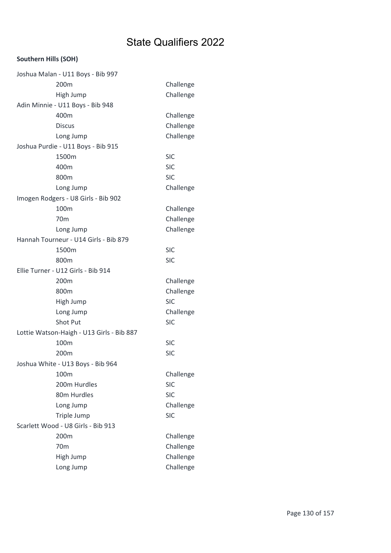### Southern Hills (SOH)

| Joshua Malan - U11 Boys - Bib 997         |            |
|-------------------------------------------|------------|
| 200m                                      | Challenge  |
| High Jump                                 | Challenge  |
| Adin Minnie - U11 Boys - Bib 948          |            |
| 400m                                      | Challenge  |
| <b>Discus</b>                             | Challenge  |
| Long Jump                                 | Challenge  |
| Joshua Purdie - U11 Boys - Bib 915        |            |
| 1500m                                     | <b>SIC</b> |
| 400m                                      | <b>SIC</b> |
| 800m                                      | <b>SIC</b> |
| Long Jump                                 | Challenge  |
| Imogen Rodgers - U8 Girls - Bib 902       |            |
| 100m                                      | Challenge  |
| 70 <sub>m</sub>                           | Challenge  |
| Long Jump                                 | Challenge  |
| Hannah Tourneur - U14 Girls - Bib 879     |            |
| 1500m                                     | <b>SIC</b> |
| 800m                                      | <b>SIC</b> |
| Ellie Turner - U12 Girls - Bib 914        |            |
| 200m                                      | Challenge  |
| 800m                                      | Challenge  |
| High Jump                                 | <b>SIC</b> |
| Long Jump                                 | Challenge  |
| <b>Shot Put</b>                           | <b>SIC</b> |
| Lottie Watson-Haigh - U13 Girls - Bib 887 |            |
| 100m                                      | <b>SIC</b> |
| 200m                                      | <b>SIC</b> |
| Joshua White - U13 Boys - Bib 964         |            |
| 100m                                      | Challenge  |
| 200m Hurdles                              | <b>SIC</b> |
| 80m Hurdles                               | <b>SIC</b> |
| Long Jump                                 | Challenge  |
| Triple Jump                               | <b>SIC</b> |
| Scarlett Wood - U8 Girls - Bib 913        |            |
| 200m                                      | Challenge  |
| 70 <sub>m</sub>                           | Challenge  |
| High Jump                                 | Challenge  |
| Long Jump                                 | Challenge  |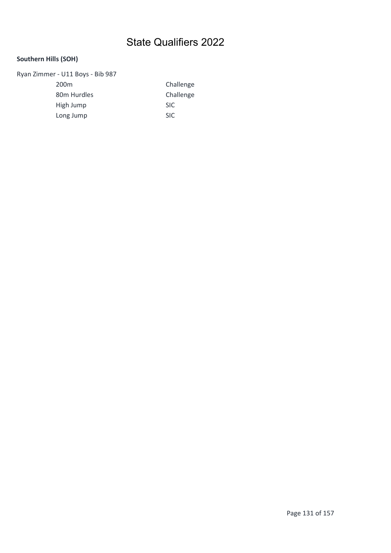### Southern Hills (SOH)

Ryan Zimmer - U11 Boys - Bib 987

200m Challenge 80m Hurdles Challenge High Jump SIC Long Jump SIC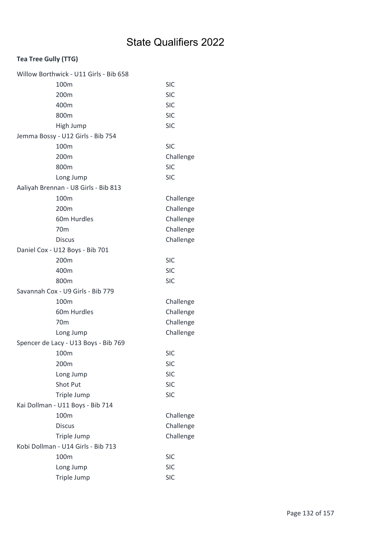| Willow Borthwick - U11 Girls - Bib 658 |            |
|----------------------------------------|------------|
| 100m                                   | <b>SIC</b> |
| 200m                                   | <b>SIC</b> |
| 400m                                   | <b>SIC</b> |
| 800m                                   | <b>SIC</b> |
| High Jump                              | <b>SIC</b> |
| Jemma Bossy - U12 Girls - Bib 754      |            |
| 100m                                   | <b>SIC</b> |
| 200m                                   | Challenge  |
| 800m                                   | <b>SIC</b> |
| Long Jump                              | <b>SIC</b> |
| Aaliyah Brennan - U8 Girls - Bib 813   |            |
| 100m                                   | Challenge  |
| 200 <sub>m</sub>                       | Challenge  |
| 60m Hurdles                            | Challenge  |
| 70 <sub>m</sub>                        | Challenge  |
| <b>Discus</b>                          | Challenge  |
| Daniel Cox - U12 Boys - Bib 701        |            |
| 200m                                   | <b>SIC</b> |
| 400m                                   | <b>SIC</b> |
| 800m                                   | <b>SIC</b> |
| Savannah Cox - U9 Girls - Bib 779      |            |
| 100m                                   | Challenge  |
| 60m Hurdles                            | Challenge  |
| 70 <sub>m</sub>                        | Challenge  |
| Long Jump                              | Challenge  |
| Spencer de Lacy - U13 Boys - Bib 769   |            |
| 100m                                   | <b>SIC</b> |
| 200m                                   | SIC        |
| Long Jump                              | <b>SIC</b> |
| Shot Put                               | <b>SIC</b> |
| Triple Jump                            | <b>SIC</b> |
| Kai Dollman - U11 Boys - Bib 714       |            |
| 100m                                   | Challenge  |
| <b>Discus</b>                          | Challenge  |
| Triple Jump                            | Challenge  |
| Kobi Dollman - U14 Girls - Bib 713     |            |
| 100m                                   | <b>SIC</b> |
|                                        |            |
| Long Jump                              | <b>SIC</b> |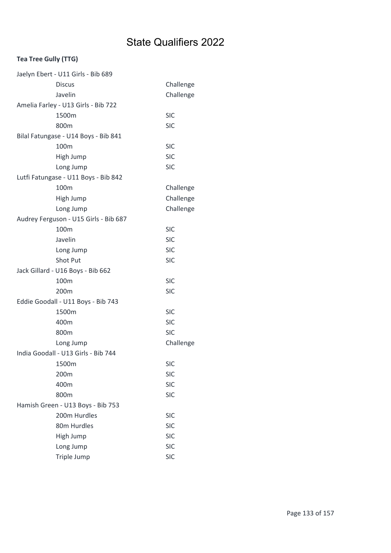| Jaelyn Ebert - U11 Girls - Bib 689    |            |
|---------------------------------------|------------|
| <b>Discus</b>                         | Challenge  |
| Javelin                               | Challenge  |
| Amelia Farley - U13 Girls - Bib 722   |            |
| 1500m                                 | <b>SIC</b> |
| 800m                                  | <b>SIC</b> |
| Bilal Fatungase - U14 Boys - Bib 841  |            |
| 100m                                  | <b>SIC</b> |
| High Jump                             | <b>SIC</b> |
| Long Jump                             | <b>SIC</b> |
| Lutfi Fatungase - U11 Boys - Bib 842  |            |
| 100m                                  | Challenge  |
| High Jump                             | Challenge  |
| Long Jump                             | Challenge  |
| Audrey Ferguson - U15 Girls - Bib 687 |            |
| 100m                                  | <b>SIC</b> |
| Javelin                               | <b>SIC</b> |
| Long Jump                             | <b>SIC</b> |
| <b>Shot Put</b>                       | <b>SIC</b> |
| Jack Gillard - U16 Boys - Bib 662     |            |
| 100m                                  | <b>SIC</b> |
| 200m                                  | <b>SIC</b> |
| Eddie Goodall - U11 Boys - Bib 743    |            |
| 1500m                                 | <b>SIC</b> |
| 400m                                  | <b>SIC</b> |
| 800m                                  | <b>SIC</b> |
| Long Jump                             | Challenge  |
| India Goodall - U13 Girls - Bib 744   |            |
| 1500m                                 | <b>SIC</b> |
| 200m                                  | <b>SIC</b> |
| 400m                                  | <b>SIC</b> |
| 800m                                  | <b>SIC</b> |
| Hamish Green - U13 Boys - Bib 753     |            |
| 200m Hurdles                          | <b>SIC</b> |
| 80m Hurdles                           | <b>SIC</b> |
| High Jump                             | <b>SIC</b> |
| Long Jump                             | <b>SIC</b> |
| Triple Jump                           | <b>SIC</b> |
|                                       |            |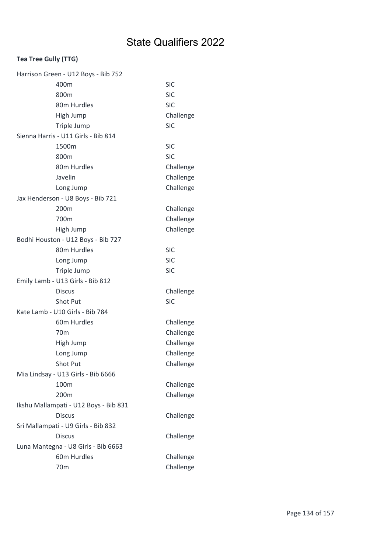| Harrison Green - U12 Boys - Bib 752 |                                       |            |  |
|-------------------------------------|---------------------------------------|------------|--|
|                                     | 400m                                  | <b>SIC</b> |  |
|                                     | 800m                                  | <b>SIC</b> |  |
|                                     | 80m Hurdles                           | <b>SIC</b> |  |
|                                     | High Jump                             | Challenge  |  |
|                                     | Triple Jump                           | <b>SIC</b> |  |
|                                     | Sienna Harris - U11 Girls - Bib 814   |            |  |
|                                     | 1500m                                 | <b>SIC</b> |  |
|                                     | 800m                                  | <b>SIC</b> |  |
|                                     | 80m Hurdles                           | Challenge  |  |
|                                     | Javelin                               | Challenge  |  |
|                                     | Long Jump                             | Challenge  |  |
|                                     | Jax Henderson - U8 Boys - Bib 721     |            |  |
|                                     | 200m                                  | Challenge  |  |
|                                     | 700m                                  | Challenge  |  |
|                                     | High Jump                             | Challenge  |  |
| Bodhi Houston - U12 Boys - Bib 727  |                                       |            |  |
|                                     | 80m Hurdles                           | <b>SIC</b> |  |
|                                     | Long Jump                             | <b>SIC</b> |  |
|                                     | Triple Jump                           | <b>SIC</b> |  |
|                                     | Emily Lamb - U13 Girls - Bib 812      |            |  |
|                                     | <b>Discus</b>                         | Challenge  |  |
|                                     | Shot Put                              | <b>SIC</b> |  |
|                                     | Kate Lamb - U10 Girls - Bib 784       |            |  |
|                                     | 60m Hurdles                           | Challenge  |  |
|                                     | 70 <sub>m</sub>                       | Challenge  |  |
|                                     | High Jump                             | Challenge  |  |
|                                     | Long Jump                             | Challenge  |  |
|                                     | Shot Put                              | Challenge  |  |
| Mia Lindsay - U13 Girls - Bib 6666  |                                       |            |  |
|                                     | 100m                                  | Challenge  |  |
|                                     | 200m                                  | Challenge  |  |
|                                     | Ikshu Mallampati - U12 Boys - Bib 831 |            |  |
|                                     | <b>Discus</b>                         | Challenge  |  |
|                                     | Sri Mallampati - U9 Girls - Bib 832   |            |  |
|                                     |                                       |            |  |
|                                     | <b>Discus</b>                         | Challenge  |  |
|                                     | Luna Mantegna - U8 Girls - Bib 6663   |            |  |
|                                     | 60m Hurdles                           | Challenge  |  |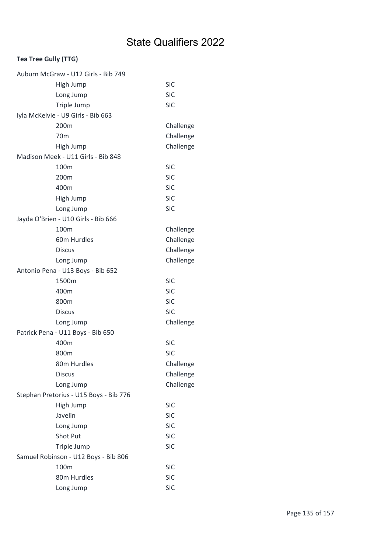| Auburn McGraw - U12 Girls - Bib 749    |            |
|----------------------------------------|------------|
| High Jump                              | <b>SIC</b> |
| Long Jump                              | <b>SIC</b> |
| Triple Jump                            | <b>SIC</b> |
| Iyla McKelvie - U9 Girls - Bib 663     |            |
| 200m                                   | Challenge  |
| 70 <sub>m</sub>                        | Challenge  |
| High Jump                              | Challenge  |
| Madison Meek - U11 Girls - Bib 848     |            |
| 100m                                   | <b>SIC</b> |
| 200m                                   | <b>SIC</b> |
| 400m                                   | <b>SIC</b> |
| High Jump                              | <b>SIC</b> |
| Long Jump                              | <b>SIC</b> |
| Jayda O'Brien - U10 Girls - Bib 666    |            |
| 100m                                   | Challenge  |
| 60m Hurdles                            | Challenge  |
| <b>Discus</b>                          | Challenge  |
| Long Jump                              | Challenge  |
| Antonio Pena - U13 Boys - Bib 652      |            |
| 1500m                                  | <b>SIC</b> |
| 400m                                   | <b>SIC</b> |
| 800m                                   | <b>SIC</b> |
| <b>Discus</b>                          | <b>SIC</b> |
| Long Jump                              | Challenge  |
| Patrick Pena - U11 Boys - Bib 650      |            |
| 400m                                   | <b>SIC</b> |
| 800m                                   | <b>SIC</b> |
| 80m Hurdles                            | Challenge  |
| <b>Discus</b>                          | Challenge  |
| Long Jump                              | Challenge  |
| Stephan Pretorius - U15 Boys - Bib 776 |            |
| High Jump                              | <b>SIC</b> |
| Javelin                                | <b>SIC</b> |
| Long Jump                              | <b>SIC</b> |
| <b>Shot Put</b>                        | <b>SIC</b> |
| Triple Jump                            | <b>SIC</b> |
| Samuel Robinson - U12 Boys - Bib 806   |            |
| 100m                                   | <b>SIC</b> |
| 80m Hurdles                            | <b>SIC</b> |
| Long Jump                              | <b>SIC</b> |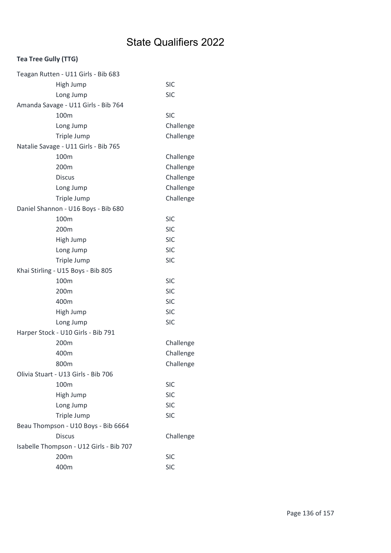| Teagan Rutten - U11 Girls - Bib 683     |            |
|-----------------------------------------|------------|
| High Jump                               | <b>SIC</b> |
| Long Jump                               | <b>SIC</b> |
| Amanda Savage - U11 Girls - Bib 764     |            |
| 100m                                    | <b>SIC</b> |
| Long Jump                               | Challenge  |
| Triple Jump                             | Challenge  |
| Natalie Savage - U11 Girls - Bib 765    |            |
| 100m                                    | Challenge  |
| 200m                                    | Challenge  |
| <b>Discus</b>                           | Challenge  |
| Long Jump                               | Challenge  |
| Triple Jump                             | Challenge  |
| Daniel Shannon - U16 Boys - Bib 680     |            |
| 100m                                    | <b>SIC</b> |
| 200m                                    | <b>SIC</b> |
| High Jump                               | <b>SIC</b> |
| Long Jump                               | <b>SIC</b> |
| Triple Jump                             | <b>SIC</b> |
| Khai Stirling - U15 Boys - Bib 805      |            |
| 100m                                    | <b>SIC</b> |
| 200m                                    | <b>SIC</b> |
| 400m                                    | <b>SIC</b> |
| High Jump                               | <b>SIC</b> |
| Long Jump                               | <b>SIC</b> |
| Harper Stock - U10 Girls - Bib 791      |            |
| 200m                                    | Challenge  |
| 400m                                    | Challenge  |
| 800m                                    | Challenge  |
| Olivia Stuart - U13 Girls - Bib 706     |            |
| 100m                                    | <b>SIC</b> |
| High Jump                               | <b>SIC</b> |
| Long Jump                               | <b>SIC</b> |
| Triple Jump                             | <b>SIC</b> |
| Beau Thompson - U10 Boys - Bib 6664     |            |
| <b>Discus</b>                           | Challenge  |
| Isabelle Thompson - U12 Girls - Bib 707 |            |
| 200m                                    | <b>SIC</b> |
| 400m                                    | <b>SIC</b> |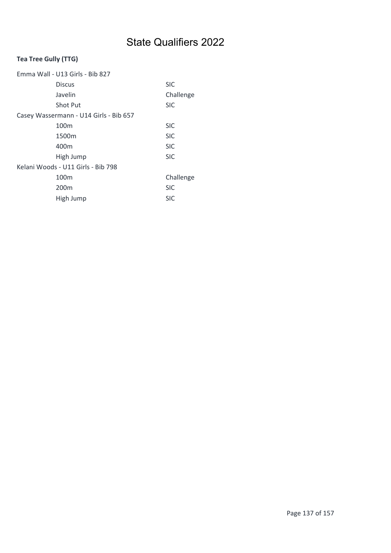| Emma Wall - U13 Girls - Bib 827        |            |  |
|----------------------------------------|------------|--|
| <b>Discus</b>                          | <b>SIC</b> |  |
| Javelin                                | Challenge  |  |
| <b>Shot Put</b>                        | <b>SIC</b> |  |
| Casey Wassermann - U14 Girls - Bib 657 |            |  |
| 100 <sub>m</sub>                       | <b>SIC</b> |  |
| 1500m                                  | <b>SIC</b> |  |
| 400m                                   | <b>SIC</b> |  |
| High Jump                              | <b>SIC</b> |  |
| Kelani Woods - U11 Girls - Bib 798     |            |  |
| 100 <sub>m</sub>                       | Challenge  |  |
| 200 <sub>m</sub>                       | <b>SIC</b> |  |
| High Jump                              | <b>SIC</b> |  |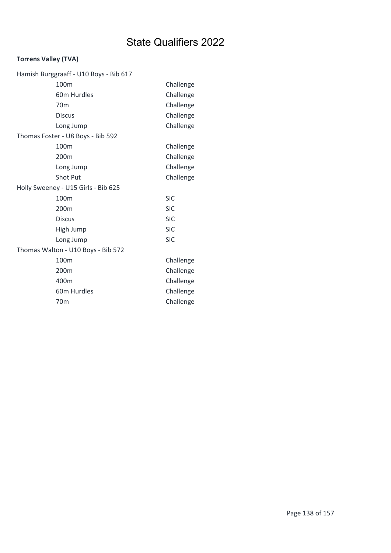### Torrens Valley (TVA)

| Hamish Burggraaff - U10 Boys - Bib 617 |            |  |
|----------------------------------------|------------|--|
| 100m                                   | Challenge  |  |
| 60m Hurdles                            | Challenge  |  |
| 70 <sub>m</sub>                        | Challenge  |  |
| <b>Discus</b>                          | Challenge  |  |
| Long Jump                              | Challenge  |  |
| Thomas Foster - U8 Boys - Bib 592      |            |  |
| 100m                                   | Challenge  |  |
| 200m                                   | Challenge  |  |
| Long Jump                              | Challenge  |  |
| <b>Shot Put</b>                        | Challenge  |  |
| Holly Sweeney - U15 Girls - Bib 625    |            |  |
| 100m                                   | <b>SIC</b> |  |
| 200m                                   | <b>SIC</b> |  |
| <b>Discus</b>                          | <b>SIC</b> |  |
| High Jump                              | <b>SIC</b> |  |
| Long Jump                              | <b>SIC</b> |  |
| Thomas Walton - U10 Boys - Bib 572     |            |  |
| 100m                                   | Challenge  |  |
| 200m                                   | Challenge  |  |
| 400m                                   | Challenge  |  |
| 60m Hurdles                            | Challenge  |  |
| 70 <sub>m</sub>                        | Challenge  |  |
|                                        |            |  |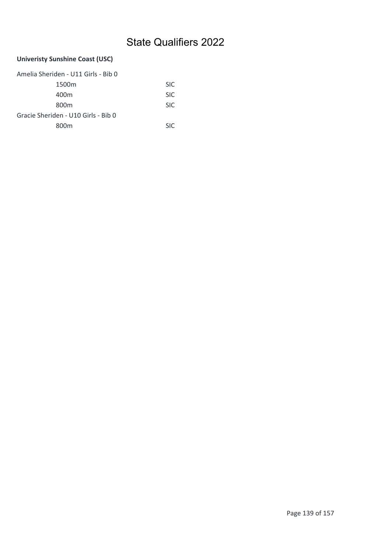### Univeristy Sunshine Coast (USC)

| Amelia Sheriden - U11 Girls - Bib 0 |            |  |
|-------------------------------------|------------|--|
| 1500 <sub>m</sub>                   | SIC.       |  |
| 400m                                | SIC.       |  |
| 800 <sub>m</sub>                    | SIC.       |  |
| Gracie Sheriden - U10 Girls - Bib 0 |            |  |
| 800m                                | <b>SIC</b> |  |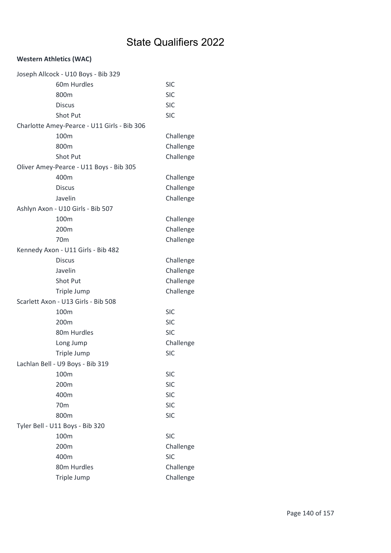| Joseph Allcock - U10 Boys - Bib 329         |            |
|---------------------------------------------|------------|
| 60m Hurdles                                 | <b>SIC</b> |
| 800m                                        | <b>SIC</b> |
| <b>Discus</b>                               | <b>SIC</b> |
| <b>Shot Put</b>                             | <b>SIC</b> |
| Charlotte Amey-Pearce - U11 Girls - Bib 306 |            |
| 100m                                        | Challenge  |
| 800m                                        | Challenge  |
| Shot Put                                    | Challenge  |
| Oliver Amey-Pearce - U11 Boys - Bib 305     |            |
| 400m                                        | Challenge  |
| <b>Discus</b>                               | Challenge  |
| Javelin                                     | Challenge  |
| Ashlyn Axon - U10 Girls - Bib 507           |            |
| 100m                                        | Challenge  |
| 200m                                        | Challenge  |
| 70 <sub>m</sub>                             | Challenge  |
| Kennedy Axon - U11 Girls - Bib 482          |            |
| <b>Discus</b>                               | Challenge  |
| Javelin                                     | Challenge  |
| Shot Put                                    | Challenge  |
| Triple Jump                                 | Challenge  |
| Scarlett Axon - U13 Girls - Bib 508         |            |
| 100 <sub>m</sub>                            | <b>SIC</b> |
| 200m                                        | <b>SIC</b> |
| 80m Hurdles                                 | <b>SIC</b> |
| Long Jump                                   | Challenge  |
| Triple Jump                                 | <b>SIC</b> |
| Lachlan Bell - U9 Boys - Bib 319            |            |
| 100m                                        | <b>SIC</b> |
| 200m                                        | <b>SIC</b> |
| 400m                                        | <b>SIC</b> |
| 70 <sub>m</sub>                             | <b>SIC</b> |
| 800m                                        | <b>SIC</b> |
| Tyler Bell - U11 Boys - Bib 320             |            |
| 100m                                        | <b>SIC</b> |
| 200m                                        | Challenge  |
| 400m                                        | <b>SIC</b> |
| 80m Hurdles                                 | Challenge  |
| Triple Jump                                 | Challenge  |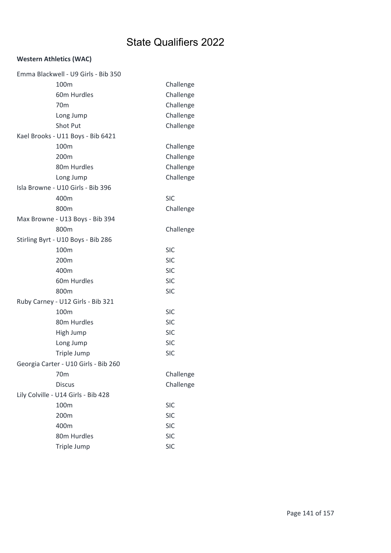| Emma Blackwell - U9 Girls - Bib 350  |            |
|--------------------------------------|------------|
| 100 <sub>m</sub>                     | Challenge  |
| 60m Hurdles                          | Challenge  |
| 70 <sub>m</sub>                      | Challenge  |
| Long Jump                            | Challenge  |
| <b>Shot Put</b>                      | Challenge  |
| Kael Brooks - U11 Boys - Bib 6421    |            |
| 100m                                 | Challenge  |
| 200m                                 | Challenge  |
| 80m Hurdles                          | Challenge  |
| Long Jump                            | Challenge  |
| Isla Browne - U10 Girls - Bib 396    |            |
| 400m                                 | <b>SIC</b> |
| 800m                                 | Challenge  |
| Max Browne - U13 Boys - Bib 394      |            |
| 800m                                 | Challenge  |
| Stirling Byrt - U10 Boys - Bib 286   |            |
| 100m                                 | <b>SIC</b> |
| 200m                                 | <b>SIC</b> |
| 400m                                 | <b>SIC</b> |
| 60m Hurdles                          | <b>SIC</b> |
| 800m                                 | <b>SIC</b> |
| Ruby Carney - U12 Girls - Bib 321    |            |
| 100m                                 | <b>SIC</b> |
| 80m Hurdles                          | <b>SIC</b> |
| High Jump                            | <b>SIC</b> |
| Long Jump                            | <b>SIC</b> |
| Triple Jump                          | <b>SIC</b> |
| Georgia Carter - U10 Girls - Bib 260 |            |
| 70 <sub>m</sub>                      | Challenge  |
| <b>Discus</b>                        | Challenge  |
| Lily Colville - U14 Girls - Bib 428  |            |
| 100m                                 | <b>SIC</b> |
| 200m                                 | <b>SIC</b> |
| 400m                                 | <b>SIC</b> |
| 80m Hurdles                          | <b>SIC</b> |
| Triple Jump                          | <b>SIC</b> |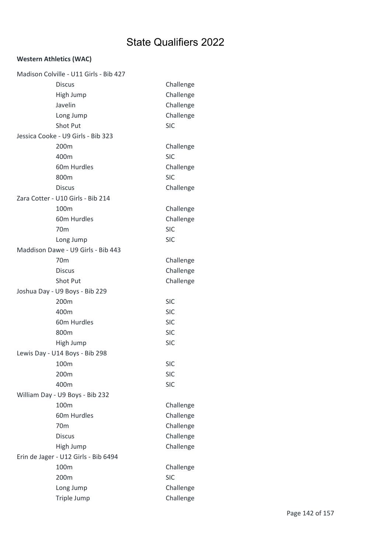| Madison Colville - U11 Girls - Bib 427          |            |
|-------------------------------------------------|------------|
| <b>Discus</b>                                   | Challenge  |
| High Jump                                       | Challenge  |
| Javelin                                         | Challenge  |
| Long Jump                                       | Challenge  |
| <b>Shot Put</b>                                 | <b>SIC</b> |
| Jessica Cooke - U9 Girls - Bib 323              |            |
| 200m                                            | Challenge  |
| 400m                                            | <b>SIC</b> |
| 60m Hurdles                                     | Challenge  |
| 800m                                            | <b>SIC</b> |
| <b>Discus</b>                                   | Challenge  |
| Zara Cotter - U10 Girls - Bib 214               |            |
| 100m                                            | Challenge  |
| 60m Hurdles                                     | Challenge  |
| 70 <sub>m</sub>                                 | <b>SIC</b> |
|                                                 | <b>SIC</b> |
| Long Jump<br>Maddison Dawe - U9 Girls - Bib 443 |            |
|                                                 |            |
| 70 <sub>m</sub>                                 | Challenge  |
| <b>Discus</b>                                   | Challenge  |
| Shot Put                                        | Challenge  |
| Joshua Day - U9 Boys - Bib 229                  |            |
| 200m                                            | <b>SIC</b> |
| 400m                                            | <b>SIC</b> |
| 60m Hurdles                                     | <b>SIC</b> |
| 800m                                            | <b>SIC</b> |
| High Jump                                       | <b>SIC</b> |
| Lewis Day - U14 Boys - Bib 298                  |            |
| 100m                                            | <b>SIC</b> |
| 200m                                            | <b>SIC</b> |
| 400m                                            | <b>SIC</b> |
| William Day - U9 Boys - Bib 232                 |            |
| 100m                                            | Challenge  |
| 60m Hurdles                                     | Challenge  |
| 70 <sub>m</sub>                                 | Challenge  |
| <b>Discus</b>                                   | Challenge  |
| High Jump                                       | Challenge  |
| Erin de Jager - U12 Girls - Bib 6494            |            |
| 100m                                            | Challenge  |
| 200m                                            | <b>SIC</b> |
| Long Jump                                       | Challenge  |
| Triple Jump                                     | Challenge  |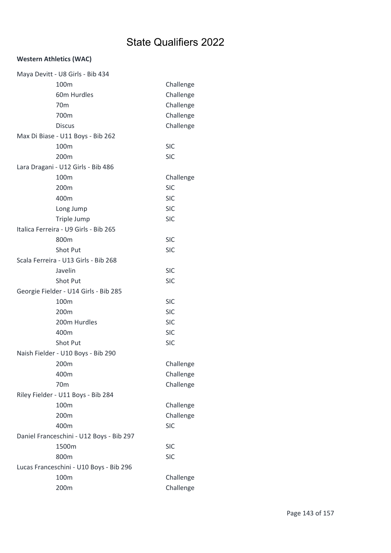| Maya Devitt - U8 Girls - Bib 434         |            |
|------------------------------------------|------------|
| 100m                                     | Challenge  |
| 60m Hurdles                              | Challenge  |
| 70 <sub>m</sub>                          | Challenge  |
| 700m                                     | Challenge  |
| <b>Discus</b>                            | Challenge  |
| Max Di Biase - U11 Boys - Bib 262        |            |
| 100m                                     | <b>SIC</b> |
| 200m                                     | <b>SIC</b> |
| Lara Dragani - U12 Girls - Bib 486       |            |
| 100m                                     | Challenge  |
| 200m                                     | <b>SIC</b> |
| 400m                                     | <b>SIC</b> |
| Long Jump                                | <b>SIC</b> |
| Triple Jump                              | <b>SIC</b> |
| Italica Ferreira - U9 Girls - Bib 265    |            |
| 800m                                     | <b>SIC</b> |
| Shot Put                                 | <b>SIC</b> |
| Scala Ferreira - U13 Girls - Bib 268     |            |
| Javelin                                  | <b>SIC</b> |
| Shot Put                                 | <b>SIC</b> |
| Georgie Fielder - U14 Girls - Bib 285    |            |
| 100m                                     | <b>SIC</b> |
| 200m                                     | <b>SIC</b> |
| 200m Hurdles                             | <b>SIC</b> |
| 400m                                     | <b>SIC</b> |
| Shot Put                                 | <b>SIC</b> |
| Naish Fielder - U10 Boys - Bib 290       |            |
| 200m                                     | Challenge  |
| 400m                                     | Challenge  |
| 70 <sub>m</sub>                          | Challenge  |
| Riley Fielder - U11 Boys - Bib 284       |            |
| 100m                                     | Challenge  |
| 200m                                     | Challenge  |
| 400m                                     | <b>SIC</b> |
| Daniel Franceschini - U12 Boys - Bib 297 |            |
| 1500m                                    | <b>SIC</b> |
| 800m                                     | <b>SIC</b> |
| Lucas Franceschini - U10 Boys - Bib 296  |            |
| 100m                                     | Challenge  |
| 200m                                     | Challenge  |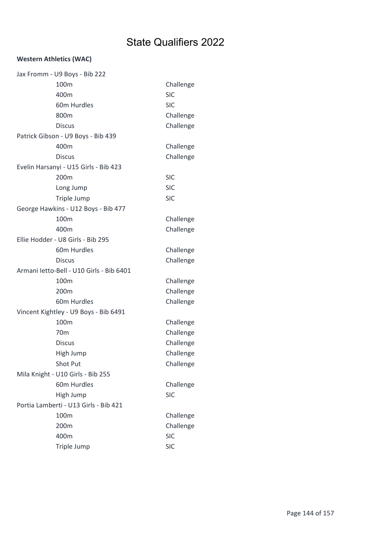|                                       | Jax Fromm - U9 Boys - Bib 222            |            |
|---------------------------------------|------------------------------------------|------------|
|                                       | 100m                                     | Challenge  |
|                                       | 400m                                     | <b>SIC</b> |
|                                       | 60m Hurdles                              | <b>SIC</b> |
|                                       | 800m                                     | Challenge  |
|                                       | <b>Discus</b>                            | Challenge  |
|                                       | Patrick Gibson - U9 Boys - Bib 439       |            |
|                                       | 400m                                     | Challenge  |
|                                       | Discus                                   | Challenge  |
|                                       | Evelin Harsanyi - U15 Girls - Bib 423    |            |
|                                       | 200 <sub>m</sub>                         | <b>SIC</b> |
|                                       | Long Jump                                | <b>SIC</b> |
|                                       | Triple Jump                              | <b>SIC</b> |
|                                       | George Hawkins - U12 Boys - Bib 477      |            |
|                                       | 100 <sub>m</sub>                         | Challenge  |
|                                       | 400m                                     | Challenge  |
| Ellie Hodder - U8 Girls - Bib 295     |                                          |            |
|                                       | 60m Hurdles                              | Challenge  |
|                                       | <b>Discus</b>                            | Challenge  |
|                                       | Armani letto-Bell - U10 Girls - Bib 6401 |            |
|                                       | 100 <sub>m</sub>                         | Challenge  |
|                                       | 200m                                     | Challenge  |
|                                       | 60m Hurdles                              | Challenge  |
|                                       | Vincent Kightley - U9 Boys - Bib 6491    |            |
|                                       | 100 <sub>m</sub>                         | Challenge  |
|                                       | 70 <sub>m</sub>                          | Challenge  |
|                                       | <b>Discus</b>                            | Challenge  |
|                                       | High Jump                                | Challenge  |
|                                       | Shot Put                                 | Challenge  |
|                                       | Mila Knight - U10 Girls - Bib 255        |            |
|                                       | 60m Hurdles                              | Challenge  |
|                                       | High Jump                                | <b>SIC</b> |
| Portia Lamberti - U13 Girls - Bib 421 |                                          |            |
|                                       | 100m                                     | Challenge  |
|                                       | 200m                                     | Challenge  |
|                                       | 400m                                     | <b>SIC</b> |
|                                       | Triple Jump                              | <b>SIC</b> |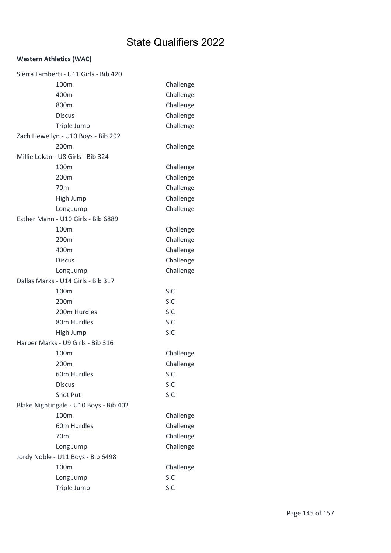| Sierra Lamberti - U11 Girls - Bib 420  |            |
|----------------------------------------|------------|
| 100 <sub>m</sub>                       | Challenge  |
| 400m                                   | Challenge  |
| 800m                                   | Challenge  |
| <b>Discus</b>                          | Challenge  |
| Triple Jump                            | Challenge  |
| Zach Llewellyn - U10 Boys - Bib 292    |            |
| 200m                                   | Challenge  |
| Millie Lokan - U8 Girls - Bib 324      |            |
| 100m                                   | Challenge  |
| 200 <sub>m</sub>                       | Challenge  |
| 70 <sub>m</sub>                        | Challenge  |
| High Jump                              | Challenge  |
| Long Jump                              | Challenge  |
| Esther Mann - U10 Girls - Bib 6889     |            |
| 100m                                   | Challenge  |
| 200m                                   | Challenge  |
| 400m                                   | Challenge  |
| <b>Discus</b>                          | Challenge  |
| Long Jump                              | Challenge  |
| Dallas Marks - U14 Girls - Bib 317     |            |
| 100m                                   | <b>SIC</b> |
| 200m                                   | <b>SIC</b> |
| 200m Hurdles                           | <b>SIC</b> |
| 80m Hurdles                            | <b>SIC</b> |
| High Jump                              | <b>SIC</b> |
| Harper Marks - U9 Girls - Bib 316      |            |
| 100m                                   | Challenge  |
|                                        |            |
| 200m                                   | Challenge  |
| 60m Hurdles                            | <b>SIC</b> |
| <b>Discus</b>                          | <b>SIC</b> |
| Shot Put                               | <b>SIC</b> |
| Blake Nightingale - U10 Boys - Bib 402 |            |
| 100m                                   | Challenge  |
| 60m Hurdles                            | Challenge  |
| 70 <sub>m</sub>                        | Challenge  |
| Long Jump                              | Challenge  |
| Jordy Noble - U11 Boys - Bib 6498      |            |
| 100m                                   | Challenge  |
| Long Jump                              | <b>SIC</b> |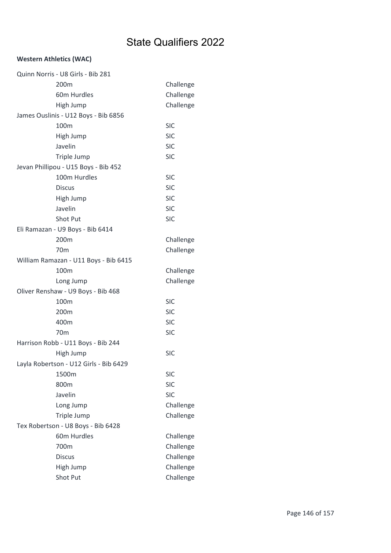| Quinn Norris - U8 Girls - Bib 281      |            |
|----------------------------------------|------------|
| 200m                                   | Challenge  |
| 60m Hurdles                            | Challenge  |
| High Jump                              | Challenge  |
| James Ouslinis - U12 Boys - Bib 6856   |            |
| 100m                                   | <b>SIC</b> |
| High Jump                              | <b>SIC</b> |
| Javelin                                | <b>SIC</b> |
| Triple Jump                            | <b>SIC</b> |
| Jevan Phillipou - U15 Boys - Bib 452   |            |
| 100m Hurdles                           | <b>SIC</b> |
| <b>Discus</b>                          | <b>SIC</b> |
| High Jump                              | <b>SIC</b> |
| Javelin                                | <b>SIC</b> |
| Shot Put                               | <b>SIC</b> |
| Eli Ramazan - U9 Boys - Bib 6414       |            |
| 200m                                   | Challenge  |
| 70 <sub>m</sub>                        | Challenge  |
| William Ramazan - U11 Boys - Bib 6415  |            |
| 100m                                   | Challenge  |
| Long Jump                              | Challenge  |
| Oliver Renshaw - U9 Boys - Bib 468     |            |
| 100m                                   | <b>SIC</b> |
| 200m                                   | <b>SIC</b> |
| 400m                                   | <b>SIC</b> |
| 70 <sub>m</sub>                        | <b>SIC</b> |
| Harrison Robb - U11 Boys - Bib 244     |            |
| High Jump                              | <b>SIC</b> |
| Layla Robertson - U12 Girls - Bib 6429 |            |
| 1500m                                  | <b>SIC</b> |
| 800m                                   | <b>SIC</b> |
| Javelin                                | <b>SIC</b> |
| Long Jump                              | Challenge  |
| Triple Jump                            | Challenge  |
| Tex Robertson - U8 Boys - Bib 6428     |            |
| 60m Hurdles                            | Challenge  |
| 700m                                   | Challenge  |
| <b>Discus</b>                          | Challenge  |
| High Jump                              | Challenge  |
| Shot Put                               | Challenge  |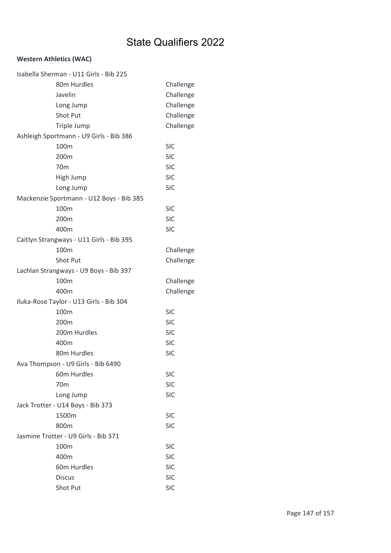| Isabella Sherman - U11 Girls - Bib 225   |            |
|------------------------------------------|------------|
| 80m Hurdles                              | Challenge  |
| Javelin                                  | Challenge  |
| Long Jump                                | Challenge  |
| <b>Shot Put</b>                          | Challenge  |
| Triple Jump                              | Challenge  |
| Ashleigh Sportmann - U9 Girls - Bib 386  |            |
| 100m                                     | <b>SIC</b> |
| 200m                                     | <b>SIC</b> |
| 70 <sub>m</sub>                          | <b>SIC</b> |
| High Jump                                | <b>SIC</b> |
| Long Jump                                | <b>SIC</b> |
| Mackenzie Sportmann - U12 Boys - Bib 385 |            |
| 100m                                     | <b>SIC</b> |
| 200m                                     | <b>SIC</b> |
| 400m                                     | <b>SIC</b> |
| Caitlyn Strangways - U11 Girls - Bib 395 |            |
| 100m                                     | Challenge  |
| Shot Put                                 | Challenge  |
| Lachlan Strangways - U9 Boys - Bib 397   |            |
| 100m                                     | Challenge  |
| 400m                                     | Challenge  |
| Iluka-Rose Taylor - U13 Girls - Bib 304  |            |
| 100m                                     | <b>SIC</b> |
| 200m                                     | <b>SIC</b> |
| 200m Hurdles                             | <b>SIC</b> |
| 400m                                     | <b>SIC</b> |
| 80m Hurdles                              | <b>SIC</b> |
| Ava Thompson - U9 Girls - Bib 6490       |            |
| 60m Hurdles                              | <b>SIC</b> |
| 70 <sub>m</sub>                          | <b>SIC</b> |
| Long Jump                                | <b>SIC</b> |
| Jack Trotter - U14 Boys - Bib 373        |            |
| 1500m                                    | <b>SIC</b> |
| 800m                                     | <b>SIC</b> |
| Jasmine Trotter - U9 Girls - Bib 371     |            |
| 100 <sub>m</sub>                         | <b>SIC</b> |
| 400m                                     | <b>SIC</b> |
| 60m Hurdles                              | <b>SIC</b> |
| <b>Discus</b>                            | <b>SIC</b> |
| Shot Put                                 | <b>SIC</b> |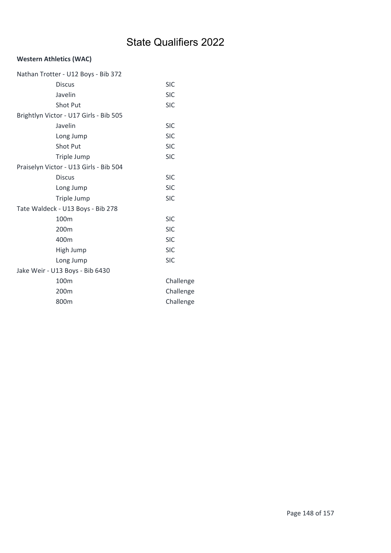| Nathan Trotter - U12 Boys - Bib 372    |
|----------------------------------------|
| <b>SIC</b>                             |
| <b>SIC</b>                             |
| <b>SIC</b>                             |
| Brightlyn Victor - U17 Girls - Bib 505 |
| <b>SIC</b>                             |
| <b>SIC</b>                             |
| <b>SIC</b>                             |
| <b>SIC</b>                             |
| Praiselyn Victor - U13 Girls - Bib 504 |
| <b>SIC</b>                             |
| <b>SIC</b>                             |
| <b>SIC</b>                             |
| Tate Waldeck - U13 Boys - Bib 278      |
| <b>SIC</b>                             |
| <b>SIC</b>                             |
| <b>SIC</b>                             |
| <b>SIC</b>                             |
| <b>SIC</b>                             |
|                                        |
| Challenge                              |
| Challenge                              |
| Challenge                              |
|                                        |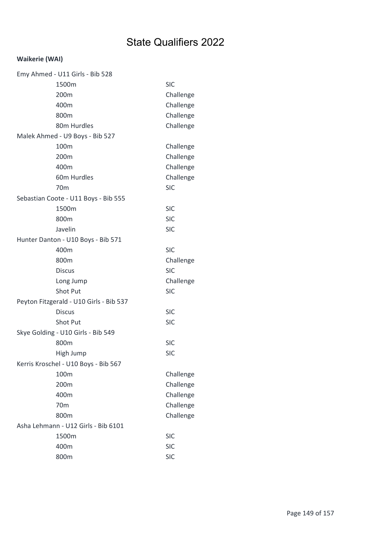## Waikerie (WAI)

| Emy Ahmed - U11 Girls - Bib 528         |            |
|-----------------------------------------|------------|
| 1500m                                   | <b>SIC</b> |
| 200m                                    | Challenge  |
| 400m                                    | Challenge  |
| 800m                                    | Challenge  |
| 80m Hurdles                             | Challenge  |
| Malek Ahmed - U9 Boys - Bib 527         |            |
| 100m                                    | Challenge  |
| 200m                                    | Challenge  |
| 400m                                    | Challenge  |
| 60m Hurdles                             | Challenge  |
| 70 <sub>m</sub>                         | <b>SIC</b> |
| Sebastian Coote - U11 Boys - Bib 555    |            |
| 1500m                                   | <b>SIC</b> |
| 800m                                    | <b>SIC</b> |
| Javelin                                 | <b>SIC</b> |
| Hunter Danton - U10 Boys - Bib 571      |            |
| 400m                                    | <b>SIC</b> |
| 800m                                    | Challenge  |
| <b>Discus</b>                           | <b>SIC</b> |
| Long Jump                               | Challenge  |
| <b>Shot Put</b>                         | <b>SIC</b> |
| Peyton Fitzgerald - U10 Girls - Bib 537 |            |
| <b>Discus</b>                           | <b>SIC</b> |
| Shot Put                                | <b>SIC</b> |
| Skye Golding - U10 Girls - Bib 549      |            |
| 800m                                    | <b>SIC</b> |
| High Jump                               | <b>SIC</b> |
| Kerris Kroschel - U10 Boys - Bib 567    |            |
| 100m                                    | Challenge  |
| 200m                                    | Challenge  |
| 400m                                    | Challenge  |
| 70 <sub>m</sub>                         | Challenge  |
| 800m                                    | Challenge  |
| Asha Lehmann - U12 Girls - Bib 6101     |            |
| 1500m                                   | <b>SIC</b> |
| 400m                                    | <b>SIC</b> |
| 800m                                    | <b>SIC</b> |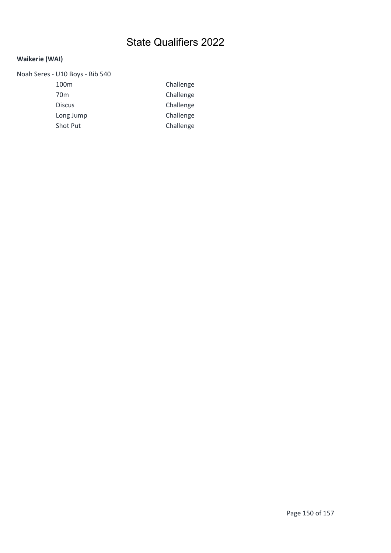## Waikerie (WAI)

| Noah Seres - U10 Boys - Bib 540 |           |
|---------------------------------|-----------|
| 100 <sub>m</sub>                | Challenge |
| 70 <sub>m</sub>                 | Challenge |
| <b>Discus</b>                   | Challenge |
| Long Jump                       | Challenge |
| Shot Put                        | Challenge |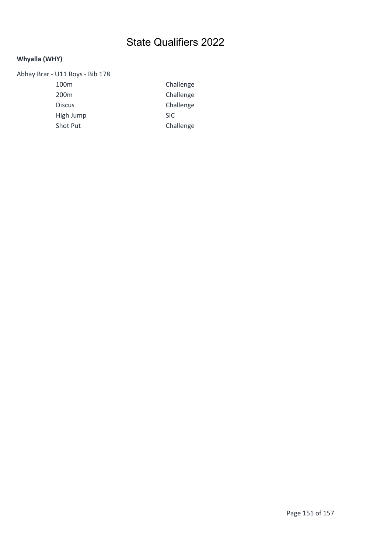## Whyalla (WHY)

| Abhay Brar - U11 Boys - Bib 178 |            |
|---------------------------------|------------|
| 100 <sub>m</sub>                | Cha        |
| 200 <sub>m</sub>                | Cha        |
| <b>Discus</b>                   | Cha        |
| High Jump                       | <b>SIC</b> |
| <b>Shot Put</b>                 | Cha        |
|                                 |            |

Challenge Challenge Challenge Challenge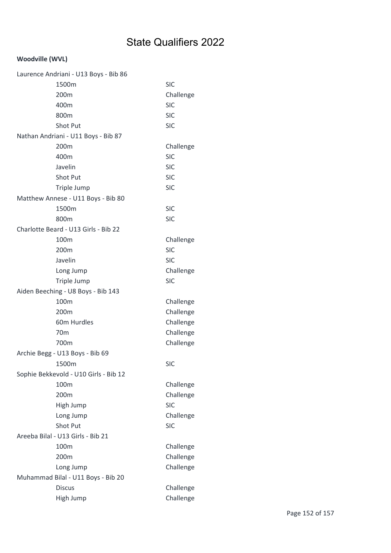| Laurence Andriani - U13 Boys - Bib 86 |            |
|---------------------------------------|------------|
| 1500m                                 | <b>SIC</b> |
| 200m                                  | Challenge  |
| 400m                                  | <b>SIC</b> |
| 800m                                  | <b>SIC</b> |
| Shot Put                              | <b>SIC</b> |
| Nathan Andriani - U11 Boys - Bib 87   |            |
| 200m                                  | Challenge  |
| 400m                                  | <b>SIC</b> |
| Javelin                               | <b>SIC</b> |
| Shot Put                              | <b>SIC</b> |
| Triple Jump                           | <b>SIC</b> |
| Matthew Annese - U11 Boys - Bib 80    |            |
| 1500m                                 | <b>SIC</b> |
| 800m                                  | <b>SIC</b> |
| Charlotte Beard - U13 Girls - Bib 22  |            |
| 100 <sub>m</sub>                      | Challenge  |
| 200m                                  | <b>SIC</b> |
| Javelin                               | <b>SIC</b> |
| Long Jump                             | Challenge  |
| Triple Jump                           | <b>SIC</b> |
| Aiden Beeching - U8 Boys - Bib 143    |            |
| 100m                                  | Challenge  |
| 200 <sub>m</sub>                      | Challenge  |
| 60m Hurdles                           | Challenge  |
| 70 <sub>m</sub>                       | Challenge  |
| 700m                                  | Challenge  |
| Archie Begg - U13 Boys - Bib 69       |            |
| 1500m                                 | <b>SIC</b> |
| Sophie Bekkevold - U10 Girls - Bib 12 |            |
| 100m                                  | Challenge  |
| 200m                                  | Challenge  |
| High Jump                             | <b>SIC</b> |
| Long Jump                             | Challenge  |
| Shot Put                              | <b>SIC</b> |
| Areeba Bilal - U13 Girls - Bib 21     |            |
| 100m                                  | Challenge  |
| 200m                                  | Challenge  |
| Long Jump                             | Challenge  |
| Muhammad Bilal - U11 Boys - Bib 20    |            |
| <b>Discus</b>                         | Challenge  |
| High Jump                             | Challenge  |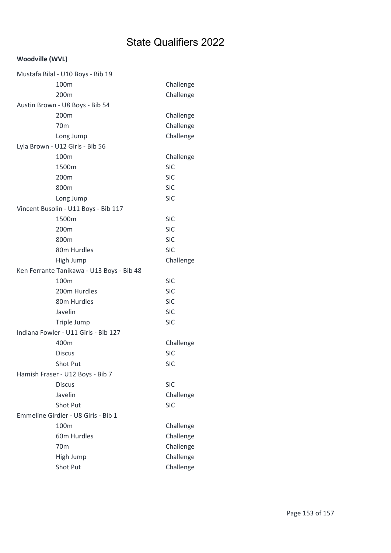| Mustafa Bilal - U10 Boys - Bib 19         |            |
|-------------------------------------------|------------|
| 100m                                      | Challenge  |
| 200 <sub>m</sub>                          | Challenge  |
| Austin Brown - U8 Boys - Bib 54           |            |
| 200m                                      | Challenge  |
| 70 <sub>m</sub>                           | Challenge  |
| Long Jump                                 | Challenge  |
| Lyla Brown - U12 Girls - Bib 56           |            |
| 100m                                      | Challenge  |
| 1500m                                     | <b>SIC</b> |
| 200m                                      | <b>SIC</b> |
| 800m                                      | <b>SIC</b> |
| Long Jump                                 | <b>SIC</b> |
| Vincent Busolin - U11 Boys - Bib 117      |            |
| 1500m                                     | <b>SIC</b> |
| 200m                                      | <b>SIC</b> |
| 800m                                      | <b>SIC</b> |
| 80m Hurdles                               | <b>SIC</b> |
| High Jump                                 | Challenge  |
| Ken Ferrante Tanikawa - U13 Boys - Bib 48 |            |
| 100m                                      | <b>SIC</b> |
| 200m Hurdles                              | <b>SIC</b> |
| 80m Hurdles                               | <b>SIC</b> |
| Javelin                                   | <b>SIC</b> |
| Triple Jump                               | <b>SIC</b> |
| Indiana Fowler - U11 Girls - Bib 127      |            |
| 400m                                      | Challenge  |
| <b>Discus</b>                             | <b>SIC</b> |
| Shot Put                                  | <b>SIC</b> |
| Hamish Fraser - U12 Boys - Bib 7          |            |
| <b>Discus</b>                             | <b>SIC</b> |
| Javelin                                   | Challenge  |
| Shot Put                                  | <b>SIC</b> |
| Emmeline Girdler - U8 Girls - Bib 1       |            |
| 100 <sub>m</sub>                          | Challenge  |
| 60m Hurdles                               | Challenge  |
| 70 <sub>m</sub>                           | Challenge  |
| High Jump                                 | Challenge  |
| Shot Put                                  | Challenge  |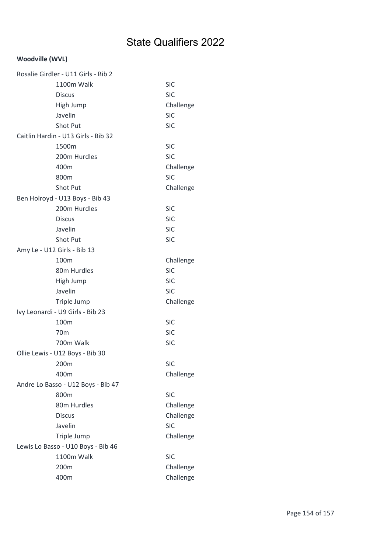| Rosalie Girdler - U11 Girls - Bib 2 |            |
|-------------------------------------|------------|
| 1100m Walk                          | <b>SIC</b> |
| <b>Discus</b>                       | <b>SIC</b> |
| High Jump                           | Challenge  |
| Javelin                             | <b>SIC</b> |
| Shot Put                            | <b>SIC</b> |
| Caitlin Hardin - U13 Girls - Bib 32 |            |
| 1500m                               | <b>SIC</b> |
| 200m Hurdles                        | <b>SIC</b> |
| 400m                                | Challenge  |
| 800m                                | <b>SIC</b> |
| Shot Put                            | Challenge  |
| Ben Holroyd - U13 Boys - Bib 43     |            |
| 200m Hurdles                        | <b>SIC</b> |
| <b>Discus</b>                       | <b>SIC</b> |
| Javelin                             | <b>SIC</b> |
| Shot Put                            | <b>SIC</b> |
| Amy Le - U12 Girls - Bib 13         |            |
| 100m                                | Challenge  |
| 80m Hurdles                         | <b>SIC</b> |
| High Jump                           | <b>SIC</b> |
| Javelin                             | <b>SIC</b> |
| Triple Jump                         | Challenge  |
| Ivy Leonardi - U9 Girls - Bib 23    |            |
| 100m                                | <b>SIC</b> |
| 70 <sub>m</sub>                     | <b>SIC</b> |
| 700m Walk                           | <b>SIC</b> |
| Ollie Lewis - U12 Boys - Bib 30     |            |
| 200m                                | <b>SIC</b> |
| 400m                                | Challenge  |
| Andre Lo Basso - U12 Boys - Bib 47  |            |
| 800m                                | <b>SIC</b> |
| 80m Hurdles                         | Challenge  |
| <b>Discus</b>                       | Challenge  |
| Javelin                             | <b>SIC</b> |
| Triple Jump                         | Challenge  |
| Lewis Lo Basso - U10 Boys - Bib 46  |            |
| 1100m Walk                          | <b>SIC</b> |
| 200 <sub>m</sub>                    | Challenge  |
| 400m                                | Challenge  |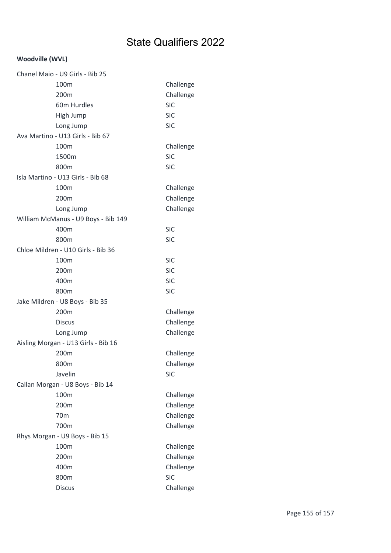| Chanel Maio - U9 Girls - Bib 25     |            |
|-------------------------------------|------------|
| 100m                                | Challenge  |
| 200m                                | Challenge  |
| 60m Hurdles                         | <b>SIC</b> |
| High Jump                           | <b>SIC</b> |
| Long Jump                           | <b>SIC</b> |
| Ava Martino - U13 Girls - Bib 67    |            |
| 100m                                | Challenge  |
| 1500m                               | <b>SIC</b> |
| 800m                                | <b>SIC</b> |
| Isla Martino - U13 Girls - Bib 68   |            |
| 100m                                | Challenge  |
| 200m                                | Challenge  |
| Long Jump                           | Challenge  |
| William McManus - U9 Boys - Bib 149 |            |
| 400m                                | <b>SIC</b> |
| 800m                                | <b>SIC</b> |
| Chloe Mildren - U10 Girls - Bib 36  |            |
| 100m                                | <b>SIC</b> |
| 200m                                | <b>SIC</b> |
| 400m                                | <b>SIC</b> |
| 800m                                | <b>SIC</b> |
| Jake Mildren - U8 Boys - Bib 35     |            |
| 200m                                | Challenge  |
| <b>Discus</b>                       | Challenge  |
| Long Jump                           | Challenge  |
| Aisling Morgan - U13 Girls - Bib 16 |            |
| 200m                                | Challenge  |
| 800m                                | Challenge  |
| Javelin                             | <b>SIC</b> |
| Callan Morgan - U8 Boys - Bib 14    |            |
| 100m                                | Challenge  |
| 200m                                | Challenge  |
| 70 <sub>m</sub>                     | Challenge  |
| 700m                                | Challenge  |
| Rhys Morgan - U9 Boys - Bib 15      |            |
| 100m                                | Challenge  |
| 200m                                | Challenge  |
| 400m                                | Challenge  |
| 800m                                | <b>SIC</b> |
| <b>Discus</b>                       | Challenge  |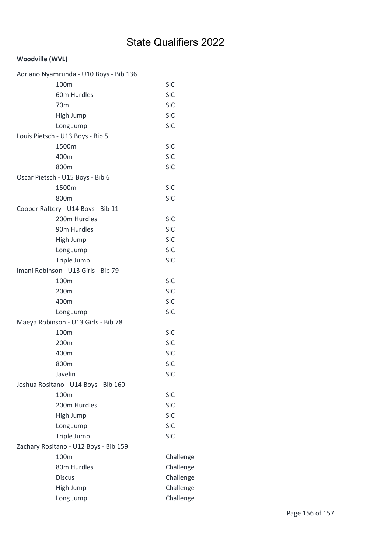| Adriano Nyamrunda - U10 Boys - Bib 136 |            |
|----------------------------------------|------------|
| 100m                                   | <b>SIC</b> |
| 60m Hurdles                            | <b>SIC</b> |
| 70 <sub>m</sub>                        | <b>SIC</b> |
| High Jump                              | <b>SIC</b> |
| Long Jump                              | <b>SIC</b> |
| Louis Pietsch - U13 Boys - Bib 5       |            |
| 1500m                                  | <b>SIC</b> |
| 400m                                   | <b>SIC</b> |
| 800m                                   | <b>SIC</b> |
| Oscar Pietsch - U15 Boys - Bib 6       |            |
| 1500m                                  | <b>SIC</b> |
| 800m                                   | <b>SIC</b> |
| Cooper Raftery - U14 Boys - Bib 11     |            |
| 200m Hurdles                           | <b>SIC</b> |
| 90m Hurdles                            | <b>SIC</b> |
| High Jump                              | <b>SIC</b> |
| Long Jump                              | <b>SIC</b> |
| Triple Jump                            | <b>SIC</b> |
| Imani Robinson - U13 Girls - Bib 79    |            |
| 100m                                   | <b>SIC</b> |
| 200m                                   | <b>SIC</b> |
| 400m                                   | <b>SIC</b> |
| Long Jump                              | <b>SIC</b> |
| Maeya Robinson - U13 Girls - Bib 78    |            |
| 100m                                   | <b>SIC</b> |
| 200m                                   | <b>SIC</b> |
| 400m                                   | <b>SIC</b> |
| 800m                                   | <b>SIC</b> |
| Javelin                                | <b>SIC</b> |
| Joshua Rositano - U14 Boys - Bib 160   |            |
| 100m                                   | <b>SIC</b> |
| 200m Hurdles                           | <b>SIC</b> |
| High Jump                              | <b>SIC</b> |
| Long Jump                              | <b>SIC</b> |
| Triple Jump                            | <b>SIC</b> |
| Zachary Rositano - U12 Boys - Bib 159  |            |
| 100m                                   | Challenge  |
| 80m Hurdles                            | Challenge  |
| <b>Discus</b>                          | Challenge  |
| High Jump                              | Challenge  |
| Long Jump                              | Challenge  |